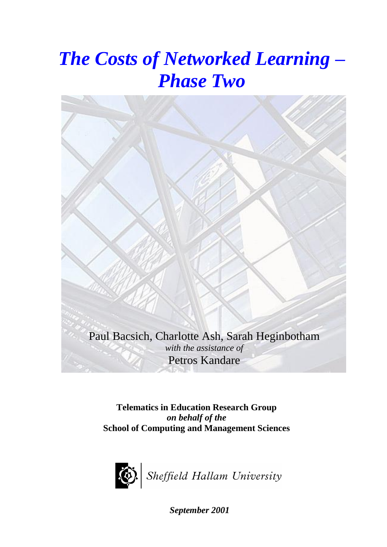# *The Costs of Networked Learning – Phase Two*



**Telematics in Education Research Group**  *on behalf of the* **School of Computing and Management Sciences**



*September 2001*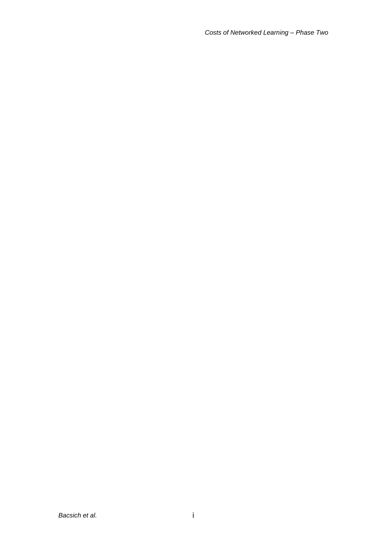*Costs of Networked Learning – Phase Two*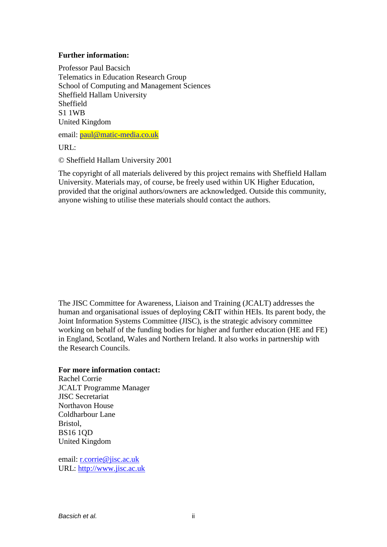#### **Further information:**

Professor Paul Bacsich Telematics in Education Research Group School of Computing and Management Sciences Sheffield Hallam University Sheffield S1 1WB United Kingdom

email: [paul@matic-media.co.uk](mailto:paul@matic-media.co.uk)

URL:

© Sheffield Hallam University 2001

The copyright of all materials delivered by this project remains with Sheffield Hallam University. Materials may, of course, be freely used within UK Higher Education, provided that the original authors/owners are acknowledged. Outside this community, anyone wishing to utilise these materials should contact the authors.

The JISC Committee for Awareness, Liaison and Training (JCALT) addresses the human and organisational issues of deploying C&IT within HEIs. Its parent body, the Joint Information Systems Committee (JISC), is the strategic advisory committee working on behalf of the funding bodies for higher and further education (HE and FE) in England, Scotland, Wales and Northern Ireland. It also works in partnership with the Research Councils.

#### **For more information contact:**

Rachel Corrie JCALT Programme Manager JISC Secretariat Northavon House Coldharbour Lane Bristol, BS16 1QD United Kingdom

email: [r.corrie@jisc.ac.uk](mailto:a.colban@jisc.ac.uk) URL: [http://www.jisc.ac.uk](http://www.jisc.ac.uk/)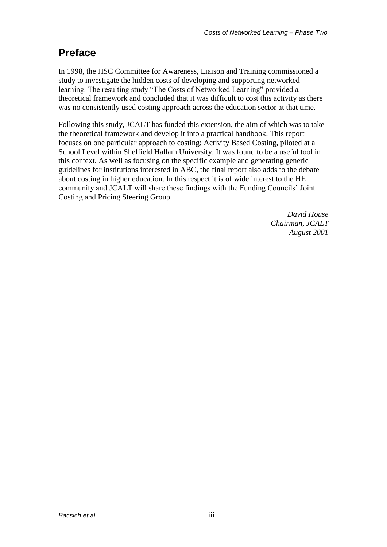# **Preface**

In 1998, the JISC Committee for Awareness, Liaison and Training commissioned a study to investigate the hidden costs of developing and supporting networked learning. The resulting study "The Costs of Networked Learning" provided a theoretical framework and concluded that it was difficult to cost this activity as there was no consistently used costing approach across the education sector at that time.

Following this study, JCALT has funded this extension, the aim of which was to take the theoretical framework and develop it into a practical handbook. This report focuses on one particular approach to costing: Activity Based Costing, piloted at a School Level within Sheffield Hallam University. It was found to be a useful tool in this context. As well as focusing on the specific example and generating generic guidelines for institutions interested in ABC, the final report also adds to the debate about costing in higher education. In this respect it is of wide interest to the HE community and JCALT will share these findings with the Funding Councils' Joint Costing and Pricing Steering Group.

> *David House Chairman, JCALT August 2001*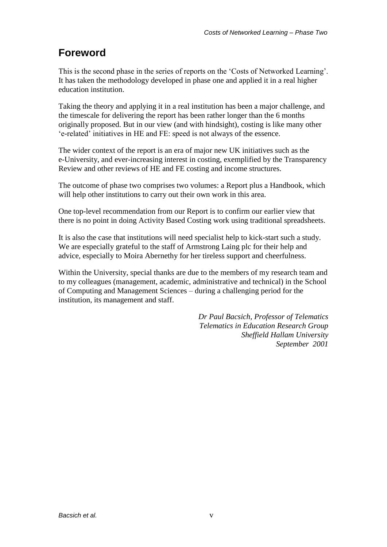# **Foreword**

This is the second phase in the series of reports on the 'Costs of Networked Learning'. It has taken the methodology developed in phase one and applied it in a real higher education institution.

Taking the theory and applying it in a real institution has been a major challenge, and the timescale for delivering the report has been rather longer than the 6 months originally proposed. But in our view (and with hindsight), costing is like many other 'e-related' initiatives in HE and FE: speed is not always of the essence.

The wider context of the report is an era of major new UK initiatives such as the e-University, and ever-increasing interest in costing, exemplified by the Transparency Review and other reviews of HE and FE costing and income structures.

The outcome of phase two comprises two volumes: a Report plus a Handbook, which will help other institutions to carry out their own work in this area.

One top-level recommendation from our Report is to confirm our earlier view that there is no point in doing Activity Based Costing work using traditional spreadsheets.

It is also the case that institutions will need specialist help to kick-start such a study. We are especially grateful to the staff of Armstrong Laing plc for their help and advice, especially to Moira Abernethy for her tireless support and cheerfulness.

Within the University, special thanks are due to the members of my research team and to my colleagues (management, academic, administrative and technical) in the School of Computing and Management Sciences – during a challenging period for the institution, its management and staff.

> *Dr Paul Bacsich, Professor of Telematics Telematics in Education Research Group Sheffield Hallam University September 2001*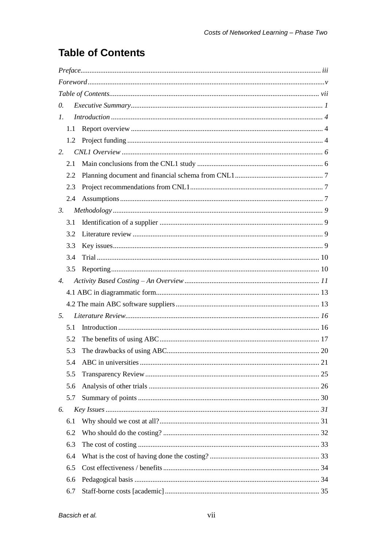# **Table of Contents**

| 0.                    |  |
|-----------------------|--|
| $\mathcal{I}$ .       |  |
| $1.1\,$               |  |
| 1.2                   |  |
| 2.                    |  |
| 2.1                   |  |
| 2.2                   |  |
| 2.3                   |  |
| 2.4                   |  |
| $\beta$ .             |  |
| 3.1                   |  |
| 3.2                   |  |
| 3.3                   |  |
| 3.4                   |  |
| 3.5                   |  |
| $\mathcal{A}_{\cdot}$ |  |
|                       |  |
|                       |  |
| 5.                    |  |
| 5.1                   |  |
| 5.2                   |  |
| 5.3                   |  |
| 5.4                   |  |
| 5.5                   |  |
| 5.6                   |  |
| 5.7                   |  |
| 6.                    |  |
| 6.1                   |  |
| 6.2                   |  |
| 6.3                   |  |
| 6.4                   |  |
| 6.5                   |  |
| 6.6                   |  |
| 6.7                   |  |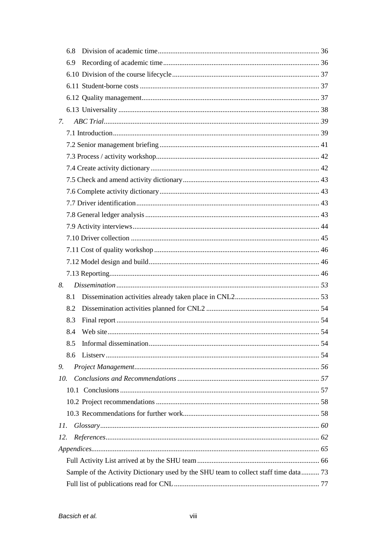| 6.8                                                                                  |  |
|--------------------------------------------------------------------------------------|--|
| 6.9                                                                                  |  |
|                                                                                      |  |
|                                                                                      |  |
|                                                                                      |  |
|                                                                                      |  |
| 7.                                                                                   |  |
|                                                                                      |  |
|                                                                                      |  |
|                                                                                      |  |
|                                                                                      |  |
|                                                                                      |  |
|                                                                                      |  |
|                                                                                      |  |
|                                                                                      |  |
|                                                                                      |  |
|                                                                                      |  |
|                                                                                      |  |
|                                                                                      |  |
|                                                                                      |  |
| 8.                                                                                   |  |
| 8.1                                                                                  |  |
| 8.2                                                                                  |  |
| 8.3                                                                                  |  |
| 8.4                                                                                  |  |
| 8.5                                                                                  |  |
| 8.6                                                                                  |  |
| 9.                                                                                   |  |
| 10.                                                                                  |  |
|                                                                                      |  |
|                                                                                      |  |
|                                                                                      |  |
| 11.                                                                                  |  |
| 12.                                                                                  |  |
|                                                                                      |  |
|                                                                                      |  |
| Sample of the Activity Dictionary used by the SHU team to collect staff time data 73 |  |
|                                                                                      |  |
|                                                                                      |  |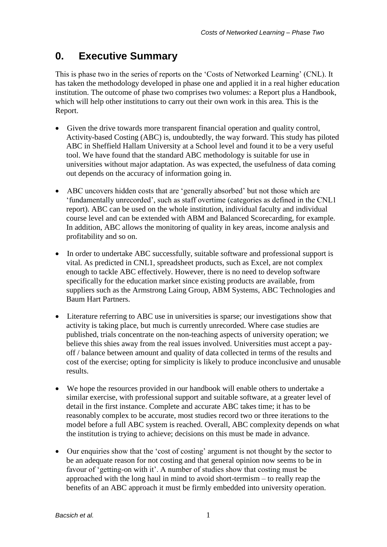# **0. Executive Summary**

This is phase two in the series of reports on the 'Costs of Networked Learning' (CNL). It has taken the methodology developed in phase one and applied it in a real higher education institution. The outcome of phase two comprises two volumes: a Report plus a Handbook, which will help other institutions to carry out their own work in this area. This is the Report.

- Given the drive towards more transparent financial operation and quality control, Activity-based Costing (ABC) is, undoubtedly, the way forward. This study has piloted ABC in Sheffield Hallam University at a School level and found it to be a very useful tool. We have found that the standard ABC methodology is suitable for use in universities without major adaptation. As was expected, the usefulness of data coming out depends on the accuracy of information going in.
- ABC uncovers hidden costs that are 'generally absorbed' but not those which are 'fundamentally unrecorded', such as staff overtime (categories as defined in the CNL1 report). ABC can be used on the whole institution, individual faculty and individual course level and can be extended with ABM and Balanced Scorecarding, for example. In addition, ABC allows the monitoring of quality in key areas, income analysis and profitability and so on.
- In order to undertake ABC successfully, suitable software and professional support is vital. As predicted in CNL1, spreadsheet products, such as Excel, are not complex enough to tackle ABC effectively. However, there is no need to develop software specifically for the education market since existing products are available, from suppliers such as the Armstrong Laing Group, ABM Systems, ABC Technologies and Baum Hart Partners.
- Literature referring to ABC use in universities is sparse; our investigations show that activity is taking place, but much is currently unrecorded. Where case studies are published, trials concentrate on the non-teaching aspects of university operation; we believe this shies away from the real issues involved. Universities must accept a payoff / balance between amount and quality of data collected in terms of the results and cost of the exercise; opting for simplicity is likely to produce inconclusive and unusable results.
- We hope the resources provided in our handbook will enable others to undertake a similar exercise, with professional support and suitable software, at a greater level of detail in the first instance. Complete and accurate ABC takes time; it has to be reasonably complex to be accurate, most studies record two or three iterations to the model before a full ABC system is reached. Overall, ABC complexity depends on what the institution is trying to achieve; decisions on this must be made in advance.
- Our enquiries show that the 'cost of costing' argument is not thought by the sector to be an adequate reason for not costing and that general opinion now seems to be in favour of 'getting-on with it'. A number of studies show that costing must be approached with the long haul in mind to avoid short-termism – to really reap the benefits of an ABC approach it must be firmly embedded into university operation.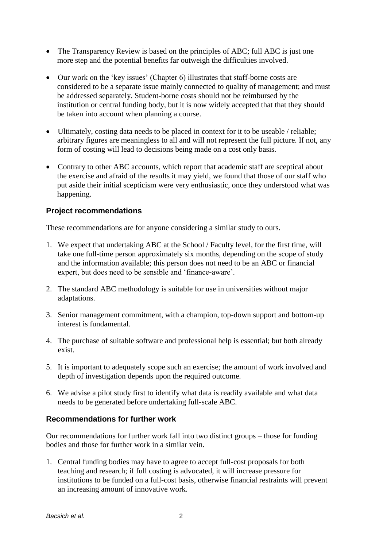- The Transparency Review is based on the principles of ABC; full ABC is just one more step and the potential benefits far outweigh the difficulties involved.
- Our work on the 'key issues' (Chapter 6) illustrates that staff-borne costs are considered to be a separate issue mainly connected to quality of management; and must be addressed separately. Student-borne costs should not be reimbursed by the institution or central funding body, but it is now widely accepted that that they should be taken into account when planning a course.
- Ultimately, costing data needs to be placed in context for it to be useable / reliable; arbitrary figures are meaningless to all and will not represent the full picture. If not, any form of costing will lead to decisions being made on a cost only basis.
- Contrary to other ABC accounts, which report that academic staff are sceptical about the exercise and afraid of the results it may yield, we found that those of our staff who put aside their initial scepticism were very enthusiastic, once they understood what was happening.

#### **Project recommendations**

These recommendations are for anyone considering a similar study to ours.

- 1. We expect that undertaking ABC at the School / Faculty level, for the first time, will take one full-time person approximately six months, depending on the scope of study and the information available; this person does not need to be an ABC or financial expert, but does need to be sensible and 'finance-aware'.
- 2. The standard ABC methodology is suitable for use in universities without major adaptations.
- 3. Senior management commitment, with a champion, top-down support and bottom-up interest is fundamental.
- 4. The purchase of suitable software and professional help is essential; but both already exist.
- 5. It is important to adequately scope such an exercise; the amount of work involved and depth of investigation depends upon the required outcome.
- 6. We advise a pilot study first to identify what data is readily available and what data needs to be generated before undertaking full-scale ABC.

#### **Recommendations for further work**

Our recommendations for further work fall into two distinct groups – those for funding bodies and those for further work in a similar vein.

1. Central funding bodies may have to agree to accept full-cost proposals for both teaching and research; if full costing is advocated, it will increase pressure for institutions to be funded on a full-cost basis, otherwise financial restraints will prevent an increasing amount of innovative work.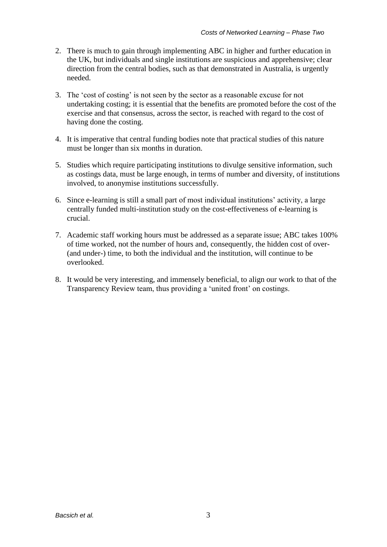- 2. There is much to gain through implementing ABC in higher and further education in the UK, but individuals and single institutions are suspicious and apprehensive; clear direction from the central bodies, such as that demonstrated in Australia, is urgently needed.
- 3. The 'cost of costing' is not seen by the sector as a reasonable excuse for not undertaking costing; it is essential that the benefits are promoted before the cost of the exercise and that consensus, across the sector, is reached with regard to the cost of having done the costing.
- 4. It is imperative that central funding bodies note that practical studies of this nature must be longer than six months in duration.
- 5. Studies which require participating institutions to divulge sensitive information, such as costings data, must be large enough, in terms of number and diversity, of institutions involved, to anonymise institutions successfully.
- 6. Since e-learning is still a small part of most individual institutions' activity, a large centrally funded multi-institution study on the cost-effectiveness of e-learning is crucial.
- 7. Academic staff working hours must be addressed as a separate issue; ABC takes 100% of time worked, not the number of hours and, consequently, the hidden cost of over- (and under-) time, to both the individual and the institution, will continue to be overlooked.
- 8. It would be very interesting, and immensely beneficial, to align our work to that of the Transparency Review team, thus providing a 'united front' on costings.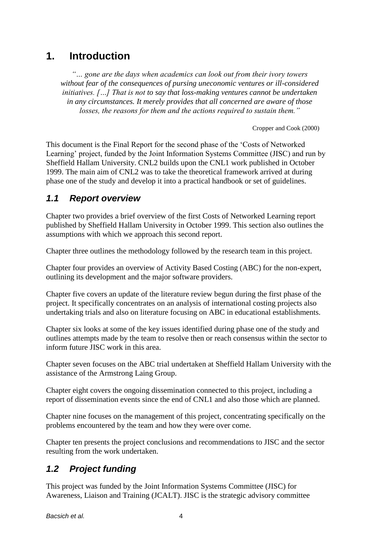# **1. Introduction**

*"… gone are the days when academics can look out from their ivory towers without fear of the consequences of pursing uneconomic ventures or ill-considered initiatives. […] That is not to say that loss-making ventures cannot be undertaken in any circumstances. It merely provides that all concerned are aware of those losses, the reasons for them and the actions required to sustain them."*

Cropper and Cook (2000)

This document is the Final Report for the second phase of the 'Costs of Networked Learning' project, funded by the Joint Information Systems Committee (JISC) and run by Sheffield Hallam University. CNL2 builds upon the CNL1 work published in October 1999. The main aim of CNL2 was to take the theoretical framework arrived at during phase one of the study and develop it into a practical handbook or set of guidelines.

### *1.1 Report overview*

Chapter two provides a brief overview of the first Costs of Networked Learning report published by Sheffield Hallam University in October 1999. This section also outlines the assumptions with which we approach this second report.

Chapter three outlines the methodology followed by the research team in this project.

Chapter four provides an overview of Activity Based Costing (ABC) for the non-expert, outlining its development and the major software providers.

Chapter five covers an update of the literature review begun during the first phase of the project. It specifically concentrates on an analysis of international costing projects also undertaking trials and also on literature focusing on ABC in educational establishments.

Chapter six looks at some of the key issues identified during phase one of the study and outlines attempts made by the team to resolve then or reach consensus within the sector to inform future JISC work in this area.

Chapter seven focuses on the ABC trial undertaken at Sheffield Hallam University with the assistance of the Armstrong Laing Group.

Chapter eight covers the ongoing dissemination connected to this project, including a report of dissemination events since the end of CNL1 and also those which are planned.

Chapter nine focuses on the management of this project, concentrating specifically on the problems encountered by the team and how they were over come.

Chapter ten presents the project conclusions and recommendations to JISC and the sector resulting from the work undertaken.

# *1.2 Project funding*

This project was funded by the Joint Information Systems Committee (JISC) for Awareness, Liaison and Training (JCALT). JISC is the strategic advisory committee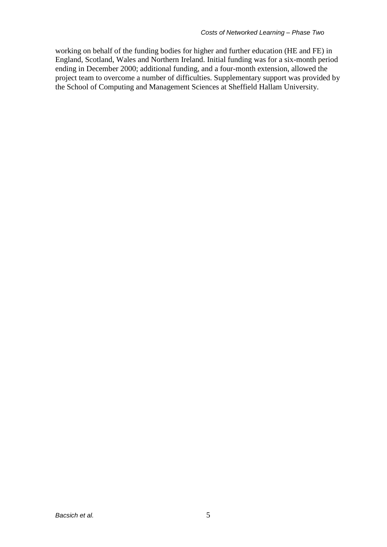working on behalf of the funding bodies for higher and further education (HE and FE) in England, Scotland, Wales and Northern Ireland. Initial funding was for a six-month period ending in December 2000; additional funding, and a four-month extension, allowed the project team to overcome a number of difficulties. Supplementary support was provided by the School of Computing and Management Sciences at Sheffield Hallam University.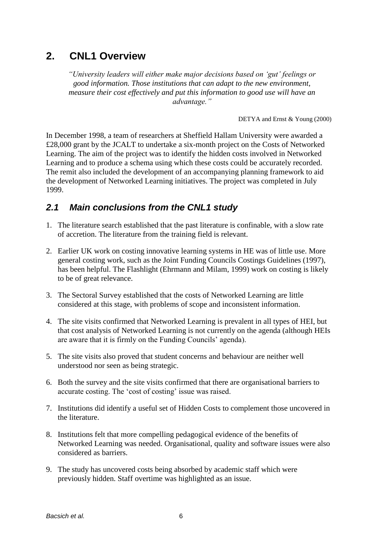# **2. CNL1 Overview**

*"University leaders will either make major decisions based on 'gut' feelings or good information. Those institutions that can adapt to the new environment, measure their cost effectively and put this information to good use will have an advantage."*

DETYA and Ernst & Young (2000)

In December 1998, a team of researchers at Sheffield Hallam University were awarded a £28,000 grant by the JCALT to undertake a six-month project on the Costs of Networked Learning. The aim of the project was to identify the hidden costs involved in Networked Learning and to produce a schema using which these costs could be accurately recorded. The remit also included the development of an accompanying planning framework to aid the development of Networked Learning initiatives. The project was completed in July 1999.

### *2.1 Main conclusions from the CNL1 study*

- 1. The literature search established that the past literature is confinable, with a slow rate of accretion. The literature from the training field is relevant.
- 2. Earlier UK work on costing innovative learning systems in HE was of little use. More general costing work, such as the Joint Funding Councils Costings Guidelines (1997), has been helpful. The Flashlight (Ehrmann and Milam, 1999) work on costing is likely to be of great relevance.
- 3. The Sectoral Survey established that the costs of Networked Learning are little considered at this stage, with problems of scope and inconsistent information.
- 4. The site visits confirmed that Networked Learning is prevalent in all types of HEI, but that cost analysis of Networked Learning is not currently on the agenda (although HEIs are aware that it is firmly on the Funding Councils' agenda).
- 5. The site visits also proved that student concerns and behaviour are neither well understood nor seen as being strategic.
- 6. Both the survey and the site visits confirmed that there are organisational barriers to accurate costing. The 'cost of costing' issue was raised.
- 7. Institutions did identify a useful set of Hidden Costs to complement those uncovered in the literature.
- 8. Institutions felt that more compelling pedagogical evidence of the benefits of Networked Learning was needed. Organisational, quality and software issues were also considered as barriers.
- 9. The study has uncovered costs being absorbed by academic staff which were previously hidden. Staff overtime was highlighted as an issue.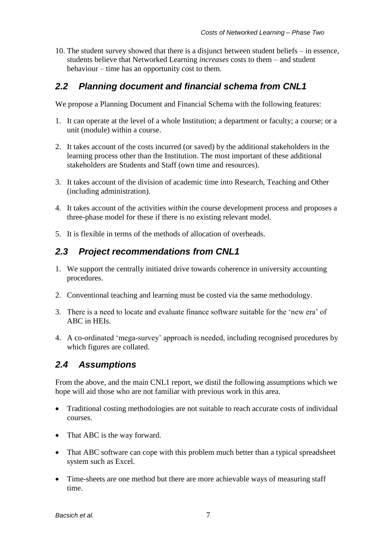10. The student survey showed that there is a disjunct between student beliefs – in essence, students believe that Networked Learning *increases* costs to them – and student behaviour – time has an opportunity cost to them.

### *2.2 Planning document and financial schema from CNL1*

We propose a Planning Document and Financial Schema with the following features:

- 1. It can operate at the level of a whole Institution; a department or faculty; a course; or a unit (module) within a course.
- 2. It takes account of the costs incurred (or saved) by the additional stakeholders in the learning process other than the Institution. The most important of these additional stakeholders are Students and Staff (own time and resources).
- 3. It takes account of the division of academic time into Research, Teaching and Other (including administration).
- 4. It takes account of the activities *within* the course development process and proposes a three-phase model for these if there is no existing relevant model.
- 5. It is flexible in terms of the methods of allocation of overheads.

### *2.3 Project recommendations from CNL1*

- 1. We support the centrally initiated drive towards coherence in university accounting procedures.
- 2. Conventional teaching and learning must be costed via the same methodology.
- 3. There is a need to locate and evaluate finance software suitable for the 'new era' of ABC in HEIs.
- 4. A co-ordinated 'mega-survey' approach is needed, including recognised procedures by which figures are collated.

### *2.4 Assumptions*

From the above, and the main CNL1 report, we distil the following assumptions which we hope will aid those who are not familiar with previous work in this area.

- Traditional costing methodologies are not suitable to reach accurate costs of individual courses.
- That ABC is the way forward.
- That ABC software can cope with this problem much better than a typical spreadsheet system such as Excel.
- Time-sheets are one method but there are more achievable ways of measuring staff time.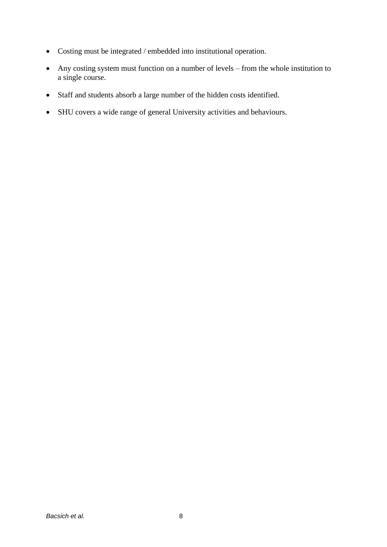- Costing must be integrated / embedded into institutional operation.
- Any costing system must function on a number of levels from the whole institution to a single course.
- Staff and students absorb a large number of the hidden costs identified.
- SHU covers a wide range of general University activities and behaviours.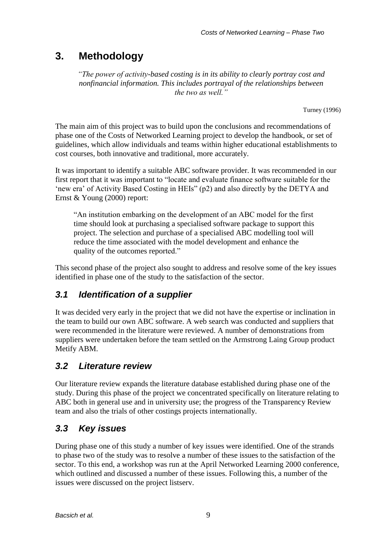# **3. Methodology**

*"The power of activity-based costing is in its ability to clearly portray cost and nonfinancial information. This includes portrayal of the relationships between the two as well."*

Turney (1996)

The main aim of this project was to build upon the conclusions and recommendations of phase one of the Costs of Networked Learning project to develop the handbook, or set of guidelines, which allow individuals and teams within higher educational establishments to cost courses, both innovative and traditional, more accurately.

It was important to identify a suitable ABC software provider. It was recommended in our first report that it was important to "locate and evaluate finance software suitable for the 'new era' of Activity Based Costing in HEIs" (p2) and also directly by the DETYA and Ernst & Young (2000) report:

"An institution embarking on the development of an ABC model for the first time should look at purchasing a specialised software package to support this project. The selection and purchase of a specialised ABC modelling tool will reduce the time associated with the model development and enhance the quality of the outcomes reported."

This second phase of the project also sought to address and resolve some of the key issues identified in phase one of the study to the satisfaction of the sector.

# *3.1 Identification of a supplier*

It was decided very early in the project that we did not have the expertise or inclination in the team to build our own ABC software. A web search was conducted and suppliers that were recommended in the literature were reviewed. A number of demonstrations from suppliers were undertaken before the team settled on the Armstrong Laing Group product Metify ABM.

# *3.2 Literature review*

Our literature review expands the literature database established during phase one of the study. During this phase of the project we concentrated specifically on literature relating to ABC both in general use and in university use; the progress of the Transparency Review team and also the trials of other costings projects internationally.

# *3.3 Key issues*

During phase one of this study a number of key issues were identified. One of the strands to phase two of the study was to resolve a number of these issues to the satisfaction of the sector. To this end, a workshop was run at the April Networked Learning 2000 conference, which outlined and discussed a number of these issues. Following this, a number of the issues were discussed on the project listserv.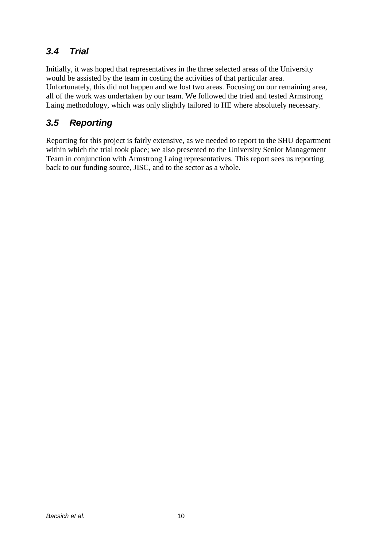# *3.4 Trial*

Initially, it was hoped that representatives in the three selected areas of the University would be assisted by the team in costing the activities of that particular area. Unfortunately, this did not happen and we lost two areas. Focusing on our remaining area, all of the work was undertaken by our team. We followed the tried and tested Armstrong Laing methodology, which was only slightly tailored to HE where absolutely necessary.

# *3.5 Reporting*

Reporting for this project is fairly extensive, as we needed to report to the SHU department within which the trial took place; we also presented to the University Senior Management Team in conjunction with Armstrong Laing representatives. This report sees us reporting back to our funding source, JISC, and to the sector as a whole.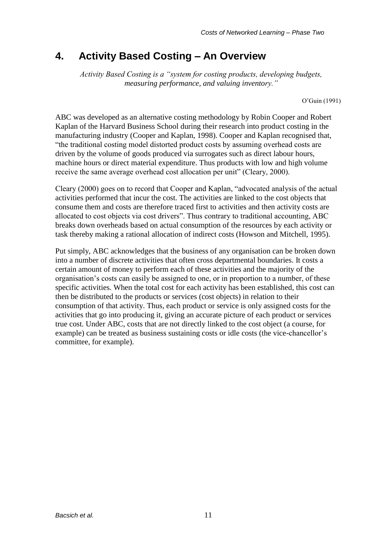# **4. Activity Based Costing – An Overview**

*Activity Based Costing is a "system for costing products, developing budgets, measuring performance, and valuing inventory."*

O'Guin (1991)

ABC was developed as an alternative costing methodology by Robin Cooper and Robert Kaplan of the Harvard Business School during their research into product costing in the manufacturing industry (Cooper and Kaplan, 1998). Cooper and Kaplan recognised that, "the traditional costing model distorted product costs by assuming overhead costs are driven by the volume of goods produced via surrogates such as direct labour hours, machine hours or direct material expenditure. Thus products with low and high volume receive the same average overhead cost allocation per unit" (Cleary, 2000).

Cleary (2000) goes on to record that Cooper and Kaplan, "advocated analysis of the actual activities performed that incur the cost. The activities are linked to the cost objects that consume them and costs are therefore traced first to activities and then activity costs are allocated to cost objects via cost drivers". Thus contrary to traditional accounting, ABC breaks down overheads based on actual consumption of the resources by each activity or task thereby making a rational allocation of indirect costs (Howson and Mitchell, 1995).

Put simply, ABC acknowledges that the business of any organisation can be broken down into a number of discrete activities that often cross departmental boundaries. It costs a certain amount of money to perform each of these activities and the majority of the organisation's costs can easily be assigned to one, or in proportion to a number, of these specific activities. When the total cost for each activity has been established, this cost can then be distributed to the products or services (cost objects) in relation to their consumption of that activity. Thus, each product or service is only assigned costs for the activities that go into producing it, giving an accurate picture of each product or services true cost. Under ABC, costs that are not directly linked to the cost object (a course, for example) can be treated as business sustaining costs or idle costs (the vice-chancellor's committee, for example).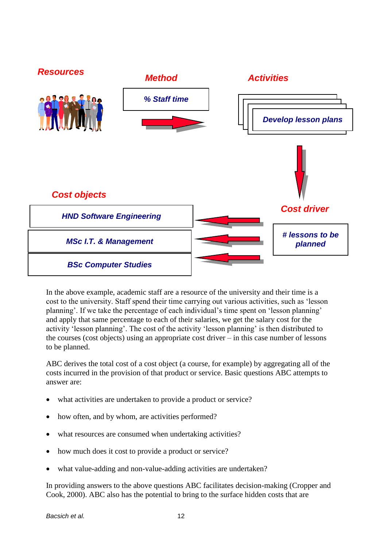

In the above example, academic staff are a resource of the university and their time is a cost to the university. Staff spend their time carrying out various activities, such as 'lesson planning'. If we take the percentage of each individual's time spent on 'lesson planning' and apply that same percentage to each of their salaries, we get the salary cost for the activity 'lesson planning'. The cost of the activity 'lesson planning' is then distributed to the courses (cost objects) using an appropriate cost driver – in this case number of lessons to be planned.

ABC derives the total cost of a cost object (a course, for example) by aggregating all of the costs incurred in the provision of that product or service. Basic questions ABC attempts to answer are:

- what activities are undertaken to provide a product or service?
- how often, and by whom, are activities performed?
- what resources are consumed when undertaking activities?
- how much does it cost to provide a product or service?
- what value-adding and non-value-adding activities are undertaken?

In providing answers to the above questions ABC facilitates decision-making (Cropper and Cook, 2000). ABC also has the potential to bring to the surface hidden costs that are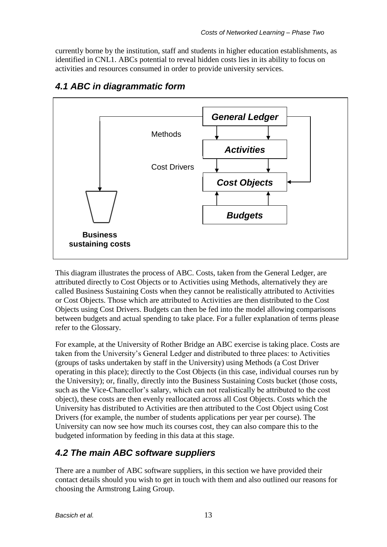currently borne by the institution, staff and students in higher education establishments, as identified in CNL1. ABCs potential to reveal hidden costs lies in its ability to focus on activities and resources consumed in order to provide university services.



# *4.1 ABC in diagrammatic form*

This diagram illustrates the process of ABC. Costs, taken from the General Ledger, are attributed directly to Cost Objects or to Activities using Methods, alternatively they are called Business Sustaining Costs when they cannot be realistically attributed to Activities or Cost Objects. Those which are attributed to Activities are then distributed to the Cost Objects using Cost Drivers. Budgets can then be fed into the model allowing comparisons between budgets and actual spending to take place. For a fuller explanation of terms please refer to the Glossary.

For example, at the University of Rother Bridge an ABC exercise is taking place. Costs are taken from the University's General Ledger and distributed to three places: to Activities (groups of tasks undertaken by staff in the University) using Methods (a Cost Driver operating in this place); directly to the Cost Objects (in this case, individual courses run by the University); or, finally, directly into the Business Sustaining Costs bucket (those costs, such as the Vice-Chancellor's salary, which can not realistically be attributed to the cost object), these costs are then evenly reallocated across all Cost Objects. Costs which the University has distributed to Activities are then attributed to the Cost Object using Cost Drivers (for example, the number of students applications per year per course). The University can now see how much its courses cost, they can also compare this to the budgeted information by feeding in this data at this stage.

# *4.2 The main ABC software suppliers*

There are a number of ABC software suppliers, in this section we have provided their contact details should you wish to get in touch with them and also outlined our reasons for choosing the Armstrong Laing Group.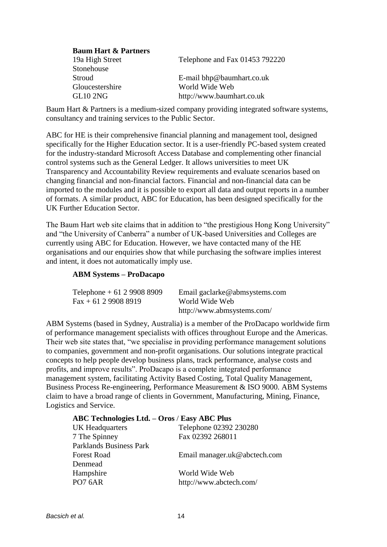| <b>Baum Hart &amp; Partners</b> |                                |
|---------------------------------|--------------------------------|
| 19a High Street                 | Telephone and Fax 01453 792220 |
| Stonehouse                      |                                |
| Stroud                          | E-mail bhp@baumhart.co.uk      |
| Gloucestershire                 | World Wide Web                 |
| $GL10$ $2NG$                    | http://www.baumhart.co.uk      |

Baum Hart & Partners is a medium-sized company providing integrated software systems, consultancy and training services to the Public Sector.

ABC for HE is their comprehensive financial planning and management tool, designed specifically for the Higher Education sector. It is a user-friendly PC-based system created for the industry-standard Microsoft Access Database and complementing other financial control systems such as the General Ledger. It allows universities to meet UK Transparency and Accountability Review requirements and evaluate scenarios based on changing financial and non-financial factors. Financial and non-financial data can be imported to the modules and it is possible to export all data and output reports in a number of formats. A similar product, ABC for Education, has been designed specifically for the UK Further Education Sector.

The Baum Hart web site claims that in addition to "the prestigious Hong Kong University" and "the University of Canberra" a number of UK-based Universities and Colleges are currently using ABC for Education. However, we have contacted many of the HE organisations and our enquiries show that while purchasing the software implies interest and intent, it does not automatically imply use.

#### **ABM Systems – ProDacapo**

| Telephone $+61$ 2 9908 8909 | Email gaclarke@abmsystems.com |
|-----------------------------|-------------------------------|
| $Fax + 61299088919$         | World Wide Web                |
|                             | http://www.abmsystems.com/    |

ABM Systems (based in Sydney, Australia) is a member of the ProDacapo worldwide firm of performance management specialists with offices throughout Europe and the Americas. Their web site states that, "we specialise in providing performance management solutions to companies, government and non-profit organisations. Our solutions integrate practical concepts to help people develop business plans, track performance, analyse costs and profits, and improve results". ProDacapo is a complete integrated performance management system, facilitating Activity Based Costing, Total Quality Management, Business Process Re-engineering, Performance Measurement & ISO 9000. ABM Systems claim to have a broad range of clients in Government, Manufacturing, Mining, Finance, Logistics and Service.

#### **ABC Technologies Ltd. – Oros** / **Easy ABC Plus**

| <b>UK Headquarters</b>  | Telephone 02392 230280       |
|-------------------------|------------------------------|
| 7 The Spinney           | Fax 02392 268011             |
| Parklands Business Park |                              |
| <b>Forest Road</b>      | Email manager.uk@abctech.com |
| Denmead                 |                              |
| Hampshire               | World Wide Web               |
| <b>PO7 6AR</b>          | http://www.abctech.com/      |
|                         |                              |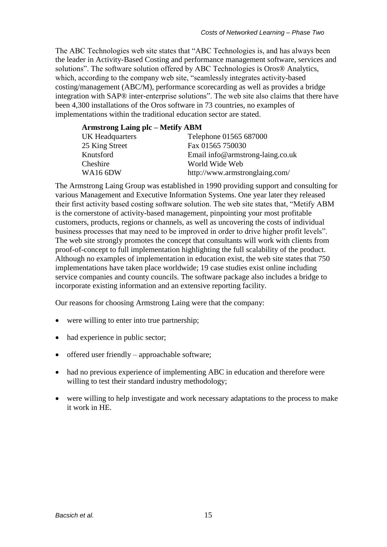The ABC Technologies web site states that "ABC Technologies is, and has always been the leader in Activity-Based Costing and performance management software, services and solutions". The software solution offered by ABC Technologies is Oros® Analytics, which, according to the company web site, "seamlessly integrates activity-based costing/management (ABC/M), performance scorecarding as well as provides a bridge integration with SAP® inter-enterprise solutions". The web site also claims that there have been 4,300 installations of the Oros software in 73 countries, no examples of implementations within the traditional education sector are stated.

#### **Armstrong Laing plc – Metify ABM**

| Email info@armstrong-laing.co.uk |
|----------------------------------|
|                                  |
|                                  |
|                                  |

The Armstrong Laing Group was established in 1990 providing support and consulting for various Management and Executive Information Systems. One year later they released their first activity based costing software solution. The web site states that, "Metify ABM is the cornerstone of activity-based management, pinpointing your most profitable customers, products, regions or channels, as well as uncovering the costs of individual business processes that may need to be improved in order to drive higher profit levels". The web site strongly promotes the concept that consultants will work with clients from proof-of-concept to full implementation highlighting the full scalability of the product. Although no examples of implementation in education exist, the web site states that 750 implementations have taken place worldwide; 19 case studies exist online including service companies and county councils. The software package also includes a bridge to incorporate existing information and an extensive reporting facility.

Our reasons for choosing Armstrong Laing were that the company:

- were willing to enter into true partnership;
- had experience in public sector;
- $\bullet$  offered user friendly approachable software;
- had no previous experience of implementing ABC in education and therefore were willing to test their standard industry methodology;
- were willing to help investigate and work necessary adaptations to the process to make it work in HE.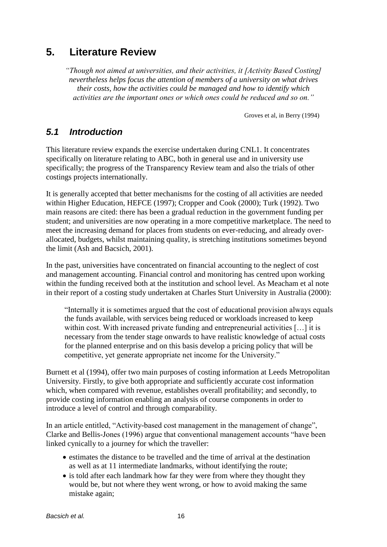# **5. Literature Review**

*"Though not aimed at universities, and their activities, it [Activity Based Costing] nevertheless helps focus the attention of members of a university on what drives their costs, how the activities could be managed and how to identify which activities are the important ones or which ones could be reduced and so on."* 

Groves et al, in Berry (1994)

### *5.1 Introduction*

This literature review expands the exercise undertaken during CNL1. It concentrates specifically on literature relating to ABC, both in general use and in university use specifically; the progress of the Transparency Review team and also the trials of other costings projects internationally.

It is generally accepted that better mechanisms for the costing of all activities are needed within Higher Education, HEFCE (1997); Cropper and Cook (2000); Turk (1992). Two main reasons are cited: there has been a gradual reduction in the government funding per student; and universities are now operating in a more competitive marketplace. The need to meet the increasing demand for places from students on ever-reducing, and already overallocated, budgets, whilst maintaining quality, is stretching institutions sometimes beyond the limit (Ash and Bacsich, 2001).

In the past, universities have concentrated on financial accounting to the neglect of cost and management accounting. Financial control and monitoring has centred upon working within the funding received both at the institution and school level. As Meacham et al note in their report of a costing study undertaken at Charles Sturt University in Australia (2000):

"Internally it is sometimes argued that the cost of educational provision always equals the funds available, with services being reduced or workloads increased to keep within cost. With increased private funding and entrepreneurial activities [...] it is necessary from the tender stage onwards to have realistic knowledge of actual costs for the planned enterprise and on this basis develop a pricing policy that will be competitive, yet generate appropriate net income for the University."

Burnett et al (1994), offer two main purposes of costing information at Leeds Metropolitan University. Firstly, to give both appropriate and sufficiently accurate cost information which, when compared with revenue, establishes overall profitability; and secondly, to provide costing information enabling an analysis of course components in order to introduce a level of control and through comparability.

In an article entitled, "Activity-based cost management in the management of change", Clarke and Bellis-Jones (1996) argue that conventional management accounts "have been linked cynically to a journey for which the traveller:

- estimates the distance to be travelled and the time of arrival at the destination as well as at 11 intermediate landmarks, without identifying the route;
- is told after each landmark how far they were from where they thought they would be, but not where they went wrong, or how to avoid making the same mistake again;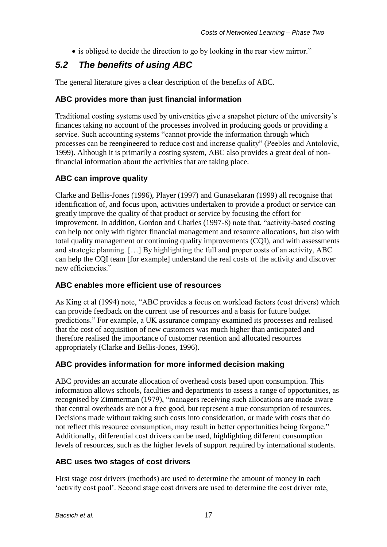• is obliged to decide the direction to go by looking in the rear view mirror."

# *5.2 The benefits of using ABC*

The general literature gives a clear description of the benefits of ABC.

#### **ABC provides more than just financial information**

Traditional costing systems used by universities give a snapshot picture of the university's finances taking no account of the processes involved in producing goods or providing a service. Such accounting systems "cannot provide the information through which processes can be reengineered to reduce cost and increase quality" (Peebles and Antolovic, 1999). Although it is primarily a costing system, ABC also provides a great deal of nonfinancial information about the activities that are taking place.

#### **ABC can improve quality**

Clarke and Bellis-Jones (1996), Player (1997) and Gunasekaran (1999) all recognise that identification of, and focus upon, activities undertaken to provide a product or service can greatly improve the quality of that product or service by focusing the effort for improvement. In addition, Gordon and Charles (1997-8) note that, "activity-based costing can help not only with tighter financial management and resource allocations, but also with total quality management or continuing quality improvements (CQI), and with assessments and strategic planning. […] By highlighting the full and proper costs of an activity, ABC can help the CQI team [for example] understand the real costs of the activity and discover new efficiencies."

#### **ABC enables more efficient use of resources**

As King et al (1994) note, "ABC provides a focus on workload factors (cost drivers) which can provide feedback on the current use of resources and a basis for future budget predictions." For example, a UK assurance company examined its processes and realised that the cost of acquisition of new customers was much higher than anticipated and therefore realised the importance of customer retention and allocated resources appropriately (Clarke and Bellis-Jones, 1996).

#### **ABC provides information for more informed decision making**

ABC provides an accurate allocation of overhead costs based upon consumption. This information allows schools, faculties and departments to assess a range of opportunities, as recognised by Zimmerman (1979), "managers receiving such allocations are made aware that central overheads are not a free good, but represent a true consumption of resources. Decisions made without taking such costs into consideration, or made with costs that do not reflect this resource consumption, may result in better opportunities being forgone." Additionally, differential cost drivers can be used, highlighting different consumption levels of resources, such as the higher levels of support required by international students.

#### **ABC uses two stages of cost drivers**

First stage cost drivers (methods) are used to determine the amount of money in each 'activity cost pool'. Second stage cost drivers are used to determine the cost driver rate,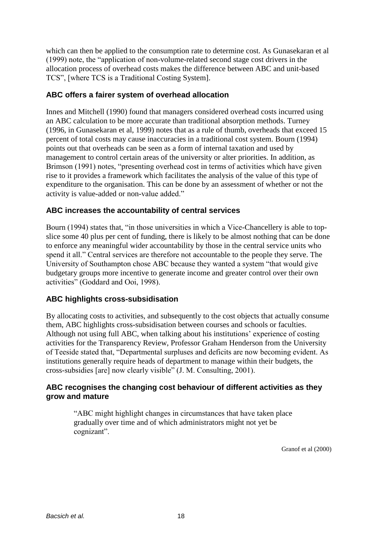which can then be applied to the consumption rate to determine cost. As Gunasekaran et al (1999) note, the "application of non-volume-related second stage cost drivers in the allocation process of overhead costs makes the difference between ABC and unit-based TCS", [where TCS is a Traditional Costing System].

#### **ABC offers a fairer system of overhead allocation**

Innes and Mitchell (1990) found that managers considered overhead costs incurred using an ABC calculation to be more accurate than traditional absorption methods. Turney (1996, in Gunasekaran et al, 1999) notes that as a rule of thumb, overheads that exceed 15 percent of total costs may cause inaccuracies in a traditional cost system. Bourn (1994) points out that overheads can be seen as a form of internal taxation and used by management to control certain areas of the university or alter priorities. In addition, as Brimson (1991) notes, "presenting overhead cost in terms of activities which have given rise to it provides a framework which facilitates the analysis of the value of this type of expenditure to the organisation. This can be done by an assessment of whether or not the activity is value-added or non-value added."

#### **ABC increases the accountability of central services**

Bourn (1994) states that, "in those universities in which a Vice-Chancellery is able to topslice some 40 plus per cent of funding, there is likely to be almost nothing that can be done to enforce any meaningful wider accountability by those in the central service units who spend it all." Central services are therefore not accountable to the people they serve. The University of Southampton chose ABC because they wanted a system "that would give budgetary groups more incentive to generate income and greater control over their own activities" (Goddard and Ooi, 1998).

#### **ABC highlights cross-subsidisation**

By allocating costs to activities, and subsequently to the cost objects that actually consume them, ABC highlights cross-subsidisation between courses and schools or faculties. Although not using full ABC, when talking about his institutions' experience of costing activities for the Transparency Review, Professor Graham Henderson from the University of Teeside stated that, "Departmental surpluses and deficits are now becoming evident. As institutions generally require heads of department to manage within their budgets, the cross-subsidies [are] now clearly visible" (J. M. Consulting, 2001).

#### **ABC recognises the changing cost behaviour of different activities as they grow and mature**

"ABC might highlight changes in circumstances that have taken place gradually over time and of which administrators might not yet be cognizant".

Granof et al (2000)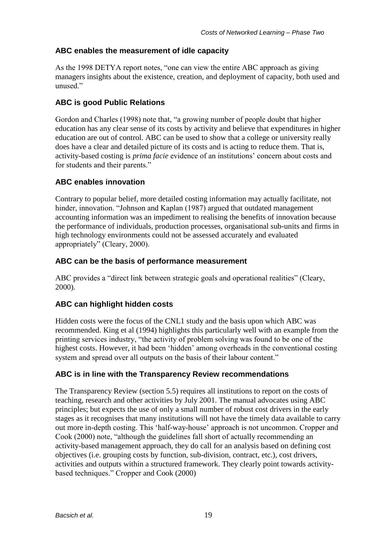#### **ABC enables the measurement of idle capacity**

As the 1998 DETYA report notes, "one can view the entire ABC approach as giving managers insights about the existence, creation, and deployment of capacity, both used and unused."

#### **ABC is good Public Relations**

Gordon and Charles (1998) note that, "a growing number of people doubt that higher education has any clear sense of its costs by activity and believe that expenditures in higher education are out of control. ABC can be used to show that a college or university really does have a clear and detailed picture of its costs and is acting to reduce them. That is, activity-based costing is *prima facie* evidence of an institutions' concern about costs and for students and their parents."

#### **ABC enables innovation**

Contrary to popular belief, more detailed costing information may actually facilitate, not hinder, innovation. "Johnson and Kaplan (1987) argued that outdated management accounting information was an impediment to realising the benefits of innovation because the performance of individuals, production processes, organisational sub-units and firms in high technology environments could not be assessed accurately and evaluated appropriately" (Cleary, 2000).

#### **ABC can be the basis of performance measurement**

ABC provides a "direct link between strategic goals and operational realities" (Cleary, 2000).

#### **ABC can highlight hidden costs**

Hidden costs were the focus of the CNL1 study and the basis upon which ABC was recommended. King et al (1994) highlights this particularly well with an example from the printing services industry, "the activity of problem solving was found to be one of the highest costs. However, it had been 'hidden' among overheads in the conventional costing system and spread over all outputs on the basis of their labour content."

#### **ABC is in line with the Transparency Review recommendations**

The Transparency Review (section 5.5) requires all institutions to report on the costs of teaching, research and other activities by July 2001. The manual advocates using ABC principles; but expects the use of only a small number of robust cost drivers in the early stages as it recognises that many institutions will not have the timely data available to carry out more in-depth costing. This 'half-way-house' approach is not uncommon. Cropper and Cook (2000) note, "although the guidelines fall short of actually recommending an activity-based management approach, they do call for an analysis based on defining cost objectives (i.e. grouping costs by function, sub-division, contract, etc.), cost drivers, activities and outputs within a structured framework. They clearly point towards activitybased techniques." Cropper and Cook (2000)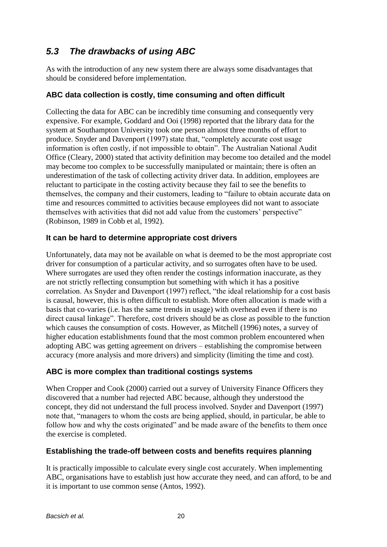# *5.3 The drawbacks of using ABC*

As with the introduction of any new system there are always some disadvantages that should be considered before implementation.

#### **ABC data collection is costly, time consuming and often difficult**

Collecting the data for ABC can be incredibly time consuming and consequently very expensive. For example, Goddard and Ooi (1998) reported that the library data for the system at Southampton University took one person almost three months of effort to produce. Snyder and Davenport (1997) state that, "completely accurate cost usage information is often costly, if not impossible to obtain". The Australian National Audit Office (Cleary, 2000) stated that activity definition may become too detailed and the model may become too complex to be successfully manipulated or maintain; there is often an underestimation of the task of collecting activity driver data. In addition, employees are reluctant to participate in the costing activity because they fail to see the benefits to themselves, the company and their customers, leading to "failure to obtain accurate data on time and resources committed to activities because employees did not want to associate themselves with activities that did not add value from the customers' perspective" (Robinson, 1989 in Cobb et al, 1992).

#### **It can be hard to determine appropriate cost drivers**

Unfortunately, data may not be available on what is deemed to be the most appropriate cost driver for consumption of a particular activity, and so surrogates often have to be used. Where surrogates are used they often render the costings information inaccurate, as they are not strictly reflecting consumption but something with which it has a positive correlation. As Snyder and Davenport (1997) reflect, "the ideal relationship for a cost basis is causal, however, this is often difficult to establish. More often allocation is made with a basis that co-varies (i.e. has the same trends in usage) with overhead even if there is no direct causal linkage". Therefore, cost drivers should be as close as possible to the function which causes the consumption of costs. However, as Mitchell (1996) notes, a survey of higher education establishments found that the most common problem encountered when adopting ABC was getting agreement on drivers – establishing the compromise between accuracy (more analysis and more drivers) and simplicity (limiting the time and cost).

#### **ABC is more complex than traditional costings systems**

When Cropper and Cook (2000) carried out a survey of University Finance Officers they discovered that a number had rejected ABC because, although they understood the concept, they did not understand the full process involved. Snyder and Davenport (1997) note that, "managers to whom the costs are being applied, should, in particular, be able to follow how and why the costs originated" and be made aware of the benefits to them once the exercise is completed.

#### **Establishing the trade-off between costs and benefits requires planning**

It is practically impossible to calculate every single cost accurately. When implementing ABC, organisations have to establish just how accurate they need, and can afford, to be and it is important to use common sense (Antos, 1992).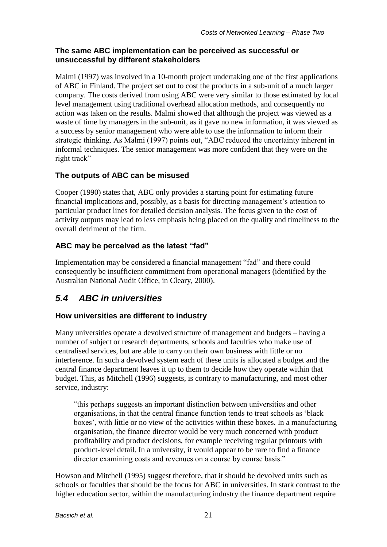#### **The same ABC implementation can be perceived as successful or unsuccessful by different stakeholders**

Malmi (1997) was involved in a 10-month project undertaking one of the first applications of ABC in Finland. The project set out to cost the products in a sub-unit of a much larger company. The costs derived from using ABC were very similar to those estimated by local level management using traditional overhead allocation methods, and consequently no action was taken on the results. Malmi showed that although the project was viewed as a waste of time by managers in the sub-unit, as it gave no new information, it was viewed as a success by senior management who were able to use the information to inform their strategic thinking. As Malmi (1997) points out, "ABC reduced the uncertainty inherent in informal techniques. The senior management was more confident that they were on the right track"

#### **The outputs of ABC can be misused**

Cooper (1990) states that, ABC only provides a starting point for estimating future financial implications and, possibly, as a basis for directing management's attention to particular product lines for detailed decision analysis. The focus given to the cost of activity outputs may lead to less emphasis being placed on the quality and timeliness to the overall detriment of the firm.

#### **ABC may be perceived as the latest "fad"**

Implementation may be considered a financial management "fad" and there could consequently be insufficient commitment from operational managers (identified by the Australian National Audit Office, in Cleary, 2000).

### *5.4 ABC in universities*

#### **How universities are different to industry**

Many universities operate a devolved structure of management and budgets – having a number of subject or research departments, schools and faculties who make use of centralised services, but are able to carry on their own business with little or no interference. In such a devolved system each of these units is allocated a budget and the central finance department leaves it up to them to decide how they operate within that budget. This, as Mitchell (1996) suggests, is contrary to manufacturing, and most other service, industry:

"this perhaps suggests an important distinction between universities and other organisations, in that the central finance function tends to treat schools as 'black boxes', with little or no view of the activities within these boxes. In a manufacturing organisation, the finance director would be very much concerned with product profitability and product decisions, for example receiving regular printouts with product-level detail. In a university, it would appear to be rare to find a finance director examining costs and revenues on a course by course basis."

Howson and Mitchell (1995) suggest therefore, that it should be devolved units such as schools or faculties that should be the focus for ABC in universities. In stark contrast to the higher education sector, within the manufacturing industry the finance department require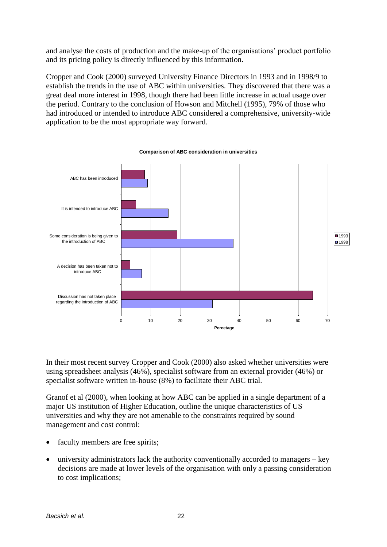and analyse the costs of production and the make-up of the organisations' product portfolio and its pricing policy is directly influenced by this information.

Cropper and Cook (2000) surveyed University Finance Directors in 1993 and in 1998/9 to establish the trends in the use of ABC within universities. They discovered that there was a great deal more interest in 1998, though there had been little increase in actual usage over the period. Contrary to the conclusion of Howson and Mitchell (1995), 79% of those who had introduced or intended to introduce ABC considered a comprehensive, university-wide application to be the most appropriate way forward.



**Comparison of ABC consideration in universities**

In their most recent survey Cropper and Cook (2000) also asked whether universities were using spreadsheet analysis (46%), specialist software from an external provider (46%) or specialist software written in-house (8%) to facilitate their ABC trial.

Granof et al (2000), when looking at how ABC can be applied in a single department of a major US institution of Higher Education, outline the unique characteristics of US universities and why they are not amenable to the constraints required by sound management and cost control:

- faculty members are free spirits;
- university administrators lack the authority conventionally accorded to managers key decisions are made at lower levels of the organisation with only a passing consideration to cost implications;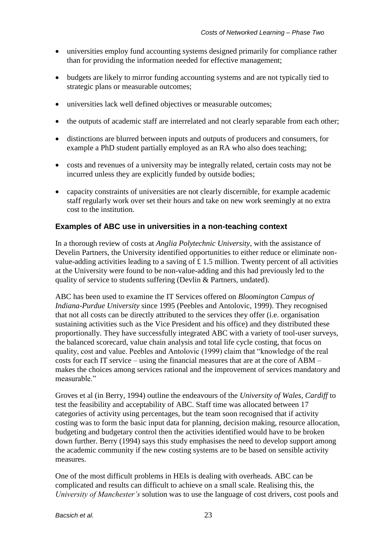- universities employ fund accounting systems designed primarily for compliance rather than for providing the information needed for effective management;
- budgets are likely to mirror funding accounting systems and are not typically tied to strategic plans or measurable outcomes;
- universities lack well defined objectives or measurable outcomes;
- the outputs of academic staff are interrelated and not clearly separable from each other;
- distinctions are blurred between inputs and outputs of producers and consumers, for example a PhD student partially employed as an RA who also does teaching;
- costs and revenues of a university may be integrally related, certain costs may not be incurred unless they are explicitly funded by outside bodies;
- capacity constraints of universities are not clearly discernible, for example academic staff regularly work over set their hours and take on new work seemingly at no extra cost to the institution.

#### **Examples of ABC use in universities in a non-teaching context**

In a thorough review of costs at *Anglia Polytechnic University*, with the assistance of Develin Partners, the University identified opportunities to either reduce or eliminate nonvalue-adding activities leading to a saving of  $\pounds$  1.5 million. Twenty percent of all activities at the University were found to be non-value-adding and this had previously led to the quality of service to students suffering (Devlin & Partners, undated).

ABC has been used to examine the IT Services offered on *Bloomington Campus of Indiana-Purdue University* since 1995 (Peebles and Antolovic, 1999). They recognised that not all costs can be directly attributed to the services they offer (i.e. organisation sustaining activities such as the Vice President and his office) and they distributed these proportionally. They have successfully integrated ABC with a variety of tool-user surveys, the balanced scorecard, value chain analysis and total life cycle costing, that focus on quality, cost and value. Peebles and Antolovic (1999) claim that "knowledge of the real costs for each IT service – using the financial measures that are at the core of ABM – makes the choices among services rational and the improvement of services mandatory and measurable."

Groves et al (in Berry, 1994) outline the endeavours of the *University of Wales, Cardiff* to test the feasibility and acceptability of ABC. Staff time was allocated between 17 categories of activity using percentages, but the team soon recognised that if activity costing was to form the basic input data for planning, decision making, resource allocation, budgeting and budgetary control then the activities identified would have to be broken down further. Berry (1994) says this study emphasises the need to develop support among the academic community if the new costing systems are to be based on sensible activity measures.

One of the most difficult problems in HEIs is dealing with overheads. ABC can be complicated and results can difficult to achieve on a small scale. Realising this, the *University of Manchester's* solution was to use the language of cost drivers, cost pools and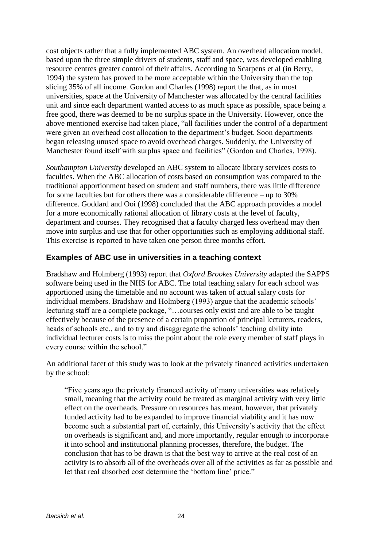cost objects rather that a fully implemented ABC system. An overhead allocation model, based upon the three simple drivers of students, staff and space, was developed enabling resource centres greater control of their affairs. According to Scarpens et al (in Berry, 1994) the system has proved to be more acceptable within the University than the top slicing 35% of all income. Gordon and Charles (1998) report the that, as in most universities, space at the University of Manchester was allocated by the central facilities unit and since each department wanted access to as much space as possible, space being a free good, there was deemed to be no surplus space in the University. However, once the above mentioned exercise had taken place, "all facilities under the control of a department were given an overhead cost allocation to the department's budget. Soon departments began releasing unused space to avoid overhead charges. Suddenly, the University of Manchester found itself with surplus space and facilities" (Gordon and Charles, 1998).

*Southampton University* developed an ABC system to allocate library services costs to faculties. When the ABC allocation of costs based on consumption was compared to the traditional apportionment based on student and staff numbers, there was little difference for some faculties but for others there was a considerable difference – up to 30% difference. Goddard and Ooi (1998) concluded that the ABC approach provides a model for a more economically rational allocation of library costs at the level of faculty, department and courses. They recognised that a faculty charged less overhead may then move into surplus and use that for other opportunities such as employing additional staff. This exercise is reported to have taken one person three months effort.

#### **Examples of ABC use in universities in a teaching context**

Bradshaw and Holmberg (1993) report that *Oxford Brookes University* adapted the SAPPS software being used in the NHS for ABC. The total teaching salary for each school was apportioned using the timetable and no account was taken of actual salary costs for individual members. Bradshaw and Holmberg (1993) argue that the academic schools' lecturing staff are a complete package, "…courses only exist and are able to be taught effectively because of the presence of a certain proportion of principal lecturers, readers, heads of schools etc., and to try and disaggregate the schools' teaching ability into individual lecturer costs is to miss the point about the role every member of staff plays in every course within the school."

An additional facet of this study was to look at the privately financed activities undertaken by the school:

"Five years ago the privately financed activity of many universities was relatively small, meaning that the activity could be treated as marginal activity with very little effect on the overheads. Pressure on resources has meant, however, that privately funded activity had to be expanded to improve financial viability and it has now become such a substantial part of, certainly, this University's activity that the effect on overheads is significant and, and more importantly, regular enough to incorporate it into school and institutional planning processes, therefore, the budget. The conclusion that has to be drawn is that the best way to arrive at the real cost of an activity is to absorb all of the overheads over all of the activities as far as possible and let that real absorbed cost determine the 'bottom line' price."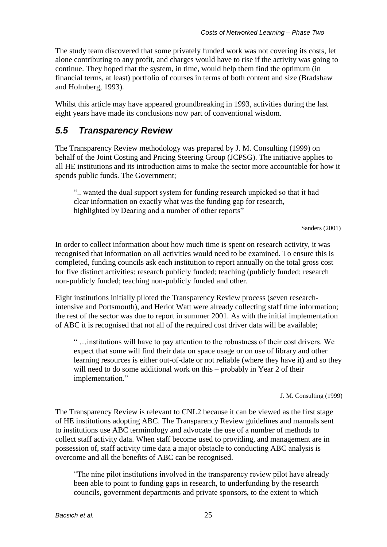The study team discovered that some privately funded work was not covering its costs, let alone contributing to any profit, and charges would have to rise if the activity was going to continue. They hoped that the system, in time, would help them find the optimum (in financial terms, at least) portfolio of courses in terms of both content and size (Bradshaw and Holmberg, 1993).

Whilst this article may have appeared groundbreaking in 1993, activities during the last eight years have made its conclusions now part of conventional wisdom.

### *5.5 Transparency Review*

The Transparency Review methodology was prepared by J. M. Consulting (1999) on behalf of the Joint Costing and Pricing Steering Group (JCPSG). The initiative applies to all HE institutions and its introduction aims to make the sector more accountable for how it spends public funds. The Government;

".. wanted the dual support system for funding research unpicked so that it had clear information on exactly what was the funding gap for research, highlighted by Dearing and a number of other reports"

Sanders (2001)

In order to collect information about how much time is spent on research activity, it was recognised that information on all activities would need to be examined. To ensure this is completed, funding councils ask each institution to report annually on the total gross cost for five distinct activities: research publicly funded; teaching (publicly funded; research non-publicly funded; teaching non-publicly funded and other.

Eight institutions initially piloted the Transparency Review process (seven researchintensive and Portsmouth), and Heriot Watt were already collecting staff time information; the rest of the sector was due to report in summer 2001. As with the initial implementation of ABC it is recognised that not all of the required cost driver data will be available;

" …institutions will have to pay attention to the robustness of their cost drivers. We expect that some will find their data on space usage or on use of library and other learning resources is either out-of-date or not reliable (where they have it) and so they will need to do some additional work on this – probably in Year 2 of their implementation."

J. M. Consulting (1999)

The Transparency Review is relevant to CNL2 because it can be viewed as the first stage of HE institutions adopting ABC. The Transparency Review guidelines and manuals sent to institutions use ABC terminology and advocate the use of a number of methods to collect staff activity data. When staff become used to providing, and management are in possession of, staff activity time data a major obstacle to conducting ABC analysis is overcome and all the benefits of ABC can be recognised.

"The nine pilot institutions involved in the transparency review pilot have already been able to point to funding gaps in research, to underfunding by the research councils, government departments and private sponsors, to the extent to which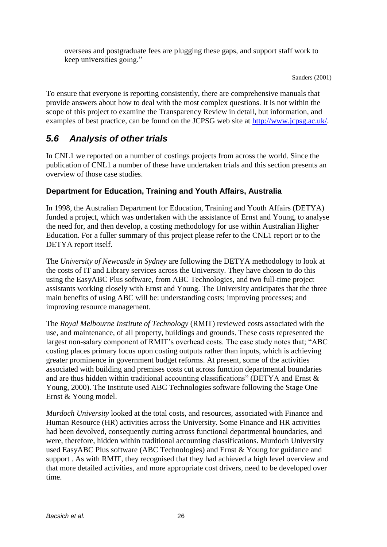overseas and postgraduate fees are plugging these gaps, and support staff work to keep universities going."

Sanders (2001)

To ensure that everyone is reporting consistently, there are comprehensive manuals that provide answers about how to deal with the most complex questions. It is not within the scope of this project to examine the Transparency Review in detail, but information, and examples of best practice, can be found on the JCPSG web site at [http://www.jcpsg.ac.uk/.](http://www.jcpsg.ac.uk/)

### *5.6 Analysis of other trials*

In CNL1 we reported on a number of costings projects from across the world. Since the publication of CNL1 a number of these have undertaken trials and this section presents an overview of those case studies.

#### **Department for Education, Training and Youth Affairs, Australia**

In 1998, the Australian Department for Education, Training and Youth Affairs (DETYA) funded a project, which was undertaken with the assistance of Ernst and Young, to analyse the need for, and then develop, a costing methodology for use within Australian Higher Education. For a fuller summary of this project please refer to the CNL1 report or to the DETYA report itself.

The *University of Newcastle in Sydney* are following the DETYA methodology to look at the costs of IT and Library services across the University. They have chosen to do this using the EasyABC Plus software, from ABC Technologies, and two full-time project assistants working closely with Ernst and Young. The University anticipates that the three main benefits of using ABC will be: understanding costs; improving processes; and improving resource management.

The *Royal Melbourne Institute of Technology* (RMIT) reviewed costs associated with the use, and maintenance, of all property, buildings and grounds. These costs represented the largest non-salary component of RMIT's overhead costs. The case study notes that; "ABC costing places primary focus upon costing outputs rather than inputs, which is achieving greater prominence in government budget reforms. At present, some of the activities associated with building and premises costs cut across function departmental boundaries and are thus hidden within traditional accounting classifications" (DETYA and Ernst & Young, 2000). The Institute used ABC Technologies software following the Stage One Ernst & Young model.

*Murdoch University* looked at the total costs, and resources, associated with Finance and Human Resource (HR) activities across the University. Some Finance and HR activities had been devolved, consequently cutting across functional departmental boundaries, and were, therefore, hidden within traditional accounting classifications. Murdoch University used EasyABC Plus software (ABC Technologies) and Ernst & Young for guidance and support . As with RMIT, they recognised that they had achieved a high level overview and that more detailed activities, and more appropriate cost drivers, need to be developed over time.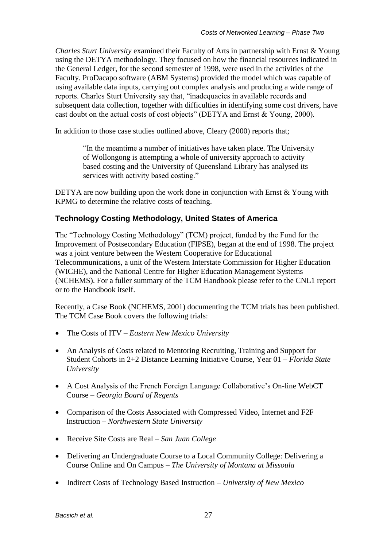*Charles Sturt University* examined their Faculty of Arts in partnership with Ernst & Young using the DETYA methodology. They focused on how the financial resources indicated in the General Ledger, for the second semester of 1998, were used in the activities of the Faculty. ProDacapo software (ABM Systems) provided the model which was capable of using available data inputs, carrying out complex analysis and producing a wide range of reports. Charles Sturt University say that, "inadequacies in available records and subsequent data collection, together with difficulties in identifying some cost drivers, have cast doubt on the actual costs of cost objects" (DETYA and Ernst & Young, 2000).

In addition to those case studies outlined above, Cleary (2000) reports that;

"In the meantime a number of initiatives have taken place. The University of Wollongong is attempting a whole of university approach to activity based costing and the University of Queensland Library has analysed its services with activity based costing."

DETYA are now building upon the work done in conjunction with Ernst & Young with KPMG to determine the relative costs of teaching.

#### **Technology Costing Methodology, United States of America**

The "Technology Costing Methodology" (TCM) project, funded by the Fund for the Improvement of Postsecondary Education (FIPSE), began at the end of 1998. The project was a joint venture between the Western Cooperative for Educational Telecommunications, a unit of the Western Interstate Commission for Higher Education (WICHE), and the National Centre for Higher Education Management Systems (NCHEMS). For a fuller summary of the TCM Handbook please refer to the CNL1 report or to the Handbook itself.

Recently, a Case Book (NCHEMS, 2001) documenting the TCM trials has been published. The TCM Case Book covers the following trials:

- The Costs of ITV *Eastern New Mexico University*
- An Analysis of Costs related to Mentoring Recruiting, Training and Support for Student Cohorts in 2+2 Distance Learning Initiative Course, Year 01 – *Florida State University*
- A Cost Analysis of the French Foreign Language Collaborative's On-line WebCT Course – *Georgia Board of Regents*
- Comparison of the Costs Associated with Compressed Video, Internet and F2F Instruction – *Northwestern State University*
- Receive Site Costs are Real *San Juan College*
- Delivering an Undergraduate Course to a Local Community College: Delivering a Course Online and On Campus – *The University of Montana at Missoula*
- Indirect Costs of Technology Based Instruction *University of New Mexico*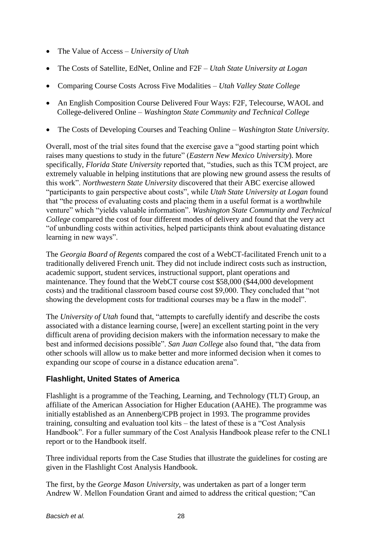- The Value of Access *University of Utah*
- The Costs of Satellite, EdNet, Online and F2F *Utah State University at Logan*
- Comparing Course Costs Across Five Modalities *Utah Valley State College*
- An English Composition Course Delivered Four Ways: F2F, Telecourse, WAOL and College-delivered Online – *Washington State Community and Technical College*
- The Costs of Developing Courses and Teaching Online *Washington State University.*

Overall, most of the trial sites found that the exercise gave a "good starting point which raises many questions to study in the future" (*Eastern New Mexico University*). More specifically, *Florida State University* reported that, "studies, such as this TCM project, are extremely valuable in helping institutions that are plowing new ground assess the results of this work". *Northwestern State University* discovered that their ABC exercise allowed "participants to gain perspective about costs", while *Utah State University at Logan* found that "the process of evaluating costs and placing them in a useful format is a worthwhile venture" which "yields valuable information". *Washington State Community and Technical College* compared the cost of four different modes of delivery and found that the very act "of unbundling costs within activities, helped participants think about evaluating distance learning in new ways".

The *Georgia Board of Regents* compared the cost of a WebCT-facilitated French unit to a traditionally delivered French unit. They did not include indirect costs such as instruction, academic support, student services, instructional support, plant operations and maintenance. They found that the WebCT course cost \$58,000 (\$44,000 development costs) and the traditional classroom based course cost \$9,000. They concluded that "not showing the development costs for traditional courses may be a flaw in the model".

The *University of Utah* found that, "attempts to carefully identify and describe the costs associated with a distance learning course, [were] an excellent starting point in the very difficult arena of providing decision makers with the information necessary to make the best and informed decisions possible". *San Juan College* also found that, "the data from other schools will allow us to make better and more informed decision when it comes to expanding our scope of course in a distance education arena".

#### **Flashlight, United States of America**

Flashlight is a programme of the Teaching, Learning, and Technology (TLT) Group, an affiliate of the American Association for Higher Education (AAHE). The programme was initially established as an Annenberg/CPB project in 1993. The programme provides training, consulting and evaluation tool kits – the latest of these is a "Cost Analysis Handbook". For a fuller summary of the Cost Analysis Handbook please refer to the CNL1 report or to the Handbook itself.

Three individual reports from the Case Studies that illustrate the guidelines for costing are given in the Flashlight Cost Analysis Handbook.

The first, by the *George Mason University,* was undertaken as part of a longer term Andrew W. Mellon Foundation Grant and aimed to address the critical question; "Can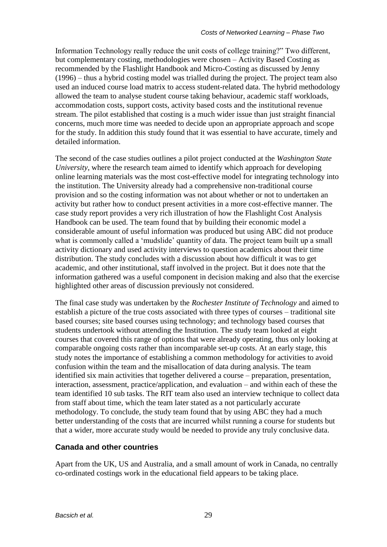Information Technology really reduce the unit costs of college training?" Two different, but complementary costing, methodologies were chosen – Activity Based Costing as recommended by the Flashlight Handbook and Micro-Costing as discussed by Jenny (1996) – thus a hybrid costing model was trialled during the project. The project team also used an induced course load matrix to access student-related data. The hybrid methodology allowed the team to analyse student course taking behaviour, academic staff workloads, accommodation costs, support costs, activity based costs and the institutional revenue stream. The pilot established that costing is a much wider issue than just straight financial concerns, much more time was needed to decide upon an appropriate approach and scope for the study. In addition this study found that it was essential to have accurate, timely and detailed information.

The second of the case studies outlines a pilot project conducted at the *Washington State University*, where the research team aimed to identify which approach for developing online learning materials was the most cost-effective model for integrating technology into the institution. The University already had a comprehensive non-traditional course provision and so the costing information was not about whether or not to undertaken an activity but rather how to conduct present activities in a more cost-effective manner. The case study report provides a very rich illustration of how the Flashlight Cost Analysis Handbook can be used. The team found that by building their economic model a considerable amount of useful information was produced but using ABC did not produce what is commonly called a 'mudslide' quantity of data. The project team built up a small activity dictionary and used activity interviews to question academics about their time distribution. The study concludes with a discussion about how difficult it was to get academic, and other institutional, staff involved in the project. But it does note that the information gathered was a useful component in decision making and also that the exercise highlighted other areas of discussion previously not considered.

The final case study was undertaken by the *Rochester Institute of Technology* and aimed to establish a picture of the true costs associated with three types of courses – traditional site based courses; site based courses using technology; and technology based courses that students undertook without attending the Institution. The study team looked at eight courses that covered this range of options that were already operating, thus only looking at comparable ongoing costs rather than incomparable set-up costs. At an early stage, this study notes the importance of establishing a common methodology for activities to avoid confusion within the team and the misallocation of data during analysis. The team identified six main activities that together delivered a course – preparation, presentation, interaction, assessment, practice/application, and evaluation – and within each of these the team identified 10 sub tasks. The RIT team also used an interview technique to collect data from staff about time, which the team later stated as a not particularly accurate methodology. To conclude, the study team found that by using ABC they had a much better understanding of the costs that are incurred whilst running a course for students but that a wider, more accurate study would be needed to provide any truly conclusive data.

#### **Canada and other countries**

Apart from the UK, US and Australia, and a small amount of work in Canada, no centrally co-ordinated costings work in the educational field appears to be taking place.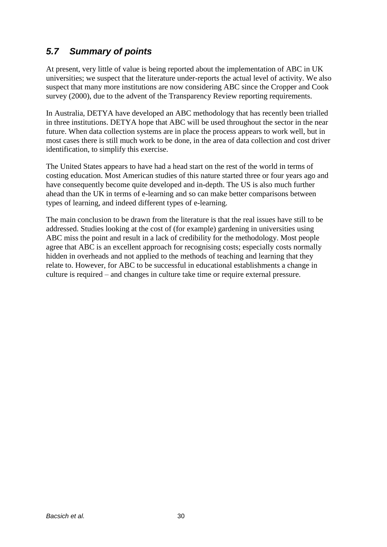## *5.7 Summary of points*

At present, very little of value is being reported about the implementation of ABC in UK universities; we suspect that the literature under-reports the actual level of activity. We also suspect that many more institutions are now considering ABC since the Cropper and Cook survey (2000), due to the advent of the Transparency Review reporting requirements.

In Australia, DETYA have developed an ABC methodology that has recently been trialled in three institutions. DETYA hope that ABC will be used throughout the sector in the near future. When data collection systems are in place the process appears to work well, but in most cases there is still much work to be done, in the area of data collection and cost driver identification, to simplify this exercise.

The United States appears to have had a head start on the rest of the world in terms of costing education. Most American studies of this nature started three or four years ago and have consequently become quite developed and in-depth. The US is also much further ahead than the UK in terms of e-learning and so can make better comparisons between types of learning, and indeed different types of e-learning.

The main conclusion to be drawn from the literature is that the real issues have still to be addressed. Studies looking at the cost of (for example) gardening in universities using ABC miss the point and result in a lack of credibility for the methodology. Most people agree that ABC is an excellent approach for recognising costs; especially costs normally hidden in overheads and not applied to the methods of teaching and learning that they relate to. However, for ABC to be successful in educational establishments a change in culture is required – and changes in culture take time or require external pressure.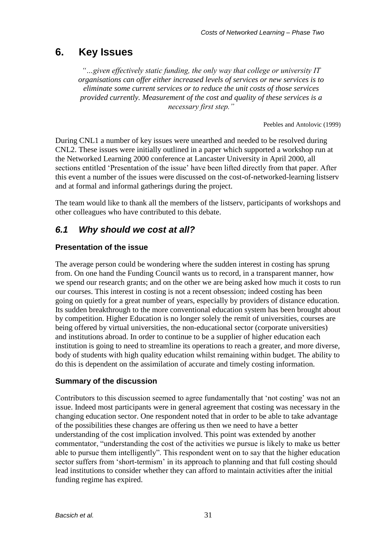## **6. Key Issues**

*"…given effectively static funding, the only way that college or university IT organisations can offer either increased levels of services or new services is to eliminate some current services or to reduce the unit costs of those services provided currently. Measurement of the cost and quality of these services is a necessary first step."*

Peebles and Antolovic (1999)

During CNL1 a number of key issues were unearthed and needed to be resolved during CNL2. These issues were initially outlined in a paper which supported a workshop run at the Networked Learning 2000 conference at Lancaster University in April 2000, all sections entitled 'Presentation of the issue' have been lifted directly from that paper. After this event a number of the issues were discussed on the cost-of-networked-learning listserv and at formal and informal gatherings during the project.

The team would like to thank all the members of the listserv, participants of workshops and other colleagues who have contributed to this debate.

### *6.1 Why should we cost at all?*

#### **Presentation of the issue**

The average person could be wondering where the sudden interest in costing has sprung from. On one hand the Funding Council wants us to record, in a transparent manner, how we spend our research grants; and on the other we are being asked how much it costs to run our courses. This interest in costing is not a recent obsession; indeed costing has been going on quietly for a great number of years, especially by providers of distance education. Its sudden breakthrough to the more conventional education system has been brought about by competition. Higher Education is no longer solely the remit of universities, courses are being offered by virtual universities, the non-educational sector (corporate universities) and institutions abroad. In order to continue to be a supplier of higher education each institution is going to need to streamline its operations to reach a greater, and more diverse, body of students with high quality education whilst remaining within budget. The ability to do this is dependent on the assimilation of accurate and timely costing information.

#### **Summary of the discussion**

Contributors to this discussion seemed to agree fundamentally that 'not costing' was not an issue. Indeed most participants were in general agreement that costing was necessary in the changing education sector. One respondent noted that in order to be able to take advantage of the possibilities these changes are offering us then we need to have a better understanding of the cost implication involved. This point was extended by another commentator, "understanding the cost of the activities we pursue is likely to make us better able to pursue them intelligently". This respondent went on to say that the higher education sector suffers from 'short-termism' in its approach to planning and that full costing should lead institutions to consider whether they can afford to maintain activities after the initial funding regime has expired.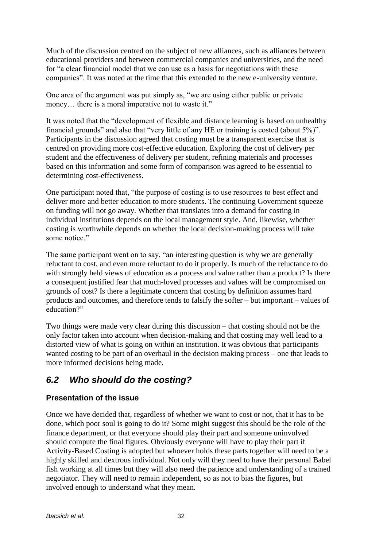Much of the discussion centred on the subject of new alliances, such as alliances between educational providers and between commercial companies and universities, and the need for "a clear financial model that we can use as a basis for negotiations with these companies". It was noted at the time that this extended to the new e-university venture.

One area of the argument was put simply as, "we are using either public or private money... there is a moral imperative not to waste it."

It was noted that the "development of flexible and distance learning is based on unhealthy financial grounds" and also that "very little of any HE or training is costed (about 5%)". Participants in the discussion agreed that costing must be a transparent exercise that is centred on providing more cost-effective education. Exploring the cost of delivery per student and the effectiveness of delivery per student, refining materials and processes based on this information and some form of comparison was agreed to be essential to determining cost-effectiveness.

One participant noted that, "the purpose of costing is to use resources to best effect and deliver more and better education to more students. The continuing Government squeeze on funding will not go away. Whether that translates into a demand for costing in individual institutions depends on the local management style. And, likewise, whether costing is worthwhile depends on whether the local decision-making process will take some notice."

The same participant went on to say, "an interesting question is why we are generally reluctant to cost, and even more reluctant to do it properly. Is much of the reluctance to do with strongly held views of education as a process and value rather than a product? Is there a consequent justified fear that much-loved processes and values will be compromised on grounds of cost? Is there a legitimate concern that costing by definition assumes hard products and outcomes, and therefore tends to falsify the softer – but important – values of education?"

Two things were made very clear during this discussion – that costing should not be the only factor taken into account when decision-making and that costing may well lead to a distorted view of what is going on within an institution. It was obvious that participants wanted costing to be part of an overhaul in the decision making process – one that leads to more informed decisions being made.

## *6.2 Who should do the costing?*

#### **Presentation of the issue**

Once we have decided that, regardless of whether we want to cost or not, that it has to be done, which poor soul is going to do it? Some might suggest this should be the role of the finance department, or that everyone should play their part and someone uninvolved should compute the final figures. Obviously everyone will have to play their part if Activity-Based Costing is adopted but whoever holds these parts together will need to be a highly skilled and dextrous individual. Not only will they need to have their personal Babel fish working at all times but they will also need the patience and understanding of a trained negotiator. They will need to remain independent, so as not to bias the figures, but involved enough to understand what they mean.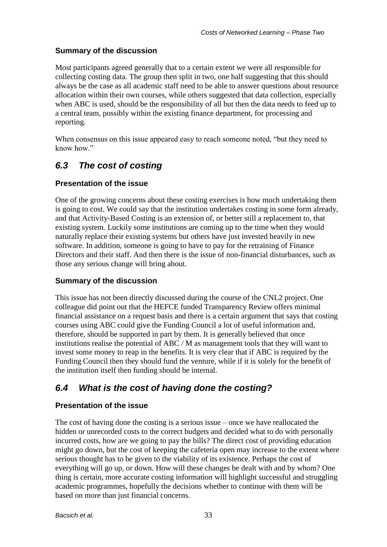#### **Summary of the discussion**

Most participants agreed generally that to a certain extent we were all responsible for collecting costing data. The group then split in two, one half suggesting that this should always be the case as all academic staff need to be able to answer questions about resource allocation within their own courses, while others suggested that data collection, especially when ABC is used, should be the responsibility of all but then the data needs to feed up to a central team, possibly within the existing finance department, for processing and reporting.

When consensus on this issue appeared easy to reach someone noted, "but they need to know how"

## *6.3 The cost of costing*

#### **Presentation of the issue**

One of the growing concerns about these costing exercises is how much undertaking them is going to cost. We could say that the institution undertakes costing in some form already, and that Activity-Based Costing is an extension of, or better still a replacement to, that existing system. Luckily some institutions are coming up to the time when they would naturally replace their existing systems but others have just invested heavily in new software. In addition, someone is going to have to pay for the retraining of Finance Directors and their staff. And then there is the issue of non-financial disturbances, such as those any serious change will bring about.

#### **Summary of the discussion**

This issue has not been directly discussed during the course of the CNL2 project. One colleague did point out that the HEFCE funded Transparency Review offers minimal financial assistance on a request basis and there is a certain argument that says that costing courses using ABC could give the Funding Council a lot of useful information and, therefore, should be supported in part by them. It is generally believed that once institutions realise the potential of ABC / M as management tools that they will want to invest some money to reap in the benefits. It is very clear that if ABC is required by the Funding Council then they should fund the venture, while if it is solely for the benefit of the institution itself then funding should be internal.

### *6.4 What is the cost of having done the costing?*

#### **Presentation of the issue**

The cost of having done the costing is a serious issue – once we have reallocated the hidden or unrecorded costs to the correct budgets and decided what to do with personally incurred costs, how are we going to pay the bills? The direct cost of providing education might go down, but the cost of keeping the cafeteria open may increase to the extent where serious thought has to be given to the viability of its existence. Perhaps the cost of everything will go up, or down. How will these changes be dealt with and by whom? One thing is certain, more accurate costing information will highlight successful and struggling academic programmes, hopefully the decisions whether to continue with them will be based on more than just financial concerns.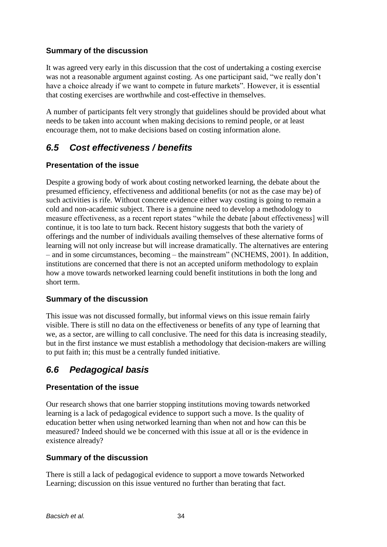#### **Summary of the discussion**

It was agreed very early in this discussion that the cost of undertaking a costing exercise was not a reasonable argument against costing. As one participant said, "we really don't have a choice already if we want to compete in future markets". However, it is essential that costing exercises are worthwhile and cost-effective in themselves.

A number of participants felt very strongly that guidelines should be provided about what needs to be taken into account when making decisions to remind people, or at least encourage them, not to make decisions based on costing information alone.

### *6.5 Cost effectiveness / benefits*

#### **Presentation of the issue**

Despite a growing body of work about costing networked learning, the debate about the presumed efficiency, effectiveness and additional benefits (or not as the case may be) of such activities is rife. Without concrete evidence either way costing is going to remain a cold and non-academic subject. There is a genuine need to develop a methodology to measure effectiveness, as a recent report states "while the debate [about effectiveness] will continue, it is too late to turn back. Recent history suggests that both the variety of offerings and the number of individuals availing themselves of these alternative forms of learning will not only increase but will increase dramatically. The alternatives are entering – and in some circumstances, becoming – the mainstream" (NCHEMS, 2001). In addition, institutions are concerned that there is not an accepted uniform methodology to explain how a move towards networked learning could benefit institutions in both the long and short term.

#### **Summary of the discussion**

This issue was not discussed formally, but informal views on this issue remain fairly visible. There is still no data on the effectiveness or benefits of any type of learning that we, as a sector, are willing to call conclusive. The need for this data is increasing steadily, but in the first instance we must establish a methodology that decision-makers are willing to put faith in; this must be a centrally funded initiative.

## *6.6 Pedagogical basis*

#### **Presentation of the issue**

Our research shows that one barrier stopping institutions moving towards networked learning is a lack of pedagogical evidence to support such a move. Is the quality of education better when using networked learning than when not and how can this be measured? Indeed should we be concerned with this issue at all or is the evidence in existence already?

#### **Summary of the discussion**

There is still a lack of pedagogical evidence to support a move towards Networked Learning; discussion on this issue ventured no further than berating that fact.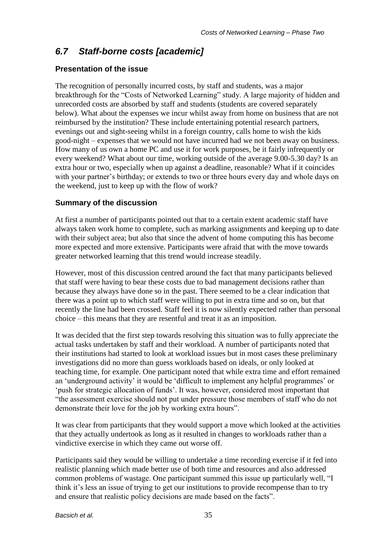## *6.7 Staff-borne costs [academic]*

#### **Presentation of the issue**

The recognition of personally incurred costs, by staff and students, was a major breakthrough for the "Costs of Networked Learning" study. A large majority of hidden and unrecorded costs are absorbed by staff and students (students are covered separately below). What about the expenses we incur whilst away from home on business that are not reimbursed by the institution? These include entertaining potential research partners, evenings out and sight-seeing whilst in a foreign country, calls home to wish the kids good-night – expenses that we would not have incurred had we not been away on business. How many of us own a home PC and use it for work purposes, be it fairly infrequently or every weekend? What about our time, working outside of the average 9.00-5.30 day? Is an extra hour or two, especially when up against a deadline, reasonable? What if it coincides with your partner's birthday; or extends to two or three hours every day and whole days on the weekend, just to keep up with the flow of work?

#### **Summary of the discussion**

At first a number of participants pointed out that to a certain extent academic staff have always taken work home to complete, such as marking assignments and keeping up to date with their subject area; but also that since the advent of home computing this has become more expected and more extensive. Participants were afraid that with the move towards greater networked learning that this trend would increase steadily.

However, most of this discussion centred around the fact that many participants believed that staff were having to bear these costs due to bad management decisions rather than because they always have done so in the past. There seemed to be a clear indication that there was a point up to which staff were willing to put in extra time and so on, but that recently the line had been crossed. Staff feel it is now silently expected rather than personal choice – this means that they are resentful and treat it as an imposition.

It was decided that the first step towards resolving this situation was to fully appreciate the actual tasks undertaken by staff and their workload. A number of participants noted that their institutions had started to look at workload issues but in most cases these preliminary investigations did no more than guess workloads based on ideals, or only looked at teaching time, for example. One participant noted that while extra time and effort remained an 'underground activity' it would be 'difficult to implement any helpful programmes' or 'push for strategic allocation of funds'. It was, however, considered most important that "the assessment exercise should not put under pressure those members of staff who do not demonstrate their love for the job by working extra hours".

It was clear from participants that they would support a move which looked at the activities that they actually undertook as long as it resulted in changes to workloads rather than a vindictive exercise in which they came out worse off.

Participants said they would be willing to undertake a time recording exercise if it fed into realistic planning which made better use of both time and resources and also addressed common problems of wastage. One participant summed this issue up particularly well, "I think it's less an issue of trying to get our institutions to provide recompense than to try and ensure that realistic policy decisions are made based on the facts".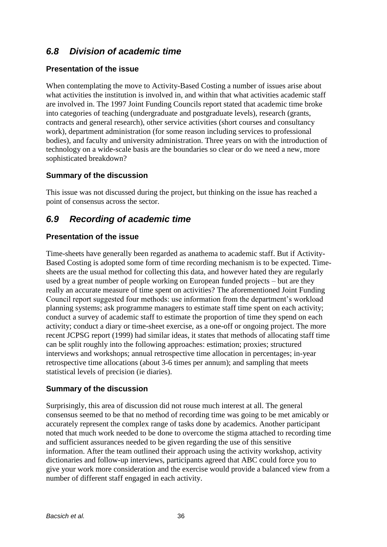### *6.8 Division of academic time*

#### **Presentation of the issue**

When contemplating the move to Activity-Based Costing a number of issues arise about what activities the institution is involved in, and within that what activities academic staff are involved in. The 1997 Joint Funding Councils report stated that academic time broke into categories of teaching (undergraduate and postgraduate levels), research (grants, contracts and general research), other service activities (short courses and consultancy work), department administration (for some reason including services to professional bodies), and faculty and university administration. Three years on with the introduction of technology on a wide-scale basis are the boundaries so clear or do we need a new, more sophisticated breakdown?

#### **Summary of the discussion**

This issue was not discussed during the project, but thinking on the issue has reached a point of consensus across the sector.

### *6.9 Recording of academic time*

#### **Presentation of the issue**

Time-sheets have generally been regarded as anathema to academic staff. But if Activity-Based Costing is adopted some form of time recording mechanism is to be expected. Timesheets are the usual method for collecting this data, and however hated they are regularly used by a great number of people working on European funded projects – but are they really an accurate measure of time spent on activities? The aforementioned Joint Funding Council report suggested four methods: use information from the department's workload planning systems; ask programme managers to estimate staff time spent on each activity; conduct a survey of academic staff to estimate the proportion of time they spend on each activity; conduct a diary or time-sheet exercise, as a one-off or ongoing project. The more recent JCPSG report (1999) had similar ideas, it states that methods of allocating staff time can be split roughly into the following approaches: estimation; proxies; structured interviews and workshops; annual retrospective time allocation in percentages; in-year retrospective time allocations (about 3-6 times per annum); and sampling that meets statistical levels of precision (ie diaries).

#### **Summary of the discussion**

Surprisingly, this area of discussion did not rouse much interest at all. The general consensus seemed to be that no method of recording time was going to be met amicably or accurately represent the complex range of tasks done by academics. Another participant noted that much work needed to be done to overcome the stigma attached to recording time and sufficient assurances needed to be given regarding the use of this sensitive information. After the team outlined their approach using the activity workshop, activity dictionaries and follow-up interviews, participants agreed that ABC could force you to give your work more consideration and the exercise would provide a balanced view from a number of different staff engaged in each activity.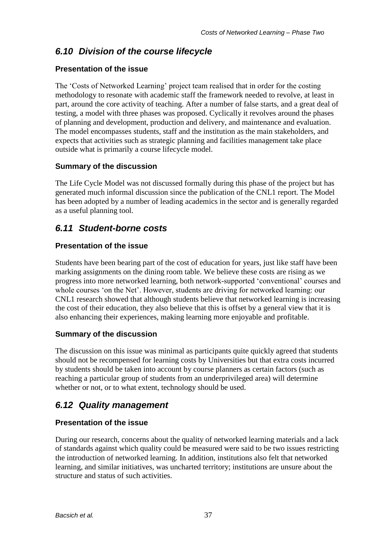## *6.10 Division of the course lifecycle*

#### **Presentation of the issue**

The 'Costs of Networked Learning' project team realised that in order for the costing methodology to resonate with academic staff the framework needed to revolve, at least in part, around the core activity of teaching. After a number of false starts, and a great deal of testing, a model with three phases was proposed. Cyclically it revolves around the phases of planning and development, production and delivery, and maintenance and evaluation. The model encompasses students, staff and the institution as the main stakeholders, and expects that activities such as strategic planning and facilities management take place outside what is primarily a course lifecycle model.

#### **Summary of the discussion**

The Life Cycle Model was not discussed formally during this phase of the project but has generated much informal discussion since the publication of the CNL1 report. The Model has been adopted by a number of leading academics in the sector and is generally regarded as a useful planning tool.

### *6.11 Student-borne costs*

#### **Presentation of the issue**

Students have been bearing part of the cost of education for years, just like staff have been marking assignments on the dining room table. We believe these costs are rising as we progress into more networked learning, both network-supported 'conventional' courses and whole courses 'on the Net'. However, students are driving for networked learning: our CNL1 research showed that although students believe that networked learning is increasing the cost of their education, they also believe that this is offset by a general view that it is also enhancing their experiences, making learning more enjoyable and profitable.

#### **Summary of the discussion**

The discussion on this issue was minimal as participants quite quickly agreed that students should not be recompensed for learning costs by Universities but that extra costs incurred by students should be taken into account by course planners as certain factors (such as reaching a particular group of students from an underprivileged area) will determine whether or not, or to what extent, technology should be used.

### *6.12 Quality management*

#### **Presentation of the issue**

During our research, concerns about the quality of networked learning materials and a lack of standards against which quality could be measured were said to be two issues restricting the introduction of networked learning. In addition, institutions also felt that networked learning, and similar initiatives, was uncharted territory; institutions are unsure about the structure and status of such activities.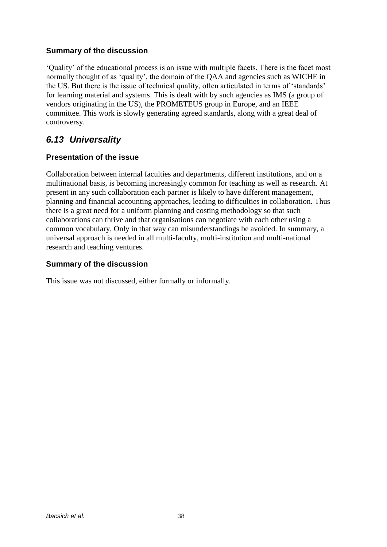#### **Summary of the discussion**

'Quality' of the educational process is an issue with multiple facets. There is the facet most normally thought of as 'quality', the domain of the QAA and agencies such as WICHE in the US. But there is the issue of technical quality, often articulated in terms of 'standards' for learning material and systems. This is dealt with by such agencies as IMS (a group of vendors originating in the US), the PROMETEUS group in Europe, and an IEEE committee. This work is slowly generating agreed standards, along with a great deal of controversy.

### *6.13 Universality*

#### **Presentation of the issue**

Collaboration between internal faculties and departments, different institutions, and on a multinational basis, is becoming increasingly common for teaching as well as research. At present in any such collaboration each partner is likely to have different management, planning and financial accounting approaches, leading to difficulties in collaboration. Thus there is a great need for a uniform planning and costing methodology so that such collaborations can thrive and that organisations can negotiate with each other using a common vocabulary. Only in that way can misunderstandings be avoided. In summary, a universal approach is needed in all multi-faculty, multi-institution and multi-national research and teaching ventures.

#### **Summary of the discussion**

This issue was not discussed, either formally or informally.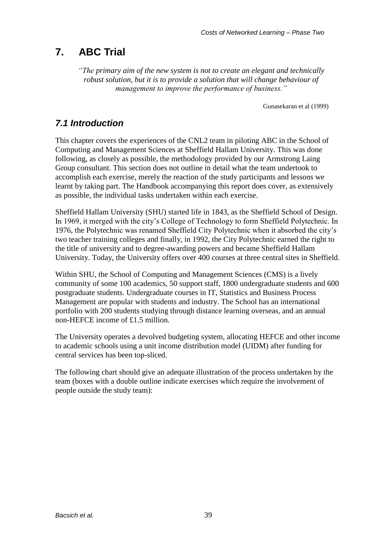# **7. ABC Trial**

*"The primary aim of the new system is not to create an elegant and technically robust solution, but it is to provide a solution that will change behaviour of management to improve the performance of business."* 

Gunasekaran et al (1999)

## *7.1 Introduction*

This chapter covers the experiences of the CNL2 team in piloting ABC in the School of Computing and Management Sciences at Sheffield Hallam University. This was done following, as closely as possible, the methodology provided by our Armstrong Laing Group consultant. This section does not outline in detail what the team undertook to accomplish each exercise, merely the reaction of the study participants and lessons we learnt by taking part. The Handbook accompanying this report does cover, as extensively as possible, the individual tasks undertaken within each exercise.

Sheffield Hallam University (SHU) started life in 1843, as the Sheffield School of Design. In 1969, it merged with the city's College of Technology to form Sheffield Polytechnic. In 1976, the Polytechnic was renamed Sheffield City Polytechnic when it absorbed the city's two teacher training colleges and finally, in 1992, the City Polytechnic earned the right to the title of university and to degree-awarding powers and became Sheffield Hallam University. Today, the University offers over 400 courses at three central sites in Sheffield.

Within SHU, the School of Computing and Management Sciences (CMS) is a lively community of some 100 academics, 50 support staff, 1800 undergraduate students and 600 postgraduate students. Undergraduate courses in IT, Statistics and Business Process Management are popular with students and industry. The School has an international portfolio with 200 students studying through distance learning overseas, and an annual non-HEFCE income of  $f1.5$  million.

The University operates a devolved budgeting system, allocating HEFCE and other income to academic schools using a unit income distribution model (UIDM) after funding for central services has been top-sliced.

The following chart should give an adequate illustration of the process undertaken by the team (boxes with a double outline indicate exercises which require the involvement of people outside the study team):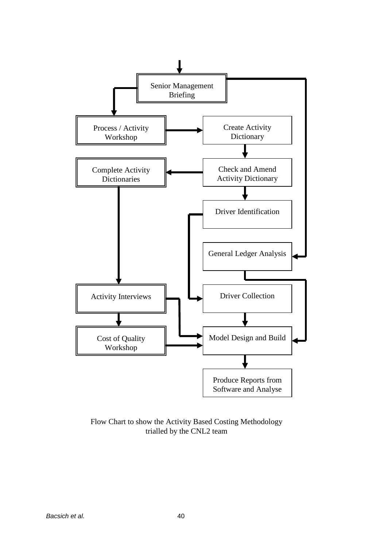

Flow Chart to show the Activity Based Costing Methodology trialled by the CNL2 team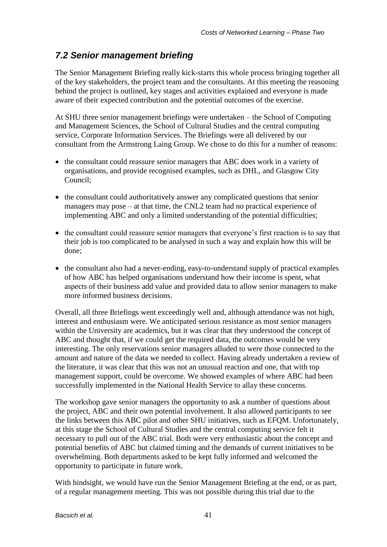### *7.2 Senior management briefing*

The Senior Management Briefing really kick-starts this whole process bringing together all of the key stakeholders, the project team and the consultants. At this meeting the reasoning behind the project is outlined, key stages and activities explained and everyone is made aware of their expected contribution and the potential outcomes of the exercise.

At SHU three senior management briefings were undertaken – the School of Computing and Management Sciences, the School of Cultural Studies and the central computing service, Corporate Information Services. The Briefings were all delivered by our consultant from the Armstrong Laing Group. We chose to do this for a number of reasons:

- the consultant could reassure senior managers that ABC does work in a variety of organisations, and provide recognised examples, such as DHL, and Glasgow City Council;
- the consultant could authoritatively answer any complicated questions that senior managers may pose – at that time, the CNL2 team had no practical experience of implementing ABC and only a limited understanding of the potential difficulties;
- the consultant could reassure senior managers that everyone's first reaction is to say that their job is too complicated to be analysed in such a way and explain how this will be done;
- the consultant also had a never-ending, easy-to-understand supply of practical examples of how ABC has helped organisations understand how their income is spent, what aspects of their business add value and provided data to allow senior managers to make more informed business decisions.

Overall, all three Briefings went exceedingly well and, although attendance was not high, interest and enthusiasm were. We anticipated serious resistance as most senior managers within the University are academics, but it was clear that they understood the concept of ABC and thought that, if we could get the required data, the outcomes would be very interesting. The only reservations senior managers alluded to were those connected to the amount and nature of the data we needed to collect. Having already undertaken a review of the literature, it was clear that this was not an unusual reaction and one, that with top management support, could be overcome. We showed examples of where ABC had been successfully implemented in the National Health Service to allay these concerns.

The workshop gave senior managers the opportunity to ask a number of questions about the project, ABC and their own potential involvement. It also allowed participants to see the links between this ABC pilot and other SHU initiatives, such as EFQM. Unfortunately, at this stage the School of Cultural Studies and the central computing service felt it necessary to pull out of the ABC trial. Both were very enthusiastic about the concept and potential benefits of ABC but claimed timing and the demands of current initiatives to be overwhelming. Both departments asked to be kept fully informed and welcomed the opportunity to participate in future work.

With hindsight, we would have run the Senior Management Briefing at the end, or as part, of a regular management meeting. This was not possible during this trial due to the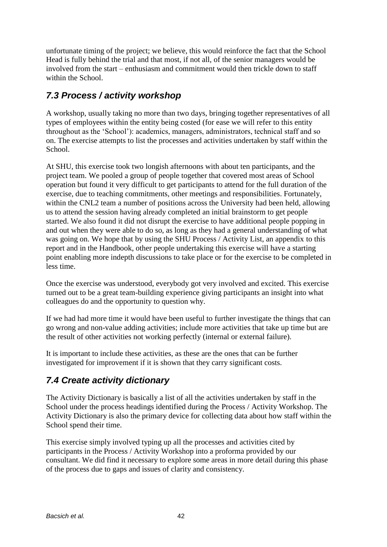unfortunate timing of the project; we believe, this would reinforce the fact that the School Head is fully behind the trial and that most, if not all, of the senior managers would be involved from the start – enthusiasm and commitment would then trickle down to staff within the School.

## *7.3 Process / activity workshop*

A workshop, usually taking no more than two days, bringing together representatives of all types of employees within the entity being costed (for ease we will refer to this entity throughout as the 'School'): academics, managers, administrators, technical staff and so on. The exercise attempts to list the processes and activities undertaken by staff within the School.

At SHU, this exercise took two longish afternoons with about ten participants, and the project team. We pooled a group of people together that covered most areas of School operation but found it very difficult to get participants to attend for the full duration of the exercise, due to teaching commitments, other meetings and responsibilities. Fortunately, within the CNL2 team a number of positions across the University had been held, allowing us to attend the session having already completed an initial brainstorm to get people started. We also found it did not disrupt the exercise to have additional people popping in and out when they were able to do so, as long as they had a general understanding of what was going on. We hope that by using the SHU Process / Activity List, an appendix to this report and in the Handbook, other people undertaking this exercise will have a starting point enabling more indepth discussions to take place or for the exercise to be completed in less time.

Once the exercise was understood, everybody got very involved and excited. This exercise turned out to be a great team-building experience giving participants an insight into what colleagues do and the opportunity to question why.

If we had had more time it would have been useful to further investigate the things that can go wrong and non-value adding activities; include more activities that take up time but are the result of other activities not working perfectly (internal or external failure).

It is important to include these activities, as these are the ones that can be further investigated for improvement if it is shown that they carry significant costs.

## *7.4 Create activity dictionary*

The Activity Dictionary is basically a list of all the activities undertaken by staff in the School under the process headings identified during the Process / Activity Workshop. The Activity Dictionary is also the primary device for collecting data about how staff within the School spend their time.

This exercise simply involved typing up all the processes and activities cited by participants in the Process / Activity Workshop into a proforma provided by our consultant. We did find it necessary to explore some areas in more detail during this phase of the process due to gaps and issues of clarity and consistency.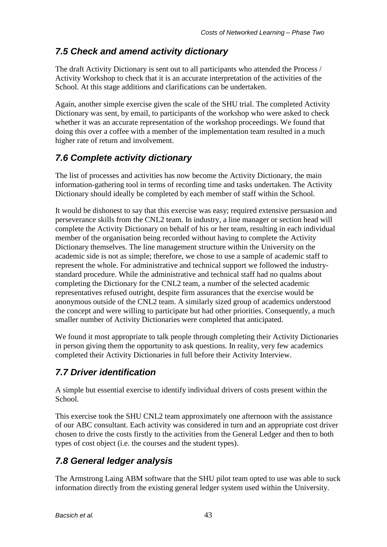## *7.5 Check and amend activity dictionary*

The draft Activity Dictionary is sent out to all participants who attended the Process / Activity Workshop to check that it is an accurate interpretation of the activities of the School. At this stage additions and clarifications can be undertaken.

Again, another simple exercise given the scale of the SHU trial. The completed Activity Dictionary was sent, by email, to participants of the workshop who were asked to check whether it was an accurate representation of the workshop proceedings. We found that doing this over a coffee with a member of the implementation team resulted in a much higher rate of return and involvement.

# *7.6 Complete activity dictionary*

The list of processes and activities has now become the Activity Dictionary, the main information-gathering tool in terms of recording time and tasks undertaken. The Activity Dictionary should ideally be completed by each member of staff within the School.

It would be dishonest to say that this exercise was easy; required extensive persuasion and perseverance skills from the CNL2 team. In industry, a line manager or section head will complete the Activity Dictionary on behalf of his or her team, resulting in each individual member of the organisation being recorded without having to complete the Activity Dictionary themselves. The line management structure within the University on the academic side is not as simple; therefore, we chose to use a sample of academic staff to represent the whole. For administrative and technical support we followed the industrystandard procedure. While the administrative and technical staff had no qualms about completing the Dictionary for the CNL2 team, a number of the selected academic representatives refused outright, despite firm assurances that the exercise would be anonymous outside of the CNL2 team. A similarly sized group of academics understood the concept and were willing to participate but had other priorities. Consequently, a much smaller number of Activity Dictionaries were completed that anticipated.

We found it most appropriate to talk people through completing their Activity Dictionaries in person giving them the opportunity to ask questions. In reality, very few academics completed their Activity Dictionaries in full before their Activity Interview.

# *7.7 Driver identification*

A simple but essential exercise to identify individual drivers of costs present within the School.

This exercise took the SHU CNL2 team approximately one afternoon with the assistance of our ABC consultant. Each activity was considered in turn and an appropriate cost driver chosen to drive the costs firstly to the activities from the General Ledger and then to both types of cost object (i.e. the courses and the student types).

## *7.8 General ledger analysis*

The Armstrong Laing ABM software that the SHU pilot team opted to use was able to suck information directly from the existing general ledger system used within the University.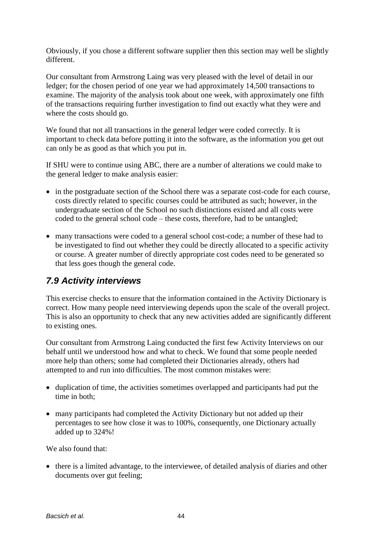Obviously, if you chose a different software supplier then this section may well be slightly different.

Our consultant from Armstrong Laing was very pleased with the level of detail in our ledger; for the chosen period of one year we had approximately 14,500 transactions to examine. The majority of the analysis took about one week, with approximately one fifth of the transactions requiring further investigation to find out exactly what they were and where the costs should go.

We found that not all transactions in the general ledger were coded correctly. It is important to check data before putting it into the software, as the information you get out can only be as good as that which you put in.

If SHU were to continue using ABC, there are a number of alterations we could make to the general ledger to make analysis easier:

- in the postgraduate section of the School there was a separate cost-code for each course, costs directly related to specific courses could be attributed as such; however, in the undergraduate section of the School no such distinctions existed and all costs were coded to the general school code – these costs, therefore, had to be untangled;
- many transactions were coded to a general school cost-code; a number of these had to be investigated to find out whether they could be directly allocated to a specific activity or course. A greater number of directly appropriate cost codes need to be generated so that less goes though the general code.

## *7.9 Activity interviews*

This exercise checks to ensure that the information contained in the Activity Dictionary is correct. How many people need interviewing depends upon the scale of the overall project. This is also an opportunity to check that any new activities added are significantly different to existing ones.

Our consultant from Armstrong Laing conducted the first few Activity Interviews on our behalf until we understood how and what to check. We found that some people needed more help than others; some had completed their Dictionaries already, others had attempted to and run into difficulties. The most common mistakes were:

- duplication of time, the activities sometimes overlapped and participants had put the time in both;
- many participants had completed the Activity Dictionary but not added up their percentages to see how close it was to 100%, consequently, one Dictionary actually added up to 324%!

We also found that:

 there is a limited advantage, to the interviewee, of detailed analysis of diaries and other documents over gut feeling;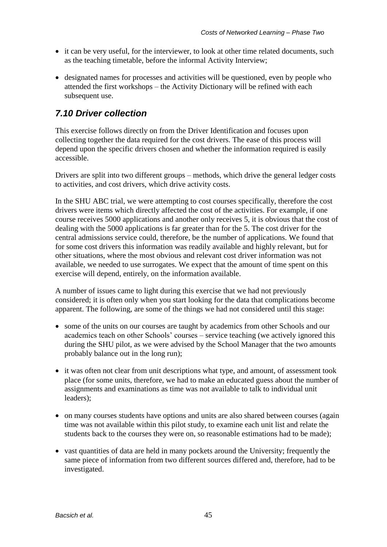- it can be very useful, for the interviewer, to look at other time related documents, such as the teaching timetable, before the informal Activity Interview;
- designated names for processes and activities will be questioned, even by people who attended the first workshops – the Activity Dictionary will be refined with each subsequent use.

### *7.10 Driver collection*

This exercise follows directly on from the Driver Identification and focuses upon collecting together the data required for the cost drivers. The ease of this process will depend upon the specific drivers chosen and whether the information required is easily accessible.

Drivers are split into two different groups – methods, which drive the general ledger costs to activities, and cost drivers, which drive activity costs.

In the SHU ABC trial, we were attempting to cost courses specifically, therefore the cost drivers were items which directly affected the cost of the activities. For example, if one course receives 5000 applications and another only receives 5, it is obvious that the cost of dealing with the 5000 applications is far greater than for the 5. The cost driver for the central admissions service could, therefore, be the number of applications. We found that for some cost drivers this information was readily available and highly relevant, but for other situations, where the most obvious and relevant cost driver information was not available, we needed to use surrogates. We expect that the amount of time spent on this exercise will depend, entirely, on the information available.

A number of issues came to light during this exercise that we had not previously considered; it is often only when you start looking for the data that complications become apparent. The following, are some of the things we had not considered until this stage:

- some of the units on our courses are taught by academics from other Schools and our academics teach on other Schools' courses – service teaching (we actively ignored this during the SHU pilot, as we were advised by the School Manager that the two amounts probably balance out in the long run);
- it was often not clear from unit descriptions what type, and amount, of assessment took place (for some units, therefore, we had to make an educated guess about the number of assignments and examinations as time was not available to talk to individual unit leaders);
- on many courses students have options and units are also shared between courses (again time was not available within this pilot study, to examine each unit list and relate the students back to the courses they were on, so reasonable estimations had to be made);
- vast quantities of data are held in many pockets around the University; frequently the same piece of information from two different sources differed and, therefore, had to be investigated.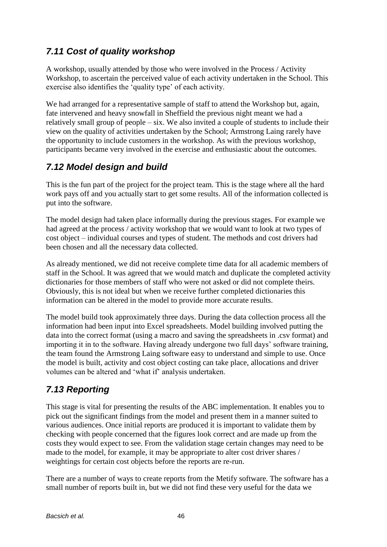## *7.11 Cost of quality workshop*

A workshop, usually attended by those who were involved in the Process / Activity Workshop, to ascertain the perceived value of each activity undertaken in the School. This exercise also identifies the 'quality type' of each activity.

We had arranged for a representative sample of staff to attend the Workshop but, again, fate intervened and heavy snowfall in Sheffield the previous night meant we had a relatively small group of people – six. We also invited a couple of students to include their view on the quality of activities undertaken by the School; Armstrong Laing rarely have the opportunity to include customers in the workshop. As with the previous workshop, participants became very involved in the exercise and enthusiastic about the outcomes.

## *7.12 Model design and build*

This is the fun part of the project for the project team. This is the stage where all the hard work pays off and you actually start to get some results. All of the information collected is put into the software.

The model design had taken place informally during the previous stages. For example we had agreed at the process / activity workshop that we would want to look at two types of cost object – individual courses and types of student. The methods and cost drivers had been chosen and all the necessary data collected.

As already mentioned, we did not receive complete time data for all academic members of staff in the School. It was agreed that we would match and duplicate the completed activity dictionaries for those members of staff who were not asked or did not complete theirs. Obviously, this is not ideal but when we receive further completed dictionaries this information can be altered in the model to provide more accurate results.

The model build took approximately three days. During the data collection process all the information had been input into Excel spreadsheets. Model building involved putting the data into the correct format (using a macro and saving the spreadsheets in .csv format) and importing it in to the software. Having already undergone two full days' software training, the team found the Armstrong Laing software easy to understand and simple to use. Once the model is built, activity and cost object costing can take place, allocations and driver volumes can be altered and 'what if' analysis undertaken.

## *7.13 Reporting*

This stage is vital for presenting the results of the ABC implementation. It enables you to pick out the significant findings from the model and present them in a manner suited to various audiences. Once initial reports are produced it is important to validate them by checking with people concerned that the figures look correct and are made up from the costs they would expect to see. From the validation stage certain changes may need to be made to the model, for example, it may be appropriate to alter cost driver shares / weightings for certain cost objects before the reports are re-run.

There are a number of ways to create reports from the Metify software. The software has a small number of reports built in, but we did not find these very useful for the data we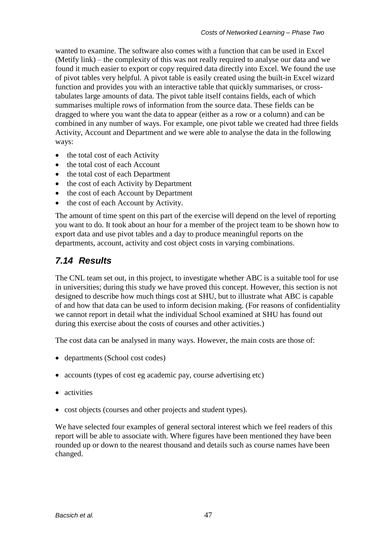wanted to examine. The software also comes with a function that can be used in Excel (Metify link) – the complexity of this was not really required to analyse our data and we found it much easier to export or copy required data directly into Excel. We found the use of pivot tables very helpful. A pivot table is easily created using the built-in Excel wizard function and provides you with an interactive table that quickly summarises, or crosstabulates large amounts of data. The pivot table itself contains fields, each of which summarises multiple rows of information from the source data. These fields can be dragged to where you want the data to appear (either as a row or a column) and can be combined in any number of ways. For example, one pivot table we created had three fields Activity, Account and Department and we were able to analyse the data in the following ways:

- $\bullet$  the total cost of each Activity
- the total cost of each Account
- the total cost of each Department
- the cost of each Activity by Department
- the cost of each Account by Department
- the cost of each Account by Activity.

The amount of time spent on this part of the exercise will depend on the level of reporting you want to do. It took about an hour for a member of the project team to be shown how to export data and use pivot tables and a day to produce meaningful reports on the departments, account, activity and cost object costs in varying combinations.

### *7.14 Results*

The CNL team set out, in this project, to investigate whether ABC is a suitable tool for use in universities; during this study we have proved this concept. However, this section is not designed to describe how much things cost at SHU, but to illustrate what ABC is capable of and how that data can be used to inform decision making. (For reasons of confidentiality we cannot report in detail what the individual School examined at SHU has found out during this exercise about the costs of courses and other activities.)

The cost data can be analysed in many ways. However, the main costs are those of:

- departments (School cost codes)
- accounts (types of cost eg academic pay, course advertising etc)
- **•** activities
- cost objects (courses and other projects and student types).

We have selected four examples of general sectoral interest which we feel readers of this report will be able to associate with. Where figures have been mentioned they have been rounded up or down to the nearest thousand and details such as course names have been changed.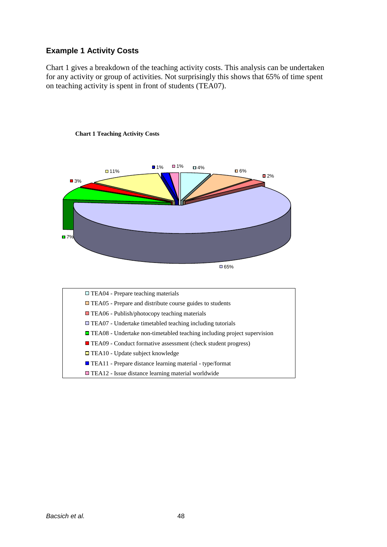#### **Example 1 Activity Costs**

**Chart 1 Teaching Activity Costs**

Chart 1 gives a breakdown of the teaching activity costs. This analysis can be undertaken for any activity or group of activities. Not surprisingly this shows that 65% of time spent on teaching activity is spent in front of students (TEA07).



| $\Box$ TEA04 - Prepare teaching materials                                      |
|--------------------------------------------------------------------------------|
| $\Box$ TEA05 - Prepare and distribute course guides to students                |
| $\blacksquare$ TEA06 - Publish/photocopy teaching materials                    |
| $\Box$ TEA07 - Undertake timetabled teaching including tutorials               |
| $\Box$ TEA08 - Undertake non-timetabled teaching including project supervision |
| <b>TEA09</b> - Conduct formative assessment (check student progress)           |
| $\Box$ TEA10 - Update subject knowledge                                        |
| $\blacksquare$ TEA11 - Prepare distance learning material - type/format        |
| $\Box$ TEA12 - Issue distance learning material worldwide                      |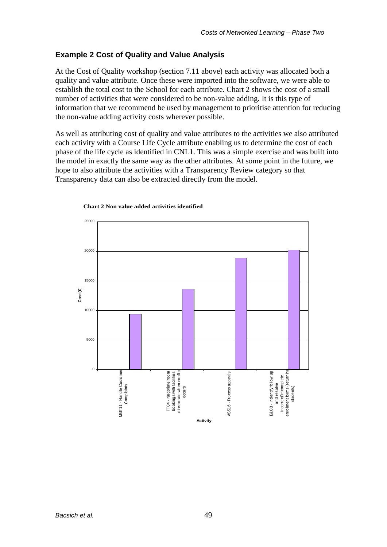#### **Example 2 Cost of Quality and Value Analysis**

At the Cost of Quality workshop (section 7.11 above) each activity was allocated both a quality and value attribute. Once these were imported into the software, we were able to establish the total cost to the School for each attribute. Chart 2 shows the cost of a small number of activities that were considered to be non-value adding. It is this type of information that we recommend be used by management to prioritise attention for reducing the non-value adding activity costs wherever possible.

As well as attributing cost of quality and value attributes to the activities we also attributed each activity with a Course Life Cycle attribute enabling us to determine the cost of each phase of the life cycle as identified in CNL1. This was a simple exercise and was built into the model in exactly the same way as the other attributes. At some point in the future, we hope to also attribute the activities with a Transparency Review category so that Transparency data can also be extracted directly from the model.



#### **Chart 2 Non value added activities identified**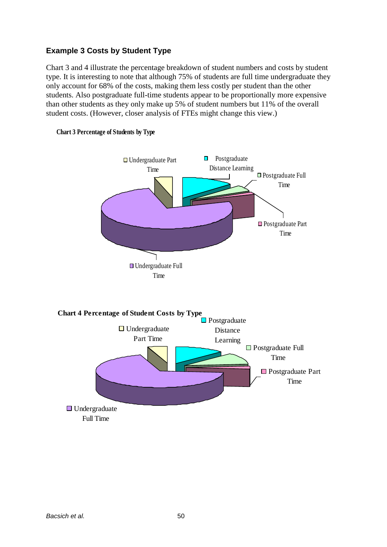#### **Example 3 Costs by Student Type**

Chart 3 and 4 illustrate the percentage breakdown of student numbers and costs by student type. It is interesting to note that although 75% of students are full time undergraduate they only account for 68% of the costs, making them less costly per student than the other students. Also postgraduate full-time students appear to be proportionally more expensive than other students as they only make up 5% of student numbers but 11% of the overall student costs. (However, closer analysis of FTEs might change this view.)

# □ Undergraduate Part Time ■ Postgraduate Part Time ■ Postgraduate Full Time **D** Postgraduate Distance Learning ■ Undergraduate Full Time



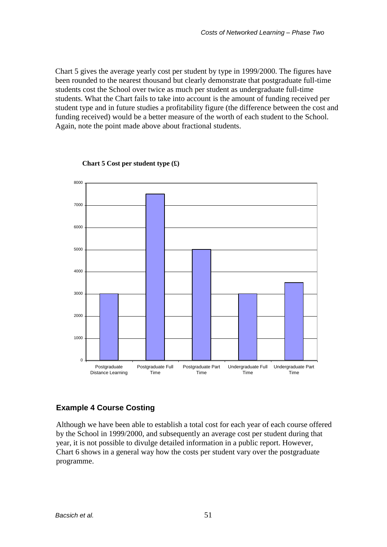Chart 5 gives the average yearly cost per student by type in 1999/2000. The figures have been rounded to the nearest thousand but clearly demonstrate that postgraduate full-time students cost the School over twice as much per student as undergraduate full-time students. What the Chart fails to take into account is the amount of funding received per student type and in future studies a profitability figure (the difference between the cost and funding received) would be a better measure of the worth of each student to the School. Again, note the point made above about fractional students.



**Chart 5 Cost per student type (£)**

#### **Example 4 Course Costing**

Although we have been able to establish a total cost for each year of each course offered by the School in 1999/2000, and subsequently an average cost per student during that year, it is not possible to divulge detailed information in a public report. However, Chart 6 shows in a general way how the costs per student vary over the postgraduate programme.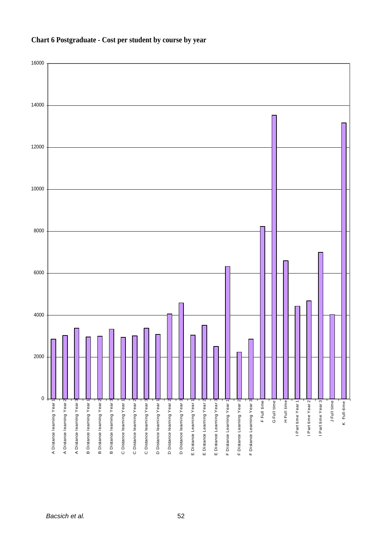

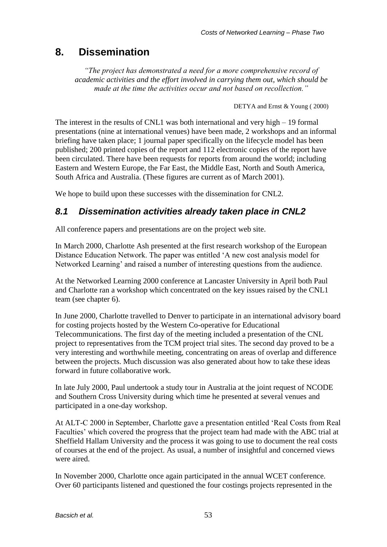# **8. Dissemination**

*"The project has demonstrated a need for a more comprehensive record of academic activities and the effort involved in carrying them out, which should be made at the time the activities occur and not based on recollection."* 

DETYA and Ernst & Young ( 2000)

The interest in the results of CNL1 was both international and very high – 19 formal presentations (nine at international venues) have been made, 2 workshops and an informal briefing have taken place; 1 journal paper specifically on the lifecycle model has been published; 200 printed copies of the report and 112 electronic copies of the report have been circulated. There have been requests for reports from around the world; including Eastern and Western Europe, the Far East, the Middle East, North and South America, South Africa and Australia. (These figures are current as of March 2001).

We hope to build upon these successes with the dissemination for CNL2.

### *8.1 Dissemination activities already taken place in CNL2*

All conference papers and presentations are on the project web site.

In March 2000, Charlotte Ash presented at the first research workshop of the European Distance Education Network. The paper was entitled 'A new cost analysis model for Networked Learning' and raised a number of interesting questions from the audience.

At the Networked Learning 2000 conference at Lancaster University in April both Paul and Charlotte ran a workshop which concentrated on the key issues raised by the CNL1 team (see chapter 6).

In June 2000, Charlotte travelled to Denver to participate in an international advisory board for costing projects hosted by the Western Co-operative for Educational Telecommunications. The first day of the meeting included a presentation of the CNL project to representatives from the TCM project trial sites. The second day proved to be a very interesting and worthwhile meeting, concentrating on areas of overlap and difference between the projects. Much discussion was also generated about how to take these ideas forward in future collaborative work.

In late July 2000, Paul undertook a study tour in Australia at the joint request of NCODE and Southern Cross University during which time he presented at several venues and participated in a one-day workshop.

At ALT-C 2000 in September, Charlotte gave a presentation entitled 'Real Costs from Real Faculties' which covered the progress that the project team had made with the ABC trial at Sheffield Hallam University and the process it was going to use to document the real costs of courses at the end of the project. As usual, a number of insightful and concerned views were aired.

In November 2000, Charlotte once again participated in the annual WCET conference. Over 60 participants listened and questioned the four costings projects represented in the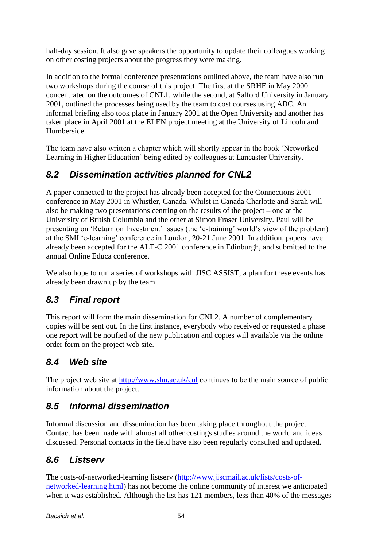half-day session. It also gave speakers the opportunity to update their colleagues working on other costing projects about the progress they were making.

In addition to the formal conference presentations outlined above, the team have also run two workshops during the course of this project. The first at the SRHE in May 2000 concentrated on the outcomes of CNL1, while the second, at Salford University in January 2001, outlined the processes being used by the team to cost courses using ABC. An informal briefing also took place in January 2001 at the Open University and another has taken place in April 2001 at the ELEN project meeting at the University of Lincoln and Humberside.

The team have also written a chapter which will shortly appear in the book 'Networked Learning in Higher Education' being edited by colleagues at Lancaster University.

## *8.2 Dissemination activities planned for CNL2*

A paper connected to the project has already been accepted for the Connections 2001 conference in May 2001 in Whistler, Canada. Whilst in Canada Charlotte and Sarah will also be making two presentations centring on the results of the project – one at the University of British Columbia and the other at Simon Fraser University. Paul will be presenting on 'Return on Investment' issues (the 'e-training' world's view of the problem) at the SMI 'e-learning' conference in London, 20-21 June 2001. In addition, papers have already been accepted for the ALT-C 2001 conference in Edinburgh, and submitted to the annual Online Educa conference.

We also hope to run a series of workshops with JISC ASSIST; a plan for these events has already been drawn up by the team.

## *8.3 Final report*

This report will form the main dissemination for CNL2. A number of complementary copies will be sent out. In the first instance, everybody who received or requested a phase one report will be notified of the new publication and copies will available via the online order form on the project web site.

## *8.4 Web site*

The project web site at<http://www.shu.ac.uk/cnl> continues to be the main source of public information about the project.

## *8.5 Informal dissemination*

Informal discussion and dissemination has been taking place throughout the project. Contact has been made with almost all other costings studies around the world and ideas discussed. Personal contacts in the field have also been regularly consulted and updated.

## *8.6 Listserv*

The costs-of-networked-learning listserv (http://www.jiscmail.ac.uk/lists/costs-ofnetworked-learning.html) has not become the online community of interest we anticipated when it was established. Although the list has 121 members, less than 40% of the messages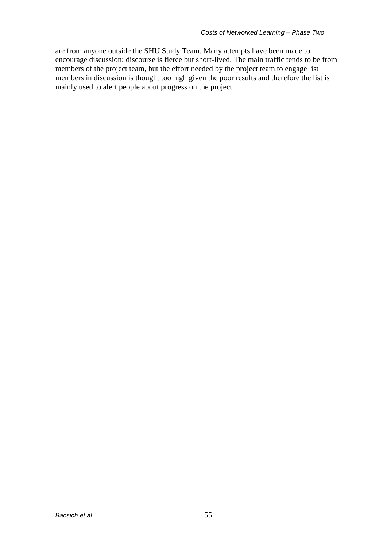are from anyone outside the SHU Study Team. Many attempts have been made to encourage discussion: discourse is fierce but short-lived. The main traffic tends to be from members of the project team, but the effort needed by the project team to engage list members in discussion is thought too high given the poor results and therefore the list is mainly used to alert people about progress on the project.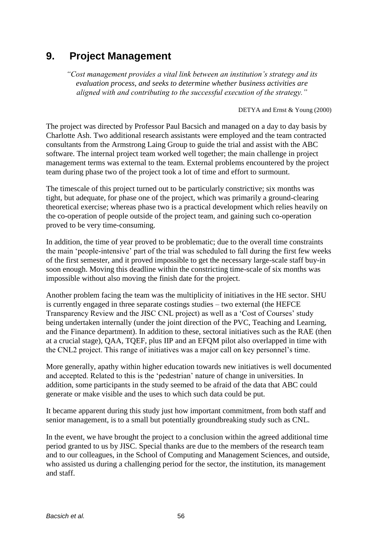## **9. Project Management**

*"Cost management provides a vital link between an institution's strategy and its evaluation process, and seeks to determine whether business activities are aligned with and contributing to the successful execution of the strategy."*

DETYA and Ernst & Young (2000)

The project was directed by Professor Paul Bacsich and managed on a day to day basis by Charlotte Ash. Two additional research assistants were employed and the team contracted consultants from the Armstrong Laing Group to guide the trial and assist with the ABC software. The internal project team worked well together; the main challenge in project management terms was external to the team. External problems encountered by the project team during phase two of the project took a lot of time and effort to surmount.

The timescale of this project turned out to be particularly constrictive; six months was tight, but adequate, for phase one of the project, which was primarily a ground-clearing theoretical exercise; whereas phase two is a practical development which relies heavily on the co-operation of people outside of the project team, and gaining such co-operation proved to be very time-consuming.

In addition, the time of year proved to be problematic; due to the overall time constraints the main 'people-intensive' part of the trial was scheduled to fall during the first few weeks of the first semester, and it proved impossible to get the necessary large-scale staff buy-in soon enough. Moving this deadline within the constricting time-scale of six months was impossible without also moving the finish date for the project.

Another problem facing the team was the multiplicity of initiatives in the HE sector. SHU is currently engaged in three separate costings studies – two external (the HEFCE Transparency Review and the JISC CNL project) as well as a 'Cost of Courses' study being undertaken internally (under the joint direction of the PVC, Teaching and Learning, and the Finance department). In addition to these, sectoral initiatives such as the RAE (then at a crucial stage), QAA, TQEF, plus IIP and an EFQM pilot also overlapped in time with the CNL2 project. This range of initiatives was a major call on key personnel's time.

More generally, apathy within higher education towards new initiatives is well documented and accepted. Related to this is the 'pedestrian' nature of change in universities. In addition, some participants in the study seemed to be afraid of the data that ABC could generate or make visible and the uses to which such data could be put.

It became apparent during this study just how important commitment, from both staff and senior management, is to a small but potentially groundbreaking study such as CNL.

In the event, we have brought the project to a conclusion within the agreed additional time period granted to us by JISC. Special thanks are due to the members of the research team and to our colleagues, in the School of Computing and Management Sciences, and outside, who assisted us during a challenging period for the sector, the institution, its management and staff.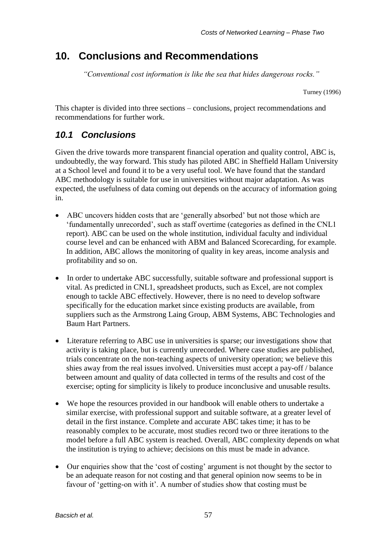# **10. Conclusions and Recommendations**

*"Conventional cost information is like the sea that hides dangerous rocks."*

Turney (1996)

This chapter is divided into three sections – conclusions, project recommendations and recommendations for further work.

### *10.1 Conclusions*

Given the drive towards more transparent financial operation and quality control, ABC is, undoubtedly, the way forward. This study has piloted ABC in Sheffield Hallam University at a School level and found it to be a very useful tool. We have found that the standard ABC methodology is suitable for use in universities without major adaptation. As was expected, the usefulness of data coming out depends on the accuracy of information going in.

- ABC uncovers hidden costs that are 'generally absorbed' but not those which are 'fundamentally unrecorded', such as staff overtime (categories as defined in the CNL1 report). ABC can be used on the whole institution, individual faculty and individual course level and can be enhanced with ABM and Balanced Scorecarding, for example. In addition, ABC allows the monitoring of quality in key areas, income analysis and profitability and so on.
- In order to undertake ABC successfully, suitable software and professional support is vital. As predicted in CNL1, spreadsheet products, such as Excel, are not complex enough to tackle ABC effectively. However, there is no need to develop software specifically for the education market since existing products are available, from suppliers such as the Armstrong Laing Group, ABM Systems, ABC Technologies and Baum Hart Partners.
- Literature referring to ABC use in universities is sparse; our investigations show that activity is taking place, but is currently unrecorded. Where case studies are published, trials concentrate on the non-teaching aspects of university operation; we believe this shies away from the real issues involved. Universities must accept a pay-off / balance between amount and quality of data collected in terms of the results and cost of the exercise; opting for simplicity is likely to produce inconclusive and unusable results.
- We hope the resources provided in our handbook will enable others to undertake a similar exercise, with professional support and suitable software, at a greater level of detail in the first instance. Complete and accurate ABC takes time; it has to be reasonably complex to be accurate, most studies record two or three iterations to the model before a full ABC system is reached. Overall, ABC complexity depends on what the institution is trying to achieve; decisions on this must be made in advance.
- Our enquiries show that the 'cost of costing' argument is not thought by the sector to be an adequate reason for not costing and that general opinion now seems to be in favour of 'getting-on with it'. A number of studies show that costing must be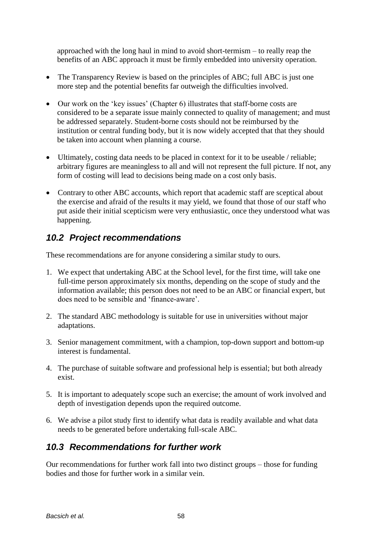approached with the long haul in mind to avoid short-termism – to really reap the benefits of an ABC approach it must be firmly embedded into university operation.

- The Transparency Review is based on the principles of ABC; full ABC is just one more step and the potential benefits far outweigh the difficulties involved.
- Our work on the 'key issues' (Chapter 6) illustrates that staff-borne costs are considered to be a separate issue mainly connected to quality of management; and must be addressed separately. Student-borne costs should not be reimbursed by the institution or central funding body, but it is now widely accepted that that they should be taken into account when planning a course.
- Ultimately, costing data needs to be placed in context for it to be useable / reliable; arbitrary figures are meaningless to all and will not represent the full picture. If not, any form of costing will lead to decisions being made on a cost only basis.
- Contrary to other ABC accounts, which report that academic staff are sceptical about the exercise and afraid of the results it may yield, we found that those of our staff who put aside their initial scepticism were very enthusiastic, once they understood what was happening.

### *10.2 Project recommendations*

These recommendations are for anyone considering a similar study to ours.

- 1. We expect that undertaking ABC at the School level, for the first time, will take one full-time person approximately six months, depending on the scope of study and the information available; this person does not need to be an ABC or financial expert, but does need to be sensible and 'finance-aware'.
- 2. The standard ABC methodology is suitable for use in universities without major adaptations.
- 3. Senior management commitment, with a champion, top-down support and bottom-up interest is fundamental.
- 4. The purchase of suitable software and professional help is essential; but both already exist.
- 5. It is important to adequately scope such an exercise; the amount of work involved and depth of investigation depends upon the required outcome.
- 6. We advise a pilot study first to identify what data is readily available and what data needs to be generated before undertaking full-scale ABC.

## *10.3 Recommendations for further work*

Our recommendations for further work fall into two distinct groups – those for funding bodies and those for further work in a similar vein.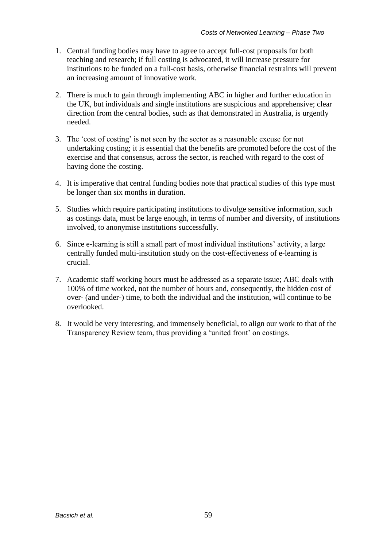- 1. Central funding bodies may have to agree to accept full-cost proposals for both teaching and research; if full costing is advocated, it will increase pressure for institutions to be funded on a full-cost basis, otherwise financial restraints will prevent an increasing amount of innovative work.
- 2. There is much to gain through implementing ABC in higher and further education in the UK, but individuals and single institutions are suspicious and apprehensive; clear direction from the central bodies, such as that demonstrated in Australia, is urgently needed.
- 3. The 'cost of costing' is not seen by the sector as a reasonable excuse for not undertaking costing; it is essential that the benefits are promoted before the cost of the exercise and that consensus, across the sector, is reached with regard to the cost of having done the costing.
- 4. It is imperative that central funding bodies note that practical studies of this type must be longer than six months in duration.
- 5. Studies which require participating institutions to divulge sensitive information, such as costings data, must be large enough, in terms of number and diversity, of institutions involved, to anonymise institutions successfully.
- 6. Since e-learning is still a small part of most individual institutions' activity, a large centrally funded multi-institution study on the cost-effectiveness of e-learning is crucial.
- 7. Academic staff working hours must be addressed as a separate issue; ABC deals with 100% of time worked, not the number of hours and, consequently, the hidden cost of over- (and under-) time, to both the individual and the institution, will continue to be overlooked.
- 8. It would be very interesting, and immensely beneficial, to align our work to that of the Transparency Review team, thus providing a 'united front' on costings.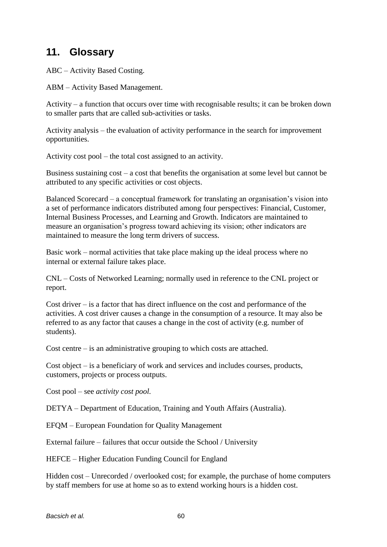## **11. Glossary**

ABC – Activity Based Costing.

ABM – Activity Based Management.

Activity – a function that occurs over time with recognisable results; it can be broken down to smaller parts that are called sub-activities or tasks.

Activity analysis – the evaluation of activity performance in the search for improvement opportunities.

Activity cost pool – the total cost assigned to an activity.

Business sustaining cost – a cost that benefits the organisation at some level but cannot be attributed to any specific activities or cost objects.

Balanced Scorecard – a conceptual framework for translating an organisation's vision into a set of performance indicators distributed among four perspectives: Financial, Customer, Internal Business Processes, and Learning and Growth. Indicators are maintained to measure an organisation's progress toward achieving its vision; other indicators are maintained to measure the long term drivers of success.

Basic work – normal activities that take place making up the ideal process where no internal or external failure takes place.

CNL – Costs of Networked Learning; normally used in reference to the CNL project or report.

Cost driver – is a factor that has direct influence on the cost and performance of the activities. A cost driver causes a change in the consumption of a resource. It may also be referred to as any factor that causes a change in the cost of activity (e.g. number of students).

Cost centre – is an administrative grouping to which costs are attached.

Cost object – is a beneficiary of work and services and includes courses, products, customers, projects or process outputs.

Cost pool – see *activity cost pool.*

DETYA – Department of Education, Training and Youth Affairs (Australia).

EFQM – European Foundation for Quality Management

External failure – failures that occur outside the School / University

HEFCE – Higher Education Funding Council for England

Hidden cost – Unrecorded / overlooked cost; for example, the purchase of home computers by staff members for use at home so as to extend working hours is a hidden cost.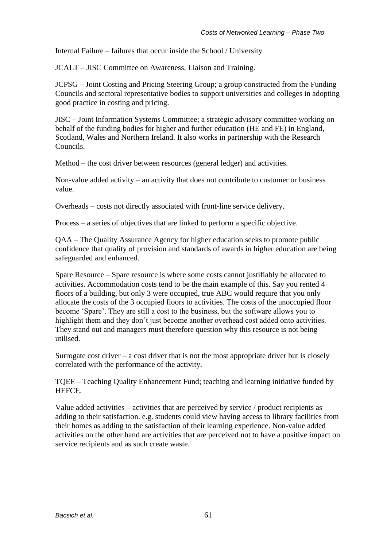Internal Failure – failures that occur inside the School / University

JCALT – JISC Committee on Awareness, Liaison and Training.

JCPSG – Joint Costing and Pricing Steering Group; a group constructed from the Funding Councils and sectoral representative bodies to support universities and colleges in adopting good practice in costing and pricing.

JISC – Joint Information Systems Committee; a strategic advisory committee working on behalf of the funding bodies for higher and further education (HE and FE) in England, Scotland, Wales and Northern Ireland. It also works in partnership with the Research Councils.

Method – the cost driver between resources (general ledger) and activities.

Non-value added activity – an activity that does not contribute to customer or business value.

Overheads – costs not directly associated with front-line service delivery.

Process – a series of objectives that are linked to perform a specific objective.

QAA – The Quality Assurance Agency for higher education seeks to promote public confidence that quality of provision and standards of awards in higher education are being safeguarded and enhanced.

Spare Resource – Spare resource is where some costs cannot justifiably be allocated to activities. Accommodation costs tend to be the main example of this. Say you rented 4 floors of a building, but only 3 were occupied, true ABC would require that you only allocate the costs of the 3 occupied floors to activities. The costs of the unoccupied floor become 'Spare'. They are still a cost to the business, but the software allows you to highlight them and they don't just become another overhead cost added onto activities. They stand out and managers must therefore question why this resource is not being utilised.

Surrogate cost driver  $-$  a cost driver that is not the most appropriate driver but is closely correlated with the performance of the activity.

TQEF – Teaching Quality Enhancement Fund; teaching and learning initiative funded by **HEFCE.** 

Value added activities – activities that are perceived by service / product recipients as adding to their satisfaction. e.g. students could view having access to library facilities from their homes as adding to the satisfaction of their learning experience. Non-value added activities on the other hand are activities that are perceived not to have a positive impact on service recipients and as such create waste.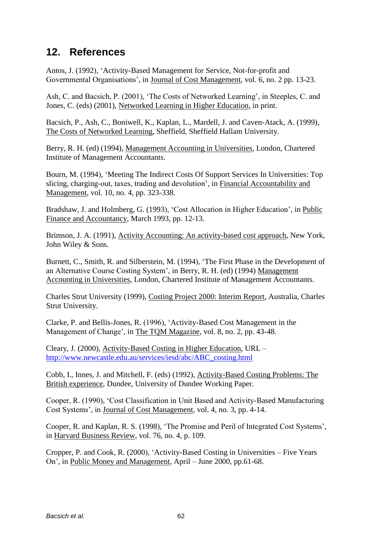## **12. References**

Antos, J. (1992), 'Activity-Based Management for Service, Not-for-profit and Governmental Organisations', in Journal of Cost Management, vol. 6, no. 2 pp. 13-23.

Ash, C. and Bacsich, P. (2001), 'The Costs of Networked Learning', in Steeples, C. and Jones, C. (eds) (2001), Networked Learning in Higher Education, in print.

Bacsich, P., Ash, C., Boniwell, K., Kaplan, L., Mardell, J. and Caven-Atack, A. (1999), The Costs of Networked Learning, Sheffield, Sheffield Hallam University.

Berry, R. H. (ed) (1994), Management Accounting in Universities, London, Chartered Institute of Management Accountants.

Bourn, M. (1994), 'Meeting The Indirect Costs Of Support Services In Universities: Top slicing, charging-out, taxes, trading and devolution', in Financial Accountability and Management, vol. 10, no. 4, pp. 323-338.

Bradshaw, J. and Holmberg, G. (1993), 'Cost Allocation in Higher Education', in Public Finance and Accountancy, March 1993, pp. 12-13.

Brimson, J. A. (1991), Activity Accounting: An activity-based cost approach, New York, John Wiley & Sons.

Burnett, C., Smith, R. and Silberstein, M. (1994), 'The First Phase in the Development of an Alternative Course Costing System', in Berry, R. H. (ed) (1994) Management Accounting in Universities, London, Chartered Institute of Management Accountants.

Charles Strut University (1999), Costing Project 2000: Interim Report, Australia, Charles Strut University.

Clarke, P. and Bellis-Jones, R. (1996), 'Activity-Based Cost Management in the Management of Change', in The TQM Magazine, vol. 8, no. 2, pp. 43-48.

Cleary, J. (2000), Activity-Based Costing in Higher Education, URL – [http://www.newcastle.edu.au/services/iesd/abc/ABC\\_costing.html](http://www.newcastle.edu.au/services/iesd/abc/ABC_costing.html)

Cobb, I., Innes, J. and Mitchell, F. (eds) (1992), Activity-Based Costing Problems: The British experience, Dundee, University of Dundee Working Paper.

Cooper, R. (1990), 'Cost Classification in Unit Based and Activity-Based Manufacturing Cost Systems', in Journal of Cost Management, vol. 4, no. 3, pp. 4-14.

Cooper, R. and Kaplan, R. S. (1998), 'The Promise and Peril of Integrated Cost Systems', in Harvard Business Review, vol. 76, no. 4, p. 109.

Cropper, P. and Cook, R. (2000), 'Activity-Based Costing in Universities – Five Years On', in Public Money and Management, April – June 2000, pp.61-68.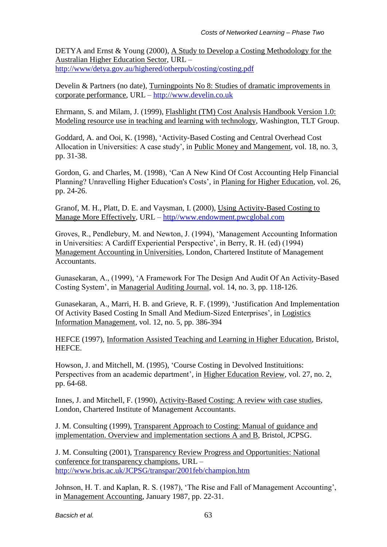DETYA and Ernst & Young (2000), A Study to Develop a Costing Methodology for the Australian Higher Education Sector, URL – <http://www/detya.gov.au/highered/otherpub/costing/costing.pdf>

Develin & Partners (no date), Turningpoints No 8: Studies of dramatic improvements in corporate performance, URL – [http://www.develin.co.uk](http://www.develin.co.uk/)

Ehrmann, S. and Milam, J. (1999), Flashlight (TM) Cost Analysis Handbook Version 1.0: Modeling resource use in teaching and learning with technology, Washington, TLT Group.

Goddard, A. and Ooi, K. (1998), 'Activity-Based Costing and Central Overhead Cost Allocation in Universities: A case study', in Public Money and Mangement, vol. 18, no. 3, pp. 31-38.

Gordon, G. and Charles, M. (1998), 'Can A New Kind Of Cost Accounting Help Financial Planning? Unravelling Higher Education's Costs', in Planing for Higher Education, vol. 26, pp. 24-26.

Granof, M. H., Platt, D. E. and Vaysman, I. (2000), Using Activity-Based Costing to Manage More Effectively, URL – [http//www.endowment.pwcglobal.com](http/www.endowment.pwcglobal.com)

Groves, R., Pendlebury, M. and Newton, J. (1994), 'Management Accounting Information in Universities: A Cardiff Experiential Perspective', in Berry, R. H. (ed) (1994) Management Accounting in Universities, London, Chartered Institute of Management Accountants.

Gunasekaran, A., (1999), 'A Framework For The Design And Audit Of An Activity-Based Costing System', in Managerial Auditing Journal, vol. 14, no. 3, pp. 118-126.

Gunasekaran, A., Marri, H. B. and Grieve, R. F. (1999), 'Justification And Implementation Of Activity Based Costing In Small And Medium-Sized Enterprises', in Logistics Information Management, vol. 12, no. 5, pp. 386-394

HEFCE (1997), Information Assisted Teaching and Learning in Higher Education, Bristol, HEFCE.

Howson, J. and Mitchell, M. (1995), 'Course Costing in Devolved Instituitions: Perspectives from an academic department', in Higher Education Review, vol. 27, no. 2, pp. 64-68.

Innes, J. and Mitchell, F. (1990), Activity-Based Costing: A review with case studies, London, Chartered Institute of Management Accountants.

J. M. Consulting (1999), Transparent Approach to Costing: Manual of guidance and implementation. Overview and implementation sections A and B, Bristol, JCPSG.

J. M. Consulting (2001), Transparency Review Progress and Opportunities: National conference for transparency champions, URL – <http://www.bris.ac.uk/JCPSG/transpar/2001feb/champion.htm>

Johnson, H. T. and Kaplan, R. S. (1987), 'The Rise and Fall of Management Accounting', in Management Accounting, January 1987, pp. 22-31.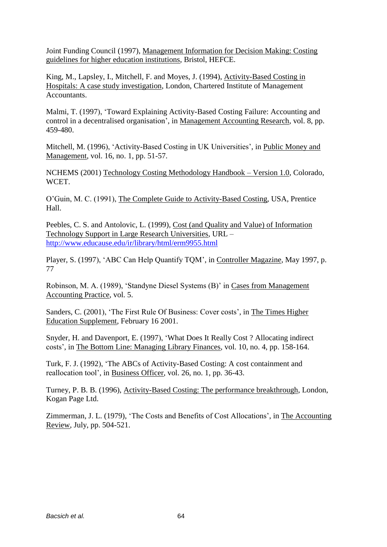Joint Funding Council (1997), Management Information for Decision Making: Costing guidelines for higher education institutions, Bristol, HEFCE.

King, M., Lapsley, I., Mitchell, F. and Moyes, J. (1994), Activity-Based Costing in Hospitals: A case study investigation, London, Chartered Institute of Management Accountants.

Malmi, T. (1997), 'Toward Explaining Activity-Based Costing Failure: Accounting and control in a decentralised organisation', in Management Accounting Research, vol. 8, pp. 459-480.

Mitchell, M. (1996), 'Activity-Based Costing in UK Universities', in Public Money and Management, vol. 16, no. 1, pp. 51-57.

NCHEMS (2001) Technology Costing Methodology Handbook – Version 1.0, Colorado, WCET.

O'Guin, M. C. (1991), The Complete Guide to Activity-Based Costing, USA, Prentice Hall.

Peebles, C. S. and Antolovic, L. (1999), Cost (and Quality and Value) of Information Technology Support in Large Research Universities, URL – <http://www.educause.edu/ir/library/html/erm9955.html>

Player, S. (1997), 'ABC Can Help Quantify TQM', in Controller Magazine, May 1997, p. 77

Robinson, M. A. (1989), 'Standyne Diesel Systems (B)' in Cases from Management Accounting Practice, vol. 5.

Sanders, C. (2001), 'The First Rule Of Business: Cover costs', in The Times Higher Education Supplement, February 16 2001.

Snyder, H. and Davenport, E. (1997), 'What Does It Really Cost ? Allocating indirect costs', in The Bottom Line: Managing Library Finances, vol. 10, no. 4, pp. 158-164.

Turk, F. J. (1992), 'The ABCs of Activity-Based Costing: A cost containment and reallocation tool', in Business Officer, vol. 26, no. 1, pp. 36-43.

Turney, P. B. B. (1996), Activity-Based Costing: The performance breakthrough, London, Kogan Page Ltd.

Zimmerman, J. L. (1979), 'The Costs and Benefits of Cost Allocations', in The Accounting Review, July, pp. 504-521.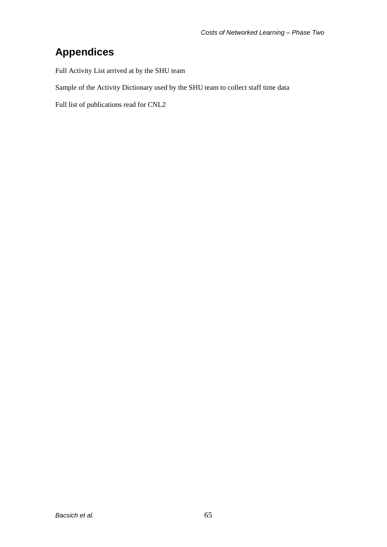# **Appendices**

Full Activity List arrived at by the SHU team

Sample of the Activity Dictionary used by the SHU team to collect staff time data

Full list of publications read for CNL2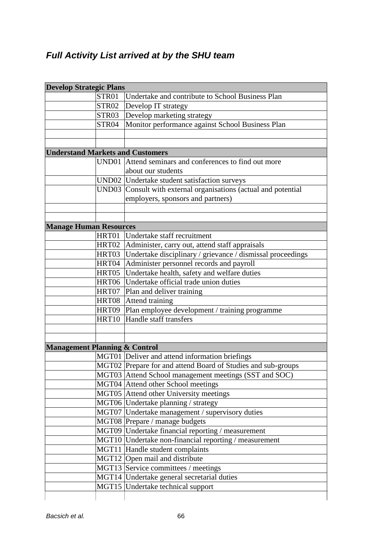# *Full Activity List arrived at by the SHU team*

| <b>Develop Strategic Plans</b>           |                   |                                                                  |  |  |
|------------------------------------------|-------------------|------------------------------------------------------------------|--|--|
|                                          | STR01             | Undertake and contribute to School Business Plan                 |  |  |
|                                          | STR <sub>02</sub> | Develop IT strategy                                              |  |  |
|                                          |                   | STR03  Develop marketing strategy                                |  |  |
|                                          | STR <sub>04</sub> | Monitor performance against School Business Plan                 |  |  |
|                                          |                   |                                                                  |  |  |
|                                          |                   |                                                                  |  |  |
| <b>Understand Markets and Customers</b>  |                   |                                                                  |  |  |
|                                          |                   | UND01 Attend seminars and conferences to find out more           |  |  |
|                                          |                   | about our students                                               |  |  |
|                                          |                   | UND02  Undertake student satisfaction surveys                    |  |  |
|                                          |                   | UND03 Consult with external organisations (actual and potential  |  |  |
|                                          |                   | employers, sponsors and partners)                                |  |  |
|                                          |                   |                                                                  |  |  |
|                                          |                   |                                                                  |  |  |
| <b>Manage Human Resources</b>            |                   |                                                                  |  |  |
|                                          |                   | HRT01 Undertake staff recruitment                                |  |  |
|                                          |                   | HRT02   Administer, carry out, attend staff appraisals           |  |  |
|                                          |                   | HRT03 Undertake disciplinary / grievance / dismissal proceedings |  |  |
|                                          |                   | HRT04 Administer personnel records and payroll                   |  |  |
|                                          |                   | HRT05  Undertake health, safety and welfare duties               |  |  |
|                                          |                   | HRT06 Undertake official trade union duties                      |  |  |
|                                          |                   | HRT07 Plan and deliver training                                  |  |  |
|                                          |                   | HRT08 Attend training                                            |  |  |
|                                          |                   | HRT09  Plan employee development / training programme            |  |  |
|                                          | HRT10             | Handle staff transfers                                           |  |  |
|                                          |                   |                                                                  |  |  |
|                                          |                   |                                                                  |  |  |
| <b>Management Planning &amp; Control</b> |                   |                                                                  |  |  |
|                                          |                   | MGT01 Deliver and attend information briefings                   |  |  |
|                                          |                   | MGT02 Prepare for and attend Board of Studies and sub-groups     |  |  |
|                                          |                   | MGT03 Attend School management meetings (SST and SOC)            |  |  |
|                                          |                   | MGT04 Attend other School meetings                               |  |  |
|                                          |                   | MGT05 Attend other University meetings                           |  |  |
|                                          |                   | MGT06 Undertake planning / strategy                              |  |  |
|                                          |                   | MGT07 Undertake management / supervisory duties                  |  |  |
|                                          |                   | MGT08 Prepare / manage budgets                                   |  |  |
|                                          |                   | MGT09 Undertake financial reporting / measurement                |  |  |
|                                          |                   | MGT10 Undertake non-financial reporting / measurement            |  |  |
|                                          |                   | MGT11 Handle student complaints                                  |  |  |
|                                          |                   | MGT12 Open mail and distribute                                   |  |  |
|                                          |                   | MGT13 Service committees / meetings                              |  |  |
|                                          |                   | MGT14 Undertake general secretarial duties                       |  |  |
|                                          | MGT15             | Undertake technical support                                      |  |  |
|                                          |                   |                                                                  |  |  |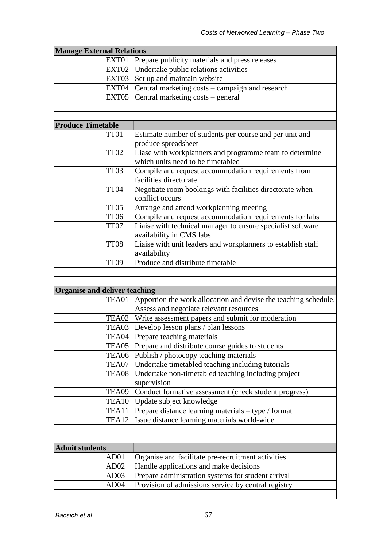| <b>Manage External Relations</b>     |                  |                                                                               |  |
|--------------------------------------|------------------|-------------------------------------------------------------------------------|--|
|                                      | EXT01            | Prepare publicity materials and press releases                                |  |
|                                      | EXT02            | Undertake public relations activities                                         |  |
|                                      | EXT03            | Set up and maintain website                                                   |  |
|                                      | EXT04            | Central marketing costs – campaign and research                               |  |
|                                      | EXT05            | Central marketing costs – general                                             |  |
|                                      |                  |                                                                               |  |
|                                      |                  |                                                                               |  |
| <b>Produce Timetable</b>             |                  |                                                                               |  |
|                                      | TT01             | Estimate number of students per course and per unit and                       |  |
|                                      |                  | produce spreadsheet                                                           |  |
|                                      | TT02             | Liase with workplanners and programme team to determine                       |  |
|                                      |                  | which units need to be timetabled                                             |  |
|                                      | TT03             | Compile and request accommodation requirements from<br>facilities directorate |  |
|                                      | TT04             | Negotiate room bookings with facilities directorate when                      |  |
|                                      |                  | conflict occurs                                                               |  |
|                                      | TT05             | Arrange and attend workplanning meeting                                       |  |
|                                      | TT06             | Compile and request accommodation requirements for labs                       |  |
|                                      | TT07             | Liaise with technical manager to ensure specialist software                   |  |
|                                      |                  | availability in CMS labs                                                      |  |
|                                      | <b>TT08</b>      | Liaise with unit leaders and workplanners to establish staff                  |  |
|                                      |                  | availability                                                                  |  |
|                                      | TT09             | Produce and distribute timetable                                              |  |
|                                      |                  |                                                                               |  |
|                                      |                  |                                                                               |  |
| <b>Organise and deliver teaching</b> |                  |                                                                               |  |
|                                      | TEA01            | Apportion the work allocation and devise the teaching schedule.               |  |
|                                      |                  | Assess and negotiate relevant resources                                       |  |
|                                      |                  | TEA02 Write assessment papers and submit for moderation                       |  |
|                                      | TEA03            | Develop lesson plans / plan lessons                                           |  |
|                                      | TEA04            | Prepare teaching materials                                                    |  |
|                                      | TEA05            | Prepare and distribute course guides to students                              |  |
|                                      | TEA06            | Publish / photocopy teaching materials                                        |  |
|                                      | TEA07<br>TEA08   | Undertake timetabled teaching including tutorials                             |  |
|                                      |                  | Undertake non-timetabled teaching including project<br>supervision            |  |
|                                      | TEA09            | Conduct formative assessment (check student progress)                         |  |
|                                      | TEA10            | Update subject knowledge                                                      |  |
|                                      | TEA11            | Prepare distance learning materials - type / format                           |  |
|                                      | TEA12            | Issue distance learning materials world-wide                                  |  |
|                                      |                  |                                                                               |  |
|                                      |                  |                                                                               |  |
| <b>Admit students</b>                |                  |                                                                               |  |
|                                      | AD01             | Organise and facilitate pre-recruitment activities                            |  |
|                                      | AD <sub>02</sub> | Handle applications and make decisions                                        |  |
|                                      | AD03             | Prepare administration systems for student arrival                            |  |
|                                      | AD04             | Provision of admissions service by central registry                           |  |
|                                      |                  |                                                                               |  |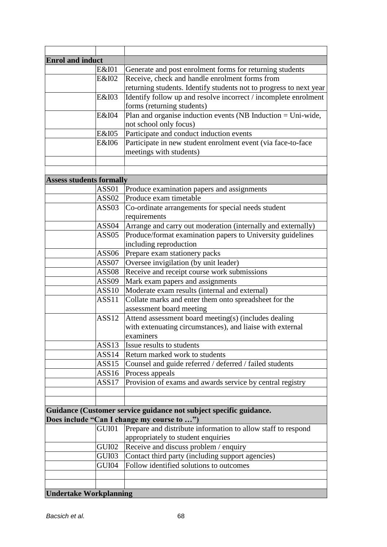| <b>Enrol and induct</b>         |                                                                                                                  |
|---------------------------------|------------------------------------------------------------------------------------------------------------------|
| E&I01                           | Generate and post enrolment forms for returning students                                                         |
| E&I02                           | Receive, check and handle enrolment forms from                                                                   |
|                                 | returning students. Identify students not to progress to next year                                               |
| E&I03                           | Identify follow up and resolve incorrect / incomplete enrolment                                                  |
|                                 | forms (returning students)                                                                                       |
| E&I04                           | Plan and organise induction events (NB Induction = Uni-wide,                                                     |
|                                 | not school only focus)                                                                                           |
| E&I05                           | Participate and conduct induction events                                                                         |
| E&I06                           | Participate in new student enrolment event (via face-to-face                                                     |
|                                 | meetings with students)                                                                                          |
|                                 |                                                                                                                  |
|                                 |                                                                                                                  |
| <b>Assess students formally</b> |                                                                                                                  |
| ASS01                           | Produce examination papers and assignments                                                                       |
| ASS02                           | Produce exam timetable                                                                                           |
| ASS <sub>03</sub>               | Co-ordinate arrangements for special needs student                                                               |
|                                 | requirements                                                                                                     |
| ASS04                           | Arrange and carry out moderation (internally and externally)                                                     |
| ASS <sub>05</sub>               | Produce/format examination papers to University guidelines                                                       |
|                                 | including reproduction                                                                                           |
| ASS <sub>06</sub>               | Prepare exam stationery packs                                                                                    |
| ASS07                           | Oversee invigilation (by unit leader)                                                                            |
| <b>ASS08</b>                    | Receive and receipt course work submissions                                                                      |
| ASS <sub>09</sub>               | Mark exam papers and assignments                                                                                 |
| ASS10                           | Moderate exam results (internal and external)                                                                    |
| ASS11                           | Collate marks and enter them onto spreadsheet for the                                                            |
|                                 | assessment board meeting                                                                                         |
| ASS <sub>12</sub>               | Attend assessment board meeting(s) (includes dealing                                                             |
|                                 | with extenuating circumstances), and liaise with external                                                        |
|                                 | examiners                                                                                                        |
| ASS <sub>13</sub>               | Issue results to students                                                                                        |
| ASS14                           | Return marked work to students                                                                                   |
| ASS15                           | Counsel and guide referred / deferred / failed students                                                          |
| ASS16                           | Process appeals                                                                                                  |
| ASS17                           | Provision of exams and awards service by central registry                                                        |
|                                 |                                                                                                                  |
|                                 |                                                                                                                  |
|                                 | Guidance (Customer service guidance not subject specific guidance.<br>Does include "Can I change my course to ") |
| GUI01                           | Prepare and distribute information to allow staff to respond                                                     |
|                                 | appropriately to student enquiries                                                                               |
| GUI02                           | Receive and discuss problem / enquiry                                                                            |
| GUI03                           | Contact third party (including support agencies)                                                                 |
| GUI04                           | Follow identified solutions to outcomes                                                                          |
|                                 |                                                                                                                  |
|                                 |                                                                                                                  |
| <b>Undertake Workplanning</b>   |                                                                                                                  |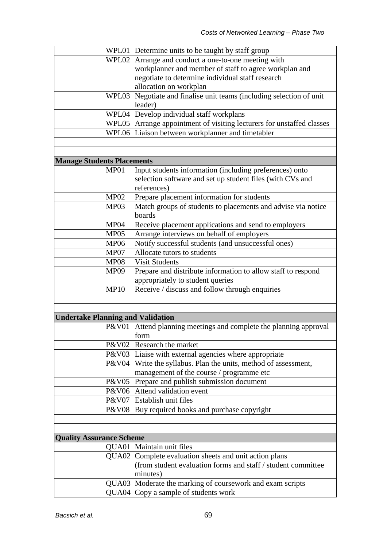|                                          |                  | WPL01 Determine units to be taught by staff group                     |
|------------------------------------------|------------------|-----------------------------------------------------------------------|
|                                          |                  | WPL02 Arrange and conduct a one-to-one meeting with                   |
|                                          |                  | workplanner and member of staff to agree workplan and                 |
|                                          |                  | negotiate to determine individual staff research                      |
|                                          |                  | allocation on workplan                                                |
|                                          |                  | WPL03 Negotiate and finalise unit teams (including selection of unit  |
|                                          |                  | leader)                                                               |
|                                          |                  | WPL04 Develop individual staff workplans                              |
|                                          |                  | WPL05 Arrange appointment of visiting lecturers for unstaffed classes |
|                                          |                  | WPL06 Liaison between workplanner and timetabler                      |
|                                          |                  |                                                                       |
|                                          |                  |                                                                       |
| <b>Manage Students Placements</b>        |                  |                                                                       |
|                                          | MP01             | Input students information (including preferences) onto               |
|                                          |                  | selection software and set up student files (with CVs and             |
|                                          |                  | references)                                                           |
|                                          | <b>MP02</b>      | Prepare placement information for students                            |
|                                          | MP03             | Match groups of students to placements and advise via notice          |
|                                          |                  | boards                                                                |
|                                          | <b>MP04</b>      | Receive placement applications and send to employers                  |
|                                          | MP05             | Arrange interviews on behalf of employers                             |
|                                          | <b>MP06</b>      | Notify successful students (and unsuccessful ones)                    |
|                                          | MP07             | Allocate tutors to students                                           |
|                                          | <b>MP08</b>      | <b>Visit Students</b>                                                 |
|                                          | <b>MP09</b>      | Prepare and distribute information to allow staff to respond          |
|                                          |                  | appropriately to student queries                                      |
|                                          | <b>MP10</b>      | Receive / discuss and follow through enquiries                        |
|                                          |                  |                                                                       |
|                                          |                  |                                                                       |
| <b>Undertake Planning and Validation</b> |                  |                                                                       |
|                                          | <b>P&amp;V01</b> | Attend planning meetings and complete the planning approval           |
|                                          |                  | form                                                                  |
|                                          |                  | P&V02 Research the market                                             |
|                                          |                  | P&V03 Liaise with external agencies where appropriate                 |
|                                          |                  | P&V04 Write the syllabus. Plan the units, method of assessment,       |
|                                          |                  | management of the course / programme etc                              |
|                                          |                  | P&V05   Prepare and publish submission document                       |
|                                          |                  | P&V06 Attend validation event                                         |
|                                          |                  | P&V07 Establish unit files                                            |
|                                          |                  |                                                                       |
|                                          |                  | P&V08 Buy required books and purchase copyright                       |
|                                          |                  |                                                                       |
|                                          |                  |                                                                       |
| <b>Quality Assurance Scheme</b>          |                  |                                                                       |
|                                          |                  | QUA01 Maintain unit files                                             |
|                                          |                  | QUA02 Complete evaluation sheets and unit action plans                |
|                                          |                  | (from student evaluation forms and staff / student committee          |
|                                          |                  | minutes)                                                              |
|                                          |                  | QUA03 Moderate the marking of coursework and exam scripts             |
|                                          |                  | QUA04 Copy a sample of students work                                  |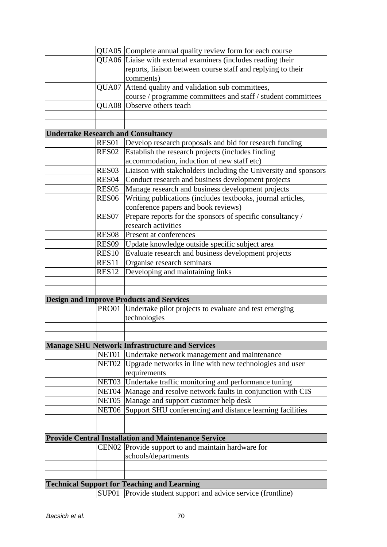|                                           |                   | QUA05 Complete annual quality review form for each course       |
|-------------------------------------------|-------------------|-----------------------------------------------------------------|
|                                           |                   | QUA06 Liaise with external examiners (includes reading their    |
|                                           |                   | reports, liaison between course staff and replying to their     |
|                                           |                   | comments)                                                       |
|                                           |                   | QUA07 Attend quality and validation sub committees,             |
|                                           |                   | course / programme committees and staff / student committees    |
|                                           |                   | QUA08 Observe others teach                                      |
|                                           |                   |                                                                 |
|                                           |                   |                                                                 |
| <b>Undertake Research and Consultancy</b> |                   |                                                                 |
|                                           | RES01             | Develop research proposals and bid for research funding         |
|                                           | RES <sub>02</sub> | Establish the research projects (includes finding               |
|                                           |                   | accommodation, induction of new staff etc)                      |
|                                           | RES03             | Liaison with stakeholders including the University and sponsors |
|                                           | RES <sub>04</sub> | Conduct research and business development projects              |
|                                           | RES <sub>05</sub> | Manage research and business development projects               |
|                                           | <b>RES06</b>      | Writing publications (includes textbooks, journal articles,     |
|                                           |                   | conference papers and book reviews)                             |
|                                           | RES07             | Prepare reports for the sponsors of specific consultancy /      |
|                                           |                   | research activities                                             |
|                                           | <b>RES08</b>      | Present at conferences                                          |
|                                           | RES <sub>09</sub> | Update knowledge outside specific subject area                  |
|                                           | <b>RES10</b>      | Evaluate research and business development projects             |
|                                           | RES11             | Organise research seminars                                      |
|                                           | RES <sub>12</sub> | Developing and maintaining links                                |
|                                           |                   |                                                                 |
|                                           |                   |                                                                 |
|                                           |                   | <b>Design and Improve Products and Services</b>                 |
|                                           | <b>PRO01</b>      | Undertake pilot projects to evaluate and test emerging          |
|                                           |                   | technologies                                                    |
|                                           |                   |                                                                 |
|                                           |                   |                                                                 |
|                                           |                   | <b>Manage SHU Network Infrastructure and Services</b>           |
|                                           | NET01             | Undertake network management and maintenance                    |
|                                           |                   | NET02 Upgrade networks in line with new technologies and user   |
|                                           |                   | requirements                                                    |
|                                           |                   | NET03 Undertake traffic monitoring and performance tuning       |
|                                           |                   | NET04 Manage and resolve network faults in conjunction with CIS |
|                                           | NET05             | Manage and support customer help desk                           |
|                                           | NET06             | Support SHU conferencing and distance learning facilities       |
|                                           |                   |                                                                 |
|                                           |                   |                                                                 |
|                                           |                   | <b>Provide Central Installation and Maintenance Service</b>     |
|                                           |                   | CEN02 Provide support to and maintain hardware for              |
|                                           |                   | schools/departments                                             |
|                                           |                   |                                                                 |
|                                           |                   |                                                                 |
|                                           |                   | <b>Technical Support for Teaching and Learning</b>              |
|                                           |                   | SUP01 Provide student support and advice service (frontline)    |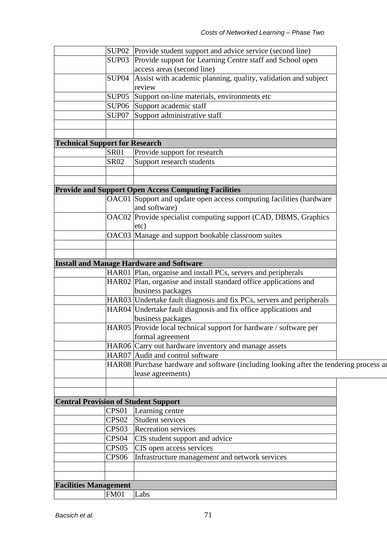|                                             |                   | SUP02 Provide student support and advice service (second line)                          |  |
|---------------------------------------------|-------------------|-----------------------------------------------------------------------------------------|--|
|                                             |                   | SUP03 Provide support for Learning Centre staff and School open                         |  |
|                                             |                   | access areas (second line)                                                              |  |
|                                             | SUP04             | Assist with academic planning, quality, validation and subject                          |  |
|                                             |                   | review                                                                                  |  |
|                                             | SUP05             | Support on-line materials, environments etc                                             |  |
|                                             |                   | SUP06 Support academic staff                                                            |  |
|                                             | SUP07             | Support administrative staff                                                            |  |
|                                             |                   |                                                                                         |  |
|                                             |                   |                                                                                         |  |
| <b>Technical Support for Research</b>       |                   |                                                                                         |  |
|                                             | <b>SR01</b>       | Provide support for research                                                            |  |
|                                             | <b>SR02</b>       | Support research students                                                               |  |
|                                             |                   |                                                                                         |  |
|                                             |                   |                                                                                         |  |
|                                             |                   |                                                                                         |  |
|                                             |                   | <b>Provide and Support Open Access Computing Facilities</b>                             |  |
|                                             |                   | OAC01 Support and update open access computing facilities (hardware                     |  |
|                                             |                   | and software)                                                                           |  |
|                                             |                   | OAC02 Provide specialist computing support (CAD, DBMS, Graphics                         |  |
|                                             |                   | etc)                                                                                    |  |
|                                             |                   | OAC03 Manage and support bookable classroom suites                                      |  |
|                                             |                   |                                                                                         |  |
|                                             |                   |                                                                                         |  |
|                                             |                   | <b>Install and Manage Hardware and Software</b>                                         |  |
|                                             |                   | HAR01 Plan, organise and install PCs, servers and peripherals                           |  |
|                                             |                   | HAR02 Plan, organise and install standard office applications and<br>business packages  |  |
|                                             |                   | HAR03 Undertake fault diagnosis and fix PCs, servers and peripherals                    |  |
|                                             |                   | HAR04 Undertake fault diagnosis and fix office applications and<br>business packages    |  |
|                                             |                   | HAR05 Provide local technical support for hardware / software per<br>formal agreement   |  |
|                                             |                   | HAR06 Carry out hardware inventory and manage assets                                    |  |
|                                             |                   | HAR07 Audit and control software                                                        |  |
|                                             |                   | HAR08 Purchase hardware and software (including looking after the tendering process and |  |
|                                             |                   | lease agreements)                                                                       |  |
|                                             |                   |                                                                                         |  |
|                                             |                   |                                                                                         |  |
| <b>Central Provision of Student Support</b> |                   |                                                                                         |  |
|                                             | CPS01             | Learning centre                                                                         |  |
|                                             | CPS <sub>02</sub> | <b>Student services</b>                                                                 |  |
|                                             | CPS03             | <b>Recreation services</b>                                                              |  |
|                                             | CPS <sub>04</sub> | CIS student support and advice                                                          |  |
|                                             | CPS <sub>05</sub> | CIS open access services                                                                |  |
|                                             | CPS <sub>06</sub> | Infrastructure management and network services                                          |  |
|                                             |                   |                                                                                         |  |
|                                             |                   |                                                                                         |  |
|                                             |                   |                                                                                         |  |
| <b>Facilities Management</b>                |                   |                                                                                         |  |
|                                             | <b>FM01</b>       | Labs                                                                                    |  |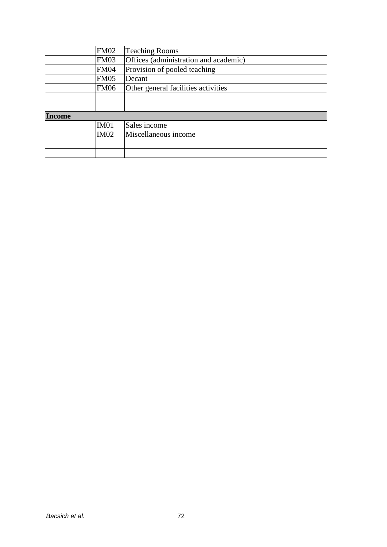|               | <b>FM02</b> | <b>Teaching Rooms</b>                 |  |
|---------------|-------------|---------------------------------------|--|
|               | <b>FM03</b> | Offices (administration and academic) |  |
|               | <b>FM04</b> | Provision of pooled teaching          |  |
|               | <b>FM05</b> | Decant                                |  |
|               | <b>FM06</b> | Other general facilities activities   |  |
|               |             |                                       |  |
|               |             |                                       |  |
| <b>Income</b> |             |                                       |  |
|               | <b>IM01</b> | Sales income                          |  |
|               | <b>IM02</b> | Miscellaneous income                  |  |
|               |             |                                       |  |
|               |             |                                       |  |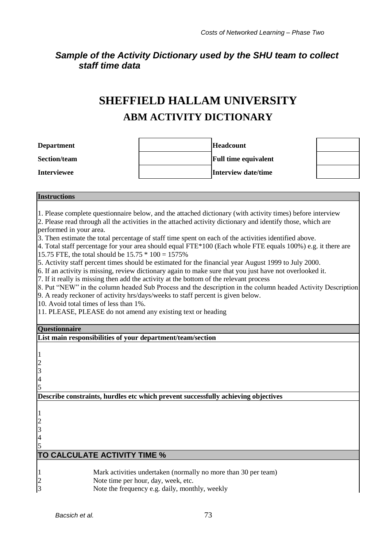### *Sample of the Activity Dictionary used by the SHU team to collect staff time data*

# **SHEFFIELD HALLAM UNIVERSITY ABM ACTIVITY DICTIONARY**

| <b>Department</b>   | Headcount                   |  |
|---------------------|-----------------------------|--|
| <b>Section/team</b> | <b>Full time equivalent</b> |  |
| <b>Interviewee</b>  | Interview date/time         |  |
|                     |                             |  |

|--|

1. Please complete questionnaire below, and the attached dictionary (with activity times) before interview

2. Please read through all the activities in the attached activity dictionary and identify those, which are performed in your area.

3. Then estimate the total percentage of staff time spent on each of the activities identified above.

4. Total staff percentage for your area should equal FTE\*100 (Each whole FTE equals 100%) e.g. it there are 15.75 FTE, the total should be 15.75 \* 100 = 1575%

5. Activity staff percent times should be estimated for the financial year August 1999 to July 2000.

6. If an activity is missing, review dictionary again to make sure that you just have not overlooked it.

7. If it really is missing then add the activity at the bottom of the relevant process

8. Put "NEW" in the column headed Sub Process and the description in the column headed Activity Description

9. A ready reckoner of activity hrs/days/weeks to staff percent is given below.

10. Avoid total times of less than 1%.

11. PLEASE, PLEASE do not amend any existing text or heading

#### **Questionnaire**

**List main responsibilities of your department/team/section**

**Describe constraints, hurdles etc which prevent successfully achieving objectives**

#### **TO CALCULATE ACTIVITY TIME %**

| Mark activities undertaken (normally no more than 30 per team) |
|----------------------------------------------------------------|
| Note time per hour, day, week, etc.                            |
| Note the frequency e.g. daily, monthly, weekly                 |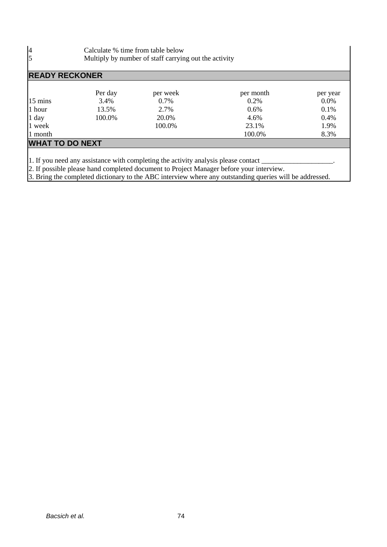- 
- 4 Calculate % time from table below<br>5 Multiply by number of staff carryin
	- 5 Multiply by number of staff carrying out the activity

| <b>READY RECKONER</b> |         |          |           |          |  |
|-----------------------|---------|----------|-----------|----------|--|
|                       | Per day | per week | per month | per year |  |
| 15 mins               | 3.4%    | 0.7%     | $0.2\%$   | $0.0\%$  |  |
| 1 hour                | 13.5%   | 2.7%     | 0.6%      | 0.1%     |  |
| 1 day                 | 100.0%  | 20.0%    | 4.6%      | 0.4%     |  |
| 1 week                |         | 100.0%   | 23.1%     | 1.9%     |  |
| 1 month               |         |          | 100.0%    | 8.3%     |  |

1. If you need any assistance with completing the activity analysis please contact  $\Box$ 

2. If possible please hand completed document to Project Manager before your interview.

3. Bring the completed dictionary to the ABC interview where any outstanding queries will be addressed.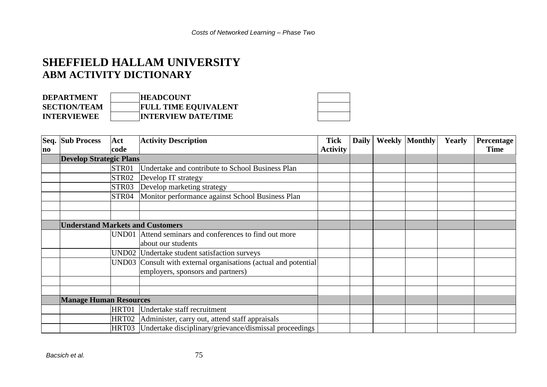## **SHEFFIELD HALLAM UNIVERSITY ABM ACTIVITY DICTIONARY**

| <b>DEPARTMENT</b>   | <b>HEADCOUNT</b>            |
|---------------------|-----------------------------|
| <b>SECTION/TEAM</b> | <b>FULL TIME EQUIVALENT</b> |
| <b>INTERVIEWEE</b>  | <b>INTERVIEW DATE/TIME</b>  |

|    | Seq. Sub Process                        | Act               | <b>Activity Description</b>                                     | <b>Tick</b>     | <b>Daily</b> | <b>Weekly Monthly</b> | Yearly | Percentage  |
|----|-----------------------------------------|-------------------|-----------------------------------------------------------------|-----------------|--------------|-----------------------|--------|-------------|
| no |                                         | code              |                                                                 | <b>Activity</b> |              |                       |        | <b>Time</b> |
|    | <b>Develop Strategic Plans</b>          |                   |                                                                 |                 |              |                       |        |             |
|    |                                         | STR01             | Undertake and contribute to School Business Plan                |                 |              |                       |        |             |
|    |                                         | STR <sub>02</sub> | Develop IT strategy                                             |                 |              |                       |        |             |
|    |                                         | STR <sub>03</sub> | Develop marketing strategy                                      |                 |              |                       |        |             |
|    |                                         | STR04             | Monitor performance against School Business Plan                |                 |              |                       |        |             |
|    |                                         |                   |                                                                 |                 |              |                       |        |             |
|    |                                         |                   |                                                                 |                 |              |                       |        |             |
|    | <b>Understand Markets and Customers</b> |                   |                                                                 |                 |              |                       |        |             |
|    |                                         |                   | UND01 Attend seminars and conferences to find out more          |                 |              |                       |        |             |
|    |                                         |                   | about our students                                              |                 |              |                       |        |             |
|    |                                         |                   | UND02 Undertake student satisfaction surveys                    |                 |              |                       |        |             |
|    |                                         |                   | UND03 Consult with external organisations (actual and potential |                 |              |                       |        |             |
|    |                                         |                   | employers, sponsors and partners)                               |                 |              |                       |        |             |
|    |                                         |                   |                                                                 |                 |              |                       |        |             |
|    |                                         |                   |                                                                 |                 |              |                       |        |             |
|    | <b>Manage Human Resources</b>           |                   |                                                                 |                 |              |                       |        |             |
|    |                                         | HRT01             | Undertake staff recruitment                                     |                 |              |                       |        |             |
|    |                                         |                   | HRT02 Administer, carry out, attend staff appraisals            |                 |              |                       |        |             |
|    |                                         |                   | HRT03 Undertake disciplinary/grievance/dismissal proceedings    |                 |              |                       |        |             |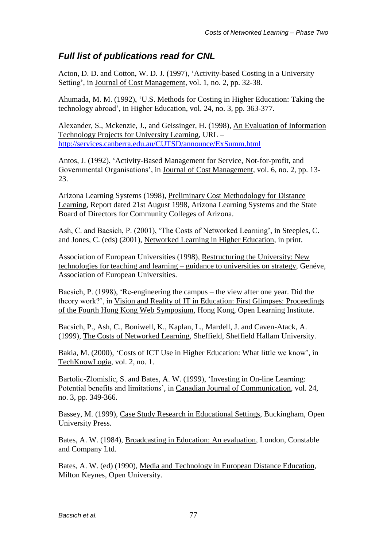## *Full list of publications read for CNL*

Acton, D. D. and Cotton, W. D. J. (1997), 'Activity-based Costing in a University Setting', in Journal of Cost Management, vol. 1, no. 2, pp. 32-38.

Ahumada, M. M. (1992), 'U.S. Methods for Costing in Higher Education: Taking the technology abroad', in Higher Education, vol. 24, no. 3, pp. 363-377.

Alexander, S., Mckenzie, J., and Geissinger, H. (1998), An Evaluation of Information Technology Projects for University Learning, URL – <http://services.canberra.edu.au/CUTSD/announce/ExSumm.html>

Antos, J. (1992), 'Activity-Based Management for Service, Not-for-profit, and Governmental Organisations', in Journal of Cost Management, vol. 6, no. 2, pp. 13- 23.

Arizona Learning Systems (1998), Preliminary Cost Methodology for Distance Learning, Report dated 21st August 1998, Arizona Learning Systems and the State Board of Directors for Community Colleges of Arizona.

Ash, C. and Bacsich, P. (2001), 'The Costs of Networked Learning', in Steeples, C. and Jones, C. (eds) (2001), Networked Learning in Higher Education, in print.

Association of European Universities (1998), Restructuring the University: New technologies for teaching and learning – guidance to universities on strategy, Genéve, Association of European Universities.

Bacsich, P. (1998), 'Re-engineering the campus – the view after one year. Did the theory work?', in Vision and Reality of IT in Education: First Glimpses: Proceedings of the Fourth Hong Kong Web Symposium, Hong Kong, Open Learning Institute.

Bacsich, P., Ash, C., Boniwell, K., Kaplan, L., Mardell, J. and Caven-Atack, A. (1999), The Costs of Networked Learning, Sheffield, Sheffield Hallam University.

Bakia, M. (2000), 'Costs of ICT Use in Higher Education: What little we know', in TechKnowLogia, vol. 2, no. 1.

Bartolic-Zlomislic, S. and Bates, A. W. (1999), 'Investing in On-line Learning: Potential benefits and limitations', in Canadian Journal of Communication, vol. 24, no. 3, pp. 349-366.

Bassey, M. (1999), Case Study Research in Educational Settings, Buckingham, Open University Press.

Bates, A. W. (1984), Broadcasting in Education: An evaluation, London, Constable and Company Ltd.

Bates, A. W. (ed) (1990), Media and Technology in European Distance Education, Milton Keynes, Open University.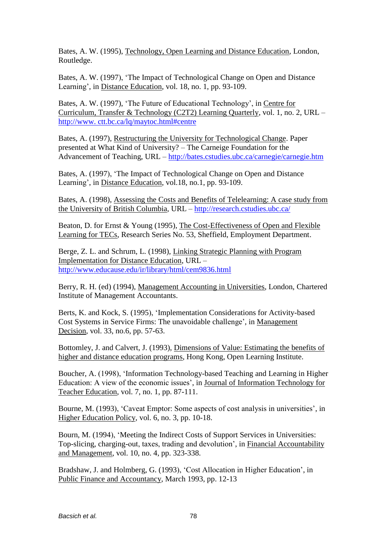Bates, A. W. (1995), Technology, Open Learning and Distance Education, London, Routledge.

Bates, A. W. (1997), 'The Impact of Technological Change on Open and Distance Learning', in Distance Education, vol. 18, no. 1, pp. 93-109.

Bates, A. W. (1997), 'The Future of Educational Technology', in Centre for Curriculum, Transfer & Technology (C2T2) Learning Quarterly, vol. 1, no. 2, URL – [http://www. ctt.bc.ca/lq/maytoc.html#centre](http://www/)

Bates, A. (1997), Restructuring the University for Technological Change. Paper presented at What Kind of University? – The Carneige Foundation for the Advancement of Teaching, URL – <http://bates.cstudies.ubc.ca/carnegie/carnegie.htm>

Bates, A. (1997), 'The Impact of Technological Change on Open and Distance Learning', in Distance Education, vol.18, no.1, pp. 93-109.

Bates, A. (1998), Assessing the Costs and Benefits of Telelearning: A case study from the University of British Columbia, URL – <http://research.cstudies.ubc.ca/>

Beaton, D. for Ernst & Young (1995), The Cost-Effectiveness of Open and Flexible Learning for TECs, Research Series No. 53, Sheffield, Employment Department.

Berge, Z. L. and Schrum, L. (1998), Linking Strategic Planning with Program Implementation for Distance Education, URL – [http://www.educause.edu/ir/library/html/cem9836.html](http://www/)

Berry, R. H. (ed) (1994), Management Accounting in Universities, London, Chartered Institute of Management Accountants.

Berts, K. and Kock, S. (1995), 'Implementation Considerations for Activity-based Cost Systems in Service Firms: The unavoidable challenge', in Management Decision, vol. 33, no.6, pp. 57-63.

Bottomley, J. and Calvert, J. (1993), Dimensions of Value: Estimating the benefits of higher and distance education programs, Hong Kong, Open Learning Institute.

Boucher, A. (1998), 'Information Technology-based Teaching and Learning in Higher Education: A view of the economic issues', in Journal of Information Technology for Teacher Education, vol. 7, no. 1, pp. 87-111.

Bourne, M. (1993), 'Caveat Emptor: Some aspects of cost analysis in universities', in Higher Education Policy, vol. 6, no. 3, pp. 10-18.

Bourn, M. (1994), 'Meeting the Indirect Costs of Support Services in Universities: Top-slicing, charging-out, taxes, trading and devolution', in Financial Accountability and Management, vol. 10, no. 4, pp. 323-338.

Bradshaw, J. and Holmberg, G. (1993), 'Cost Allocation in Higher Education', in Public Finance and Accountancy, March 1993, pp. 12-13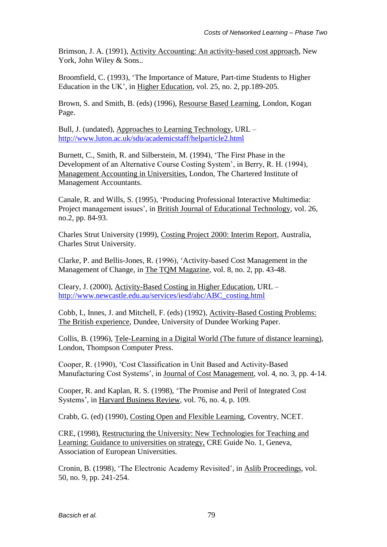Brimson, J. A. (1991), Activity Accounting: An activity-based cost approach, New York, John Wiley & Sons..

Broomfield, C. (1993), 'The Importance of Mature, Part-time Students to Higher Education in the UK', in Higher Education, vol. 25, no. 2, pp.189-205.

Brown, S. and Smith, B. (eds) (1996), Resourse Based Learning, London, Kogan Page.

Bull, J. (undated), Approaches to Learning Technology, URL – <http://www.luton.ac.uk/sdu/academicstaff/helparticle2.html>

Burnett, C., Smith, R. and Silberstein, M. (1994), 'The First Phase in the Development of an Alternative Course Costing System', in Berry, R. H. (1994), Management Accounting in Universities, London, The Chartered Institute of Management Accountants.

Canale, R. and Wills, S. (1995), 'Producing Professional Interactive Multimedia: Project management issues', in British Journal of Educational Technology, vol. 26, no.2, pp. 84-93.

Charles Strut University (1999), Costing Project 2000: Interim Report, Australia, Charles Strut University.

Clarke, P. and Bellis-Jones, R. (1996), 'Activity-based Cost Management in the Management of Change, in The TQM Magazine, vol. 8, no. 2, pp. 43-48.

Cleary, J. (2000), Activity-Based Costing in Higher Education, URL – [http://www.newcastle.edu.au/services/iesd/abc/ABC\\_costing.html](http://www.newcastle.edu.au/services/iesd/abc/ABC_costing.html)

Cobb, I., Innes, J. and Mitchell, F. (eds) (1992), Activity-Based Costing Problems: The British experience, Dundee, University of Dundee Working Paper.

Collis, B. (1996), Tele-Learning in a Digital World (The future of distance learning), London, Thompson Computer Press.

Cooper, R. (1990), 'Cost Classification in Unit Based and Activity-Based Manufacturing Cost Systems', in Journal of Cost Management, vol. 4, no. 3, pp. 4-14.

Cooper, R. and Kaplan, R. S. (1998), 'The Promise and Peril of Integrated Cost Systems', in Harvard Business Review, vol. 76, no. 4, p. 109.

Crabb, G. (ed) (1990), Costing Open and Flexible Learning, Coventry, NCET.

CRE, (1998), Restructuring the University: New Technologies for Teaching and Learning: Guidance to universities on strategy, CRE Guide No. 1, Geneva, Association of European Universities.

Cronin, B. (1998), 'The Electronic Academy Revisited', in Aslib Proceedings, vol. 50, no. 9, pp. 241-254.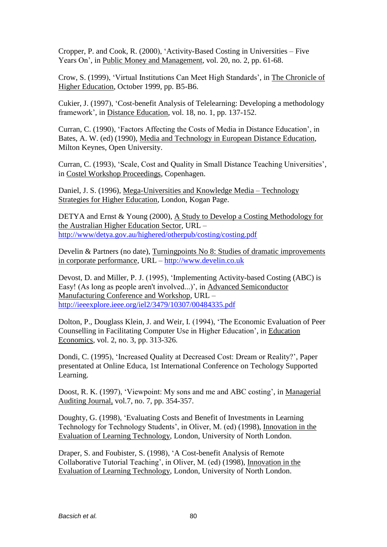Cropper, P. and Cook, R. (2000), 'Activity-Based Costing in Universities – Five Years On', in Public Money and Management, vol. 20, no. 2, pp. 61-68.

Crow, S. (1999), 'Virtual Institutions Can Meet High Standards', in The Chronicle of Higher Education, October 1999, pp. B5-B6.

Cukier, J. (1997), 'Cost-benefit Analysis of Telelearning: Developing a methodology framework', in Distance Education, vol. 18, no. 1, pp. 137-152.

Curran, C. (1990), 'Factors Affecting the Costs of Media in Distance Education', in Bates, A. W. (ed) (1990), Media and Technology in European Distance Education, Milton Keynes, Open University.

Curran, C. (1993), 'Scale, Cost and Quality in Small Distance Teaching Universities', in Costel Workshop Proceedings, Copenhagen.

Daniel, J. S. (1996), Mega-Universities and Knowledge Media – Technology Strategies for Higher Education, London, Kogan Page.

DETYA and Ernst & Young (2000), A Study to Develop a Costing Methodology for the Australian Higher Education Sector, URL – <http://www/detya.gov.au/highered/otherpub/costing/costing.pdf>

Develin & Partners (no date), Turningpoints No 8: Studies of dramatic improvements in corporate performance, URL – [http://www.develin.co.uk](http://www.develin.co.uk/)

Devost, D. and Miller, P. J. (1995), 'Implementing Activity-based Costing (ABC) is Easy! (As long as people aren't involved...)', in Advanced Semiconductor Manufacturing Conference and Workshop, URL – <http://ieeexplore.ieee.org/iel2/3479/10307/00484335.pdf>

Dolton, P., Douglass Klein, J. and Weir, I. (1994), 'The Economic Evaluation of Peer Counselling in Facilitating Computer Use in Higher Education', in Education Economics, vol. 2, no. 3, pp. 313-326.

Dondi, C. (1995), 'Increased Quality at Decreased Cost: Dream or Reality?', Paper presentated at Online Educa, 1st International Conference on Techology Supported Learning.

Doost, R. K. (1997), 'Viewpoint: My sons and me and ABC costing', in Managerial Auditing Journal, vol.7, no. 7, pp. 354-357.

Doughty, G. (1998), 'Evaluating Costs and Benefit of Investments in Learning Technology for Technology Students', in Oliver, M. (ed) (1998), Innovation in the Evaluation of Learning Technology, London, University of North London.

Draper, S. and Foubister, S. (1998), 'A Cost-benefit Analysis of Remote Collaborative Tutorial Teaching', in Oliver, M. (ed) (1998), Innovation in the Evaluation of Learning Technology, London, University of North London.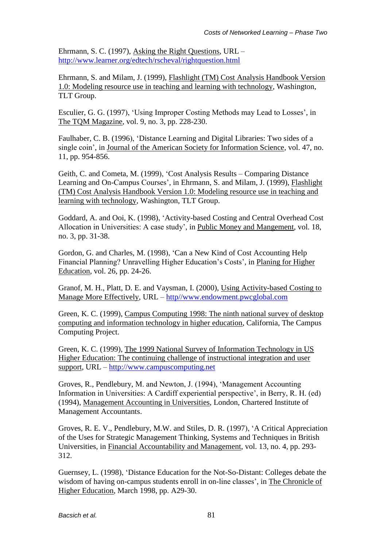Ehrmann, S. C. (1997), Asking the Right Questions, URL – <http://www.learner.org/edtech/rscheval/rightquestion.html>

Ehrmann, S. and Milam, J. (1999), Flashlight (TM) Cost Analysis Handbook Version 1.0: Modeling resource use in teaching and learning with technology, Washington, TLT Group.

Esculier, G. G. (1997), 'Using Improper Costing Methods may Lead to Losses', in The TQM Magazine, vol. 9, no. 3, pp. 228-230.

Faulhaber, C. B. (1996), 'Distance Learning and Digital Libraries: Two sides of a single coin', in Journal of the American Society for Information Science, vol. 47, no. 11, pp. 954-856.

Geith, C. and Cometa, M. (1999), 'Cost Analysis Results – Comparing Distance Learning and On-Campus Courses', in Ehrmann, S. and Milam, J. (1999), Flashlight (TM) Cost Analysis Handbook Version 1.0: Modeling resource use in teaching and learning with technology, Washington, TLT Group.

Goddard, A. and Ooi, K. (1998), 'Activity-based Costing and Central Overhead Cost Allocation in Universities: A case study', in Public Money and Mangement, vol. 18, no. 3, pp. 31-38.

Gordon, G. and Charles, M. (1998), 'Can a New Kind of Cost Accounting Help Financial Planning? Unravelling Higher Education's Costs', in Planing for Higher Education, vol. 26, pp. 24-26.

Granof, M. H., Platt, D. E. and Vaysman, I. (2000), Using Activity-based Costing to Manage More Effectively, URL – [http//www.endowment.pwcglobal.com](http/www.endowment.pwcglobal.com)

Green, K. C. (1999), Campus Computing 1998: The ninth national survey of desktop computing and information technology in higher education, California, The Campus Computing Project.

Green, K. C. (1999), The 1999 National Survey of Information Technology in US Higher Education: The continuing challenge of instructional integration and user support, URL – [http://www.campuscomputing.net](http://www.campuscomputing.net/)

Groves, R., Pendlebury, M. and Newton, J. (1994), 'Management Accounting Information in Universities: A Cardiff experiential perspective', in Berry, R. H. (ed) (1994), Management Accounting in Universities, London, Chartered Institute of Management Accountants.

Groves, R. E. V., Pendlebury, M.W. and Stiles, D. R. (1997), 'A Critical Appreciation of the Uses for Strategic Management Thinking, Systems and Techniques in British Universities, in Financial Accountability and Management, vol. 13, no. 4, pp. 293- 312.

Guernsey, L. (1998), 'Distance Education for the Not-So-Distant: Colleges debate the wisdom of having on-campus students enroll in on-line classes', in The Chronicle of Higher Education, March 1998, pp. A29-30.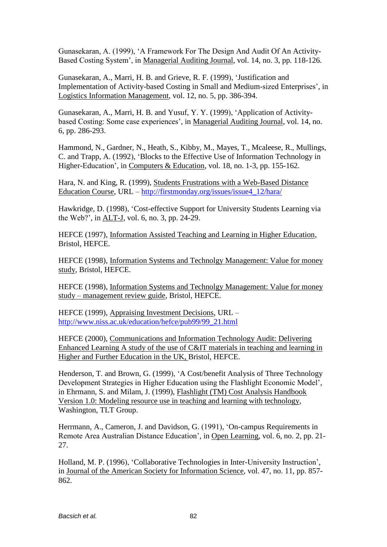Gunasekaran, A. (1999), 'A Framework For The Design And Audit Of An Activity-Based Costing System', in Managerial Auditing Journal, vol. 14, no. 3, pp. 118-126.

Gunasekaran, A., Marri, H. B. and Grieve, R. F. (1999), 'Justification and Implementation of Activity-based Costing in Small and Medium-sized Enterprises', in Logistics Information Management, vol. 12, no. 5, pp. 386-394.

Gunasekaran, A., Marri, H. B. and Yusuf, Y. Y. (1999), 'Application of Activitybased Costing: Some case experiences', in Managerial Auditing Journal, vol. 14, no. 6, pp. 286-293.

Hammond, N., Gardner, N., Heath, S., Kibby, M., Mayes, T., Mcaleese, R., Mullings, C. and Trapp, A. (1992), 'Blocks to the Effective Use of Information Technology in Higher-Education', in Computers & Education, vol. 18, no. 1-3, pp. 155-162.

Hara, N. and King, R. (1999), Students Frustrations with a Web-Based Distance Education Course, URL – [http://firstmonday.org/issues/issue4\\_12/hara/](http://firstmonday.org/issues/issue4_12/hara/)

Hawkridge, D. (1998), 'Cost-effective Support for University Students Learning via the Web?', in ALT-J, vol. 6, no. 3, pp. 24-29.

HEFCE (1997), Information Assisted Teaching and Learning in Higher Education, Bristol, HEFCE.

HEFCE (1998), Information Systems and Technolgy Management: Value for money study, Bristol, HEFCE.

HEFCE (1998), Information Systems and Technolgy Management: Value for money study – management review guide, Bristol, HEFCE.

HEFCE (1999), Appraising Investment Decisions, URL – [http://www.niss.ac.uk/education/hefce/pub99/99\\_21.html](http://www.niss.ac.uk/education/hefce/pub99/99_21.html)

HEFCE (2000), Communications and Information Technology Audit: Delivering Enhanced Learning A study of the use of C&IT materials in teaching and learning in Higher and Further Education in the UK, Bristol, HEFCE.

Henderson, T. and Brown, G. (1999), 'A Cost/benefit Analysis of Three Technology Development Strategies in Higher Education using the Flashlight Economic Model', in Ehrmann, S. and Milam, J. (1999), Flashlight (TM) Cost Analysis Handbook Version 1.0: Modeling resource use in teaching and learning with technology, Washington, TLT Group.

Herrmann, A., Cameron, J. and Davidson, G. (1991), 'On-campus Requirements in Remote Area Australian Distance Education', in Open Learning, vol. 6, no. 2, pp. 21- 27.

Holland, M. P. (1996), 'Collaborative Technologies in Inter-University Instruction', in Journal of the American Society for Information Science, vol. 47, no. 11, pp. 857- 862.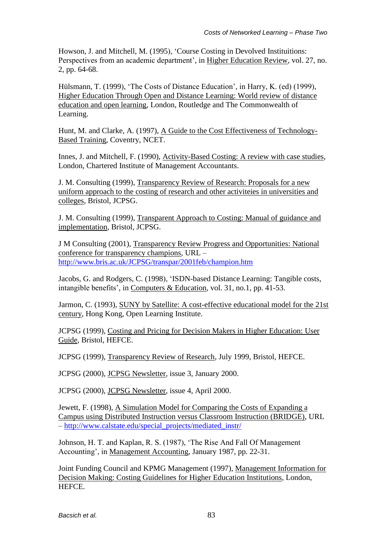Howson, J. and Mitchell, M. (1995), 'Course Costing in Devolved Instituitions: Perspectives from an academic department', in Higher Education Review, vol. 27, no. 2, pp. 64-68.

Hülsmann, T. (1999), 'The Costs of Distance Education', in Harry, K. (ed) (1999), Higher Education Through Open and Distance Learning: World review of distance education and open learning, London, Routledge and The Commonwealth of Learning.

Hunt, M. and Clarke, A. (1997), A Guide to the Cost Effectiveness of Technology-Based Training, Coventry, NCET.

Innes, J. and Mitchell, F. (1990), Activity-Based Costing: A review with case studies, London, Chartered Institute of Management Accountants.

J. M. Consulting (1999), Transparency Review of Research: Proposals for a new uniform approach to the costing of research and other activiteies in universities and colleges, Bristol, JCPSG.

J. M. Consulting (1999), Transparent Approach to Costing: Manual of guidance and implementation, Bristol, JCPSG.

J M Consulting (2001), Transparency Review Progress and Opportunities: National conference for transparency champions, URL – <http://www.bris.ac.uk/JCPSG/transpar/2001feb/champion.htm>

Jacobs, G. and Rodgers, C. (1998), 'ISDN-based Distance Learning: Tangible costs, intangible benefits', in Computers & Education, vol. 31, no.1, pp. 41-53.

Jarmon, C. (1993), SUNY by Satellite: A cost-effective educational model for the 21st century, Hong Kong, Open Learning Institute.

JCPSG (1999), Costing and Pricing for Decision Makers in Higher Education: User Guide, Bristol, HEFCE.

JCPSG (1999), Transparency Review of Research, July 1999, Bristol, HEFCE.

JCPSG (2000), JCPSG Newsletter, issue 3, January 2000.

JCPSG (2000), JCPSG Newsletter, issue 4, April 2000.

Jewett, F. (1998), A Simulation Model for Comparing the Costs of Expanding a Campus using Distributed Instruction versus Classroom Instruction (BRIDGE), URL – [http://www.calstate.edu/special\\_projects/mediated\\_instr/](http://www.calstate.edu/special_projects/mediated_instr/)

Johnson, H. T. and Kaplan, R. S. (1987), 'The Rise And Fall Of Management Accounting', in Management Accounting, January 1987, pp. 22-31.

Joint Funding Council and KPMG Management (1997), Management Information for Decision Making: Costing Guidelines for Higher Education Institutions, London, HEFCE.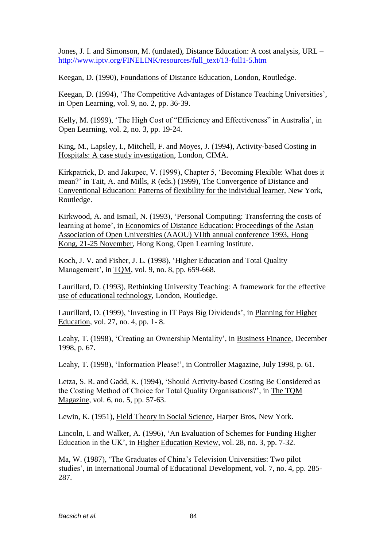Jones, J. I. and Simonson, M. (undated), Distance Education: A cost analysis, URL – [http://www.iptv.org/FINELINK/resources/full\\_text/13-full1-5.htm](http://www.iptv.org/FINELINK/resources/full_text/13-full1-5.htm)

Keegan, D. (1990), Foundations of Distance Education, London, Routledge.

Keegan, D. (1994), 'The Competitive Advantages of Distance Teaching Universities', in Open Learning, vol. 9, no. 2, pp. 36-39.

Kelly, M. (1999), 'The High Cost of "Efficiency and Effectiveness" in Australia', in Open Learning, vol. 2, no. 3, pp. 19-24.

King, M., Lapsley, I., Mitchell, F. and Moyes, J. (1994), Activity-based Costing in Hospitals: A case study investigation, London, CIMA.

Kirkpatrick, D. and Jakupec, V. (1999), Chapter 5, 'Becoming Flexible: What does it mean?' in Tait, A. and Mills, R (eds.) (1999), The Convergence of Distance and Conventional Education: Patterns of flexibility for the individual learner, New York, Routledge.

Kirkwood, A. and Ismail, N. (1993), 'Personal Computing: Transferring the costs of learning at home', in Economics of Distance Education: Proceedings of the Asian Association of Open Universities (AAOU) VIIth annual conference 1993, Hong Kong, 21-25 November, Hong Kong, Open Learning Institute.

Koch, J. V. and Fisher, J. L. (1998), 'Higher Education and Total Quality Management', in TQM, vol. 9, no. 8, pp. 659-668.

Laurillard, D. (1993), Rethinking University Teaching: A framework for the effective use of educational technology, London, Routledge.

Laurillard, D. (1999), 'Investing in IT Pays Big Dividends', in Planning for Higher Education, vol. 27, no. 4, pp. 1- 8.

Leahy, T. (1998), 'Creating an Ownership Mentality', in Business Finance, December 1998, p. 67.

Leahy, T. (1998), 'Information Please!', in Controller Magazine, July 1998, p. 61.

Letza, S. R. and Gadd, K. (1994), 'Should Activity-based Costing Be Considered as the Costing Method of Choice for Total Quality Organisations?', in The TQM Magazine, vol. 6, no. 5, pp. 57-63.

Lewin, K. (1951), Field Theory in Social Science, Harper Bros, New York.

Lincoln, I. and Walker, A. (1996), 'An Evaluation of Schemes for Funding Higher Education in the UK', in Higher Education Review, vol. 28, no. 3, pp. 7-32.

Ma, W. (1987), 'The Graduates of China's Television Universities: Two pilot studies', in International Journal of Educational Development, vol. 7, no. 4, pp. 285- 287.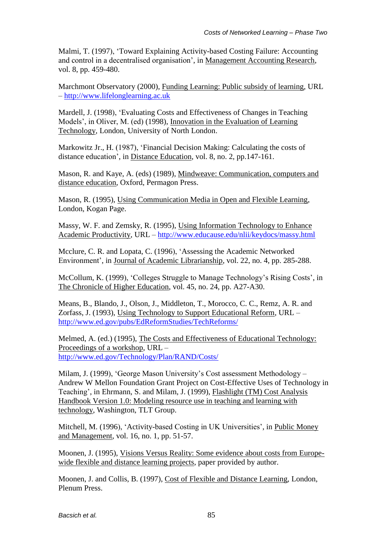Malmi, T. (1997), 'Toward Explaining Activity-based Costing Failure: Accounting and control in a decentralised organisation', in Management Accounting Research, vol. 8, pp. 459-480.

Marchmont Observatory (2000), Funding Learning: Public subsidy of learning, URL – [http://www.lifelonglearning.ac.uk](http://www.lifelonglearning.ac.uk/)

Mardell, J. (1998), 'Evaluating Costs and Effectiveness of Changes in Teaching Models', in Oliver, M. (ed) (1998), Innovation in the Evaluation of Learning Technology, London, University of North London.

Markowitz Jr., H. (1987), 'Financial Decision Making: Calculating the costs of distance education', in Distance Education, vol. 8, no. 2, pp.147-161.

Mason, R. and Kaye, A. (eds) (1989), Mindweave: Communication, computers and distance education, Oxford, Permagon Press.

Mason, R. (1995), Using Communication Media in Open and Flexible Learning, London, Kogan Page.

Massy, W. F. and Zemsky, R. (1995), Using Information Technology to Enhance Academic Productivity, URL – <http://www.educause.edu/nlii/keydocs/massy.html>

Mcclure, C. R. and Lopata, C. (1996), 'Assessing the Academic Networked Environment', in Journal of Academic Librarianship, vol. 22, no. 4, pp. 285-288.

McCollum, K. (1999), 'Colleges Struggle to Manage Technology's Rising Costs', in The Chronicle of Higher Education, vol. 45, no. 24, pp. A27-A30.

Means, B., Blando, J., Olson, J., Middleton, T., Morocco, C. C., Remz, A. R. and Zorfass, J. (1993), Using Technology to Support Educational Reform, URL – <http://www.ed.gov/pubs/EdReformStudies/TechReforms/>

Melmed, A. (ed.) (1995), The Costs and Effectiveness of Educational Technology: Proceedings of a workshop, URL – <http://www.ed.gov/Technology/Plan/RAND/Costs/>

Milam, J. (1999), 'George Mason University's Cost assessment Methodology – Andrew W Mellon Foundation Grant Project on Cost-Effective Uses of Technology in Teaching', in Ehrmann, S. and Milam, J. (1999), Flashlight (TM) Cost Analysis Handbook Version 1.0: Modeling resource use in teaching and learning with technology, Washington, TLT Group.

Mitchell, M. (1996), 'Activity-based Costing in UK Universities', in Public Money and Management, vol. 16, no. 1, pp. 51-57.

Moonen, J. (1995), Visions Versus Reality: Some evidence about costs from Europewide flexible and distance learning projects, paper provided by author.

Moonen, J. and Collis, B. (1997), Cost of Flexible and Distance Learning, London, Plenum Press.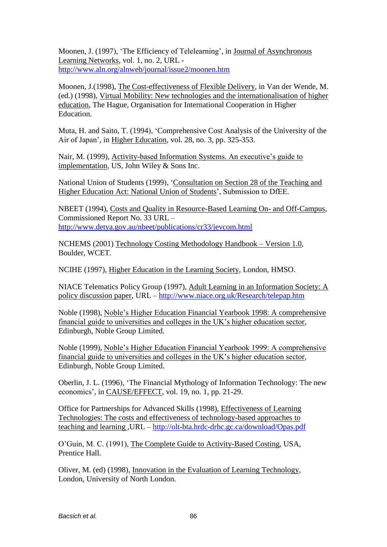Moonen, J. (1997), 'The Efficiency of Telelearning', in Journal of Asynchronous Learning Networks, vol. 1, no. 2, URL <http://www.aln.org/alnweb/journal/issue2/moonen.htm>

Moonen, J.(1998), The Cost-effectiveness of Flexible Delivery, in Van der Wende, M. (ed.) (1998), Virtual Mobility: New technologies and the internationalisation of higher education, The Hague, Organisation for International Cooperation in Higher Education.

Muta, H. and Saito, T. (1994), 'Comprehensive Cost Analysis of the University of the Air of Japan', in Higher Education, vol. 28, no. 3, pp. 325-353.

Nair, M. (1999), Activity-based Information Systems. An executive's guide to implementation, US, John Wiley & Sons Inc.

National Union of Students (1999), 'Consultation on Section 28 of the Teaching and Higher Education Act: National Union of Students', Submission to DfEE.

NBEET (1994), Costs and Quality in Resource-Based Learning On- and Off-Campus, Commissioned Report No. 33 URL – <http://www.detya.gov.au/nbeet/publications/cr33/jevcom.html>

NCHEMS (2001) Technology Costing Methodology Handbook – Version 1.0, Boulder, WCET.

NCIHE (1997), Higher Education in the Learning Society, London, HMSO.

NIACE Telematics Policy Group (1997), Adult Learning in an Information Society: A policy discussion paper, URL – <http://www.niace.org.uk/Research/telepap.htm>

Noble (1998), Noble's Higher Education Financial Yearbook 1998: A comprehensive financial guide to universities and colleges in the UK's higher education sector, Edinburgh, Noble Group Limited.

Noble (1999), Noble's Higher Education Financial Yearbook 1999: A comprehensive financial guide to universities and colleges in the UK's higher education sector, Edinburgh, Noble Group Limited.

Oberlin, J. L. (1996), 'The Financial Mythology of Information Technology: The new economics', in CAUSE/EFFECT, vol. 19, no. 1, pp. 21-29.

Office for Partnerships for Advanced Skills (1998), Effectiveness of Learning Technologies: The costs and effectiveness of technology-based approaches to teaching and learning ,URL – <http://olt-bta.hrdc-drhc.gc.ca/download/Opas.pdf>

O'Guin, M. C. (1991), The Complete Guide to Activity-Based Costing, USA, Prentice Hall.

Oliver, M. (ed) (1998), Innovation in the Evaluation of Learning Technology, London, University of North London.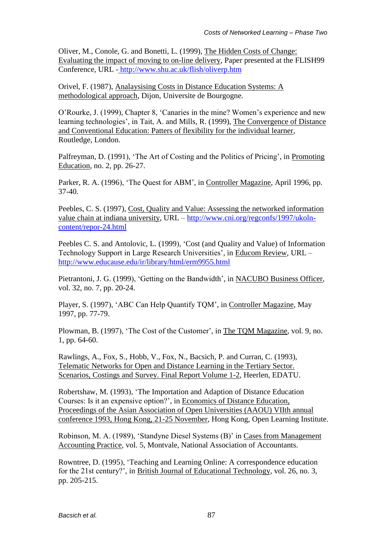Oliver, M., Conole, G. and Bonetti, L. (1999), The Hidden Costs of Change: Evaluating the impact of moving to on-line delivery, Paper presented at the FLISH99 Conference, URL - <http://www.shu.ac.uk/flish/oliverp.htm>

Orivel, F. (1987), Analaysising Costs in Distance Education Systems: A methodological approach, Dijon, Universite de Bourgogne.

O'Rourke, J. (1999), Chapter 8, 'Canaries in the mine? Women's experience and new learning technologies', in Tait, A. and Mills, R. (1999), The Convergence of Distance and Conventional Education: Patters of flexibility for the individual learner, Routledge, London.

Palfreyman, D. (1991), 'The Art of Costing and the Politics of Pricing', in Promoting Education, no. 2, pp. 26-27.

Parker, R. A. (1996), 'The Quest for ABM', in Controller Magazine, April 1996, pp. 37-40.

Peebles, C. S. (1997), Cost, Quality and Value: Assessing the networked information value chain at indiana university, URL – [http://www.cni.org/regconfs/1997/ukoln](http://www.cni.org/regconfs/1997/ukoln-content/repor-24.html)[content/repor-24.html](http://www.cni.org/regconfs/1997/ukoln-content/repor-24.html)

Peebles C. S. and Antolovic, L. (1999), 'Cost (and Quality and Value) of Information Technology Support in Large Research Universities', in Educom Review, URL – <http://www.educause.edu/ir/library/html/erm9955.html>

Pietrantoni, J. G. (1999), 'Getting on the Bandwidth', in NACUBO Business Officer, vol. 32, no. 7, pp. 20-24.

Player, S. (1997), 'ABC Can Help Quantify TQM', in Controller Magazine, May 1997, pp. 77-79.

Plowman, B. (1997), 'The Cost of the Customer', in The TQM Magazine, vol. 9, no. 1, pp. 64-60.

Rawlings, A., Fox, S., Hobb, V., Fox, N., Bacsich, P. and Curran, C. (1993), Telematic Networks for Open and Distance Learning in the Tertiary Sector. Scenarios, Costings and Survey. Final Report Volume 1-2, Heerlen, EDATU.

Robertshaw, M. (1993), 'The Importation and Adaption of Distance Education Courses: Is it an expensive option?', in Economics of Distance Education, Proceedings of the Asian Association of Open Universities (AAOU) VIIth annual conference 1993, Hong Kong, 21-25 November, Hong Kong, Open Learning Institute.

Robinson, M. A. (1989), 'Standyne Diesel Systems (B)' in Cases from Management Accounting Practice, vol. 5, Montvale, National Association of Accountants.

Rowntree, D. (1995), 'Teaching and Learning Online: A correspondence education for the 21st century?', in British Journal of Educational Technology, vol. 26, no. 3, pp. 205-215.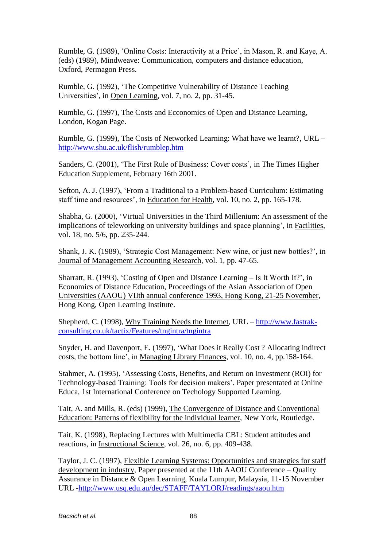Rumble, G. (1989), 'Online Costs: Interactivity at a Price', in Mason, R. and Kaye, A. (eds) (1989), Mindweave: Communication, computers and distance education, Oxford, Permagon Press.

Rumble, G. (1992), 'The Competitive Vulnerability of Distance Teaching Universities', in Open Learning, vol. 7, no. 2, pp. 31-45.

Rumble, G. (1997), The Costs and Ecconomics of Open and Distance Learning, London, Kogan Page.

Rumble, G. (1999), The Costs of Networked Learning: What have we learnt?, URL – <http://www.shu.ac.uk/flish/rumblep.htm>

Sanders, C. (2001), 'The First Rule of Business: Cover costs', in The Times Higher Education Supplement, February 16th 2001.

Sefton, A. J. (1997), 'From a Traditional to a Problem-based Curriculum: Estimating staff time and resources', in Education for Health, vol. 10, no. 2, pp. 165-178.

Shabha, G. (2000), 'Virtual Universities in the Third Millenium: An assessment of the implications of teleworking on university buildings and space planning', in Facilities, vol. 18, no. 5/6, pp. 235-244.

Shank, J. K. (1989), 'Strategic Cost Management: New wine, or just new bottles?', in Journal of Management Accounting Research, vol. 1, pp. 47-65.

Sharratt, R. (1993), 'Costing of Open and Distance Learning – Is It Worth It?', in Economics of Distance Education, Proceedings of the Asian Association of Open Universities (AAOU) VIIth annual conference 1993, Hong Kong, 21-25 November, Hong Kong, Open Learning Institute.

Shepherd, C. (1998), Why Training Needs the Internet, URL – [http://www.fastrak](http://www.fastrak-consulting.co.uk/tactix/Features/tngintra/tngintra)[consulting.co.uk/tactix/Features/tngintra/tngintra](http://www.fastrak-consulting.co.uk/tactix/Features/tngintra/tngintra)

Snyder, H. and Davenport, E. (1997), 'What Does it Really Cost ? Allocating indirect costs, the bottom line', in Managing Library Finances, vol. 10, no. 4, pp.158-164.

Stahmer, A. (1995), 'Assessing Costs, Benefits, and Return on Investment (ROI) for Technology-based Training: Tools for decision makers'. Paper presentated at Online Educa, 1st International Conference on Techology Supported Learning.

Tait, A. and Mills, R. (eds) (1999), The Convergence of Distance and Conventional Education: Patterns of flexibility for the individual learner, New York, Routledge.

Tait, K. (1998), Replacing Lectures with Multimedia CBL: Student attitudes and reactions, in Instructional Science, vol. 26, no. 6, pp. 409-438.

Taylor, J. C. (1997), Flexible Learning Systems: Opportunities and strategies for staff development in industry, [Paper presented at the 11th AAOU Conference –](http://www.usq.edu.au/dec/STAFF/TAYLORJ/readings/aaou.htm) Quality [Assurance in Distance & Open Learning, Kuala Lumpur, Malaysia, 11-15 November](http://www.usq.edu.au/dec/STAFF/TAYLORJ/readings/aaou.htm)  [URL -http://www.usq.edu.au/dec/STAFF/TAYLORJ/readings/aaou.htm](http://www.usq.edu.au/dec/STAFF/TAYLORJ/readings/aaou.htm)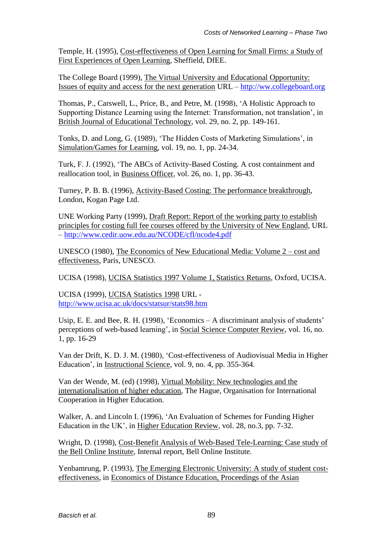Temple, H. (1995), Cost-effectiveness of Open Learning for Small Firms: a Study of First Experiences of Open Learning, Sheffield, DfEE.

The College Board (1999), The Virtual University and Educational Opportunity: Issues of equity and access for the next generation URL – [http://ww.collegeboard.org](http://ww.collegeboard.org/)

Thomas, P., Carswell, L., Price, B., and Petre, M. (1998), 'A Holistic Approach to Supporting Distance Learning using the Internet: Transformation, not translation', in British Journal of Educational Technology, vol. 29, no. 2, pp. 149-161.

Tonks, D. and Long, G. (1989), 'The Hidden Costs of Marketing Simulations', in Simulation/Games for Learning, vol. 19, no. 1, pp. 24-34.

Turk, F. J. (1992), 'The ABCs of Activity-Based Costing. A cost containment and reallocation tool, in Business Officer, vol. 26, no. 1, pp. 36-43.

Turney, P. B. B. (1996), Activity-Based Costing: The performance breakthrough, London, Kogan Page Ltd.

UNE Working Party (1999), Draft Report: Report of the working party to establish principles for costing full fee courses offered by the University of New England, URL – <http://www.cedir.uow.edu.au/NCODE/cfl/ncode4.pdf>

UNESCO (1980), The Economics of New Educational Media: Volume 2 – cost and effectiveness, Paris, UNESCO.

UCISA (1998), UCISA Statistics 1997 Volume 1, Statistics Returns, Oxford, UCISA.

UCISA (1999), UCISA Statistics 1998 URL <http://www.ucisa.ac.uk/docs/statsur/stats98.htm>

Usip, E. E. and Bee, R. H. (1998), 'Economics – A discriminant analysis of students' perceptions of web-based learning', in Social Science Computer Review, vol. 16, no. 1, pp. 16-29

Van der Drift, K. D. J. M. (1980), 'Cost-effectiveness of Audiovisual Media in Higher Education', in Instructional Science, vol. 9, no. 4, pp. 355-364.

Van der Wende, M. (ed) (1998), Virtual Mobility: New technologies and the internationalisation of higher education, The Hague, Organisation for International Cooperation in Higher Education.

Walker, A. and Lincoln I. (1996), 'An Evaluation of Schemes for Funding Higher Education in the UK', in Higher Education Review, vol. 28, no.3, pp. 7-32.

Wright, D. (1998), Cost-Benefit Analysis of Web-Based Tele-Learning: Case study of the Bell Online Institute, Internal report, Bell Online Institute.

Yenbamrung, P. (1993), The Emerging Electronic University: A study of student costeffectiveness, in Economics of Distance Education, Proceedings of the Asian